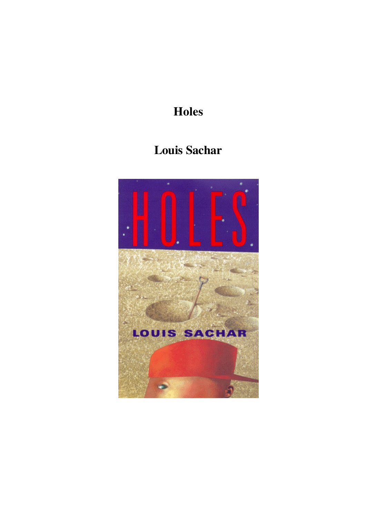# **Holes**

# **Louis Sachar**

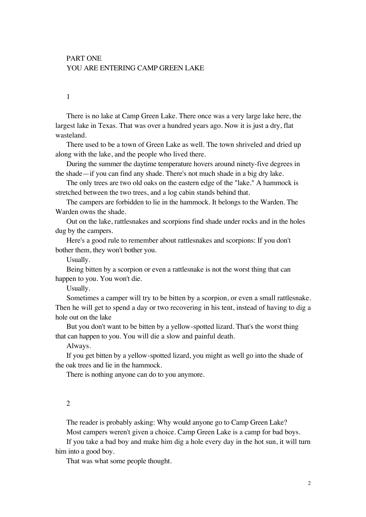# PART ONE YOU ARE ENTERING CAMP GREEN LAKE

1

There is no lake at Camp Green Lake. There once was a very large lake here, the largest lake in Texas. That was over a hundred years ago. Now it is just a dry, flat wasteland.

There used to be a town of Green Lake as well. The town shriveled and dried up along with the lake, and the people who lived there.

During the summer the daytime temperature hovers around ninety-five degrees in the shade—if you can find any shade. There's not much shade in a big dry lake.

The only trees are two old oaks on the eastern edge of the "lake." A hammock is stretched between the two trees, and a log cabin stands behind that.

The campers are forbidden to lie in the hammock. It belongs to the Warden. The Warden owns the shade.

Out on the lake, rattlesnakes and scorpions find shade under rocks and in the holes dug by the campers.

Here's a good rule to remember about rattlesnakes and scorpions: If you don't bother them, they won't bother you.

Usually.

Being bitten by a scorpion or even a rattlesnake is not the worst thing that can happen to you. You won't die.

Usually.

Sometimes a camper will try to be bitten by a scorpion, or even a small rattlesnake. Then he will get to spend a day or two recovering in his tent, instead of having to dig a hole out on the lake

But you don't want to be bitten by a yellow-spotted lizard. That's the worst thing that can happen to you. You will die a slow and painful death.

Always.

If you get bitten by a yellow-spotted lizard, you might as well go into the shade of the oak trees and lie in the hammock.

There is nothing anyone can do to you anymore.

The reader is probably asking: Why would anyone go to Camp Green Lake?

Most campers weren't given a choice. Camp Green Lake is a camp for bad boys.

If you take a bad boy and make him dig a hole every day in the hot sun, it will turn him into a good boy.

That was what some people thought.

<sup>2</sup>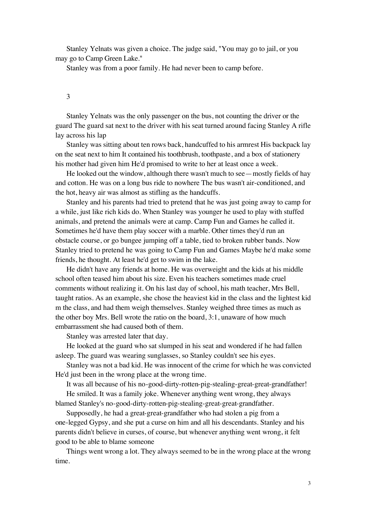Stanley Yelnats was given a choice. The judge said, "You may go to jail, or you may go to Camp Green Lake."

Stanley was from a poor family. He had never been to camp before.

3

Stanley Yelnats was the only passenger on the bus, not counting the driver or the guard The guard sat next to the driver with his seat turned around facing Stanley A rifle lay across his lap

Stanley was sitting about ten rows back, handcuffed to his armrest His backpack lay on the seat next to him It contained his toothbrush, toothpaste, and a box of stationery his mother had given him He'd promised to write to her at least once a week.

He looked out the window, although there wasn't much to see—mostly fields of hay and cotton. He was on a long bus ride to nowhere The bus wasn't air-conditioned, and the hot, heavy air was almost as stifling as the handcuffs.

Stanley and his parents had tried to pretend that he was just going away to camp for a while, just like rich kids do. When Stanley was younger he used to play with stuffed animals, and pretend the animals were at camp. Camp Fun and Games he called it. Sometimes he'd have them play soccer with a marble. Other times they'd run an obstacle course, or go bungee jumping off a table, tied to broken rubber bands. Now Stanley tried to pretend he was going to Camp Fun and Games Maybe he'd make some friends, he thought. At least he'd get to swim in the lake.

He didn't have any friends at home. He was overweight and the kids at his middle school often teased him about his size. Even his teachers sometimes made cruel comments without realizing it. On his last day of school, his math teacher, Mrs Bell, taught ratios. As an example, she chose the heaviest kid in the class and the lightest kid m the class, and had them weigh themselves. Stanley weighed three times as much as the other boy Mrs. Bell wrote the ratio on the board, 3:1, unaware of how much embarrassment she had caused both of them.

Stanley was arrested later that day.

He looked at the guard who sat slumped in his seat and wondered if he had fallen asleep. The guard was wearing sunglasses, so Stanley couldn't see his eyes.

Stanley was not a bad kid. He was innocent of the crime for which he was convicted He'd just been in the wrong place at the wrong time.

It was all because of his no-good-dirty-rotten-pig-stealing-great-great-grandfather!

He smiled. It was a family joke. Whenever anything went wrong, they always blamed Stanley's no-good-dirty-rotten-pig-stealing-great-great-grandfather.

Supposedly, he had a great-great-grandfather who had stolen a pig from a one-legged Gypsy, and she put a curse on him and all his descendants. Stanley and his parents didn't believe in curses, of course, but whenever anything went wrong, it felt good to be able to blame someone

Things went wrong a lot. They always seemed to be in the wrong place at the wrong time.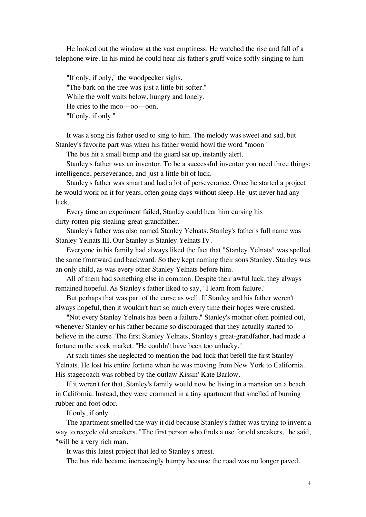He looked out the window at the vast emptiness. He watched the rise and fall of a telephone wire. In his mind he could hear his father's gruff voice softly singing to him

"If only, if only," the woodpecker sighs, "The bark on the tree was just a little bit softer." While the wolf waits below, hungry and lonely, He cries to the moo — oo — oon, "If only, if only."

It was a song his father used to sing to him. The melody was sweet and sad, but Stanley's favorite part was when his father would howl the word "moon "

The bus hit a small bump and the guard sat up, instantly alert.

Stanley's father was an inventor. To be a successful inventor you need three things: intelligence, perseverance, and just a little bit of luck.

Stanley's father was smart and had a lot of perseverance. Once he started a project he would work on it for years, often going days without sleep. He just never had any luck.

Every time an experiment failed, Stanley could hear him cursing his dirty-rotten-pig-stealing-great-grandfather.

Stanley's father was also named Stanley Yelnats. Stanley's father's full name was Stanley Yelnats III. Our Stanley is Stanley Yelnats IV.

Everyone in his family had always liked the fact that "Stanley Yelnats" was spelled the same frontward and backward. So they kept naming their sons Stanley. Stanley was an only child, as was every other Stanley Yelnats before him.

All of them had something else in common. Despite their awful luck, they always remained hopeful. As Stanley's father liked to say, "I learn from failure."

But perhaps that was part of the curse as well. If Stanley and his father weren't always hopeful, then it wouldn't hurt so much every time their hopes were crushed.

"Not every Stanley Yelnats has been a failure," Stanley's mother often pointed out, whenever Stanley or his father became so discouraged that they actually started to believe in the curse. The first Stanley Yelnats, Stanley's great-grandfather, had made a fortune m the stock market. "He couldn't have been too unlucky."

At such times she neglected to mention the bad luck that befell the first Stanley Yelnats. He lost his entire fortune when he was moving from New York to California. His stagecoach was robbed by the outlaw Kissin' Kate Barlow.

If it weren't for that, Stanley's family would now be living in a mansion on a beach in California. Instead, they were crammed in a tiny apartment that smelled of burning rubber and foot odor.

If only, if only  $\dots$ 

The apartment smelled the way it did because Stanley's father was trying to invent a way to recycle old sneakers. "The first person who finds a use for old sneakers," he said, "will be a very rich man."

It was this latest project that led to Stanley's arrest.

The bus ride became increasingly bumpy because the road was no longer paved.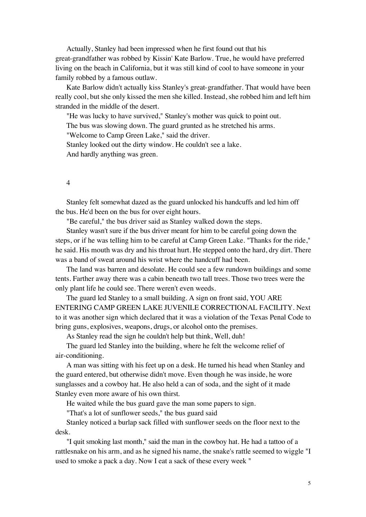Actually, Stanley had been impressed when he first found out that his great-grandfather was robbed by Kissin' Kate Barlow. True, he would have preferred living on the beach in California, but it was still kind of cool to have someone in your family robbed by a famous outlaw.

Kate Barlow didn't actually kiss Stanley's great-grandfather. That would have been really cool, but she only kissed the men she killed. Instead, she robbed him and left him stranded in the middle of the desert.

"He was lucky to have survived," Stanley's mother was quick to point out.

The bus was slowing down. The guard grunted as he stretched his arms.

"Welcome to Camp Green Lake," said the driver.

Stanley looked out the dirty window. He couldn't see a lake. And hardly anything was green.

4

Stanley felt somewhat dazed as the guard unlocked his handcuffs and led him off the bus. He'd been on the bus for over eight hours.

"Be careful," the bus driver said as Stanley walked down the steps.

Stanley wasn't sure if the bus driver meant for him to be careful going down the steps, or if he was telling him to be careful at Camp Green Lake. "Thanks for the ride," he said. His mouth was dry and his throat hurt. He stepped onto the hard, dry dirt. There was a band of sweat around his wrist where the handcuff had been.

The land was barren and desolate. He could see a few rundown buildings and some tents. Farther away there was a cabin beneath two tall trees. Those two trees were the only plant life he could see. There weren't even weeds.

The guard led Stanley to a small building. A sign on front said, YOU ARE ENTERING CAMP GREEN LAKE JUVENILE CORRECTIONAL FACILITY. Next to it was another sign which declared that it was a violation of the Texas Penal Code to bring guns, explosives, weapons, drugs, or alcohol onto the premises.

As Stanley read the sign he couldn't help but think, Well, duh!

The guard led Stanley into the building, where he felt the welcome relief of air-conditioning.

A man was sitting with his feet up on a desk. He turned his head when Stanley and the guard entered, but otherwise didn't move. Even though he was inside, he wore sunglasses and a cowboy hat. He also held a can of soda, and the sight of it made Stanley even more aware of his own thirst.

He waited while the bus guard gave the man some papers to sign.

"That's a lot of sunflower seeds," the bus guard said

Stanley noticed a burlap sack filled with sunflower seeds on the floor next to the desk.

"I quit smoking last month," said the man in the cowboy hat. He had a tattoo of a rattlesnake on his arm, and as he signed his name, the snake's rattle seemed to wiggle "I used to smoke a pack a day. Now I eat a sack of these every week "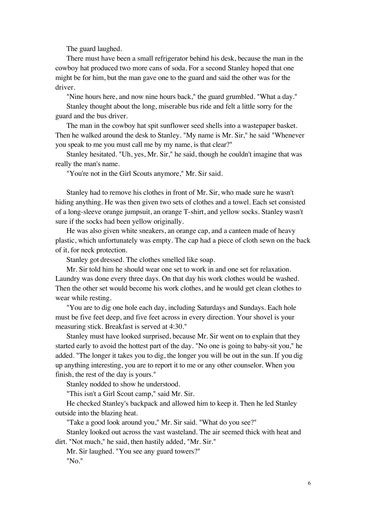The guard laughed.

There must have been a small refrigerator behind his desk, because the man in the cowboy hat produced two more cans of soda. For a second Stanley hoped that one might be for him, but the man gave one to the guard and said the other was for the driver.

"Nine hours here, and now nine hours back," the guard grumbled. "What a day."

Stanley thought about the long, miserable bus ride and felt a little sorry for the guard and the bus driver.

The man in the cowboy hat spit sunflower seed shells into a wastepaper basket. Then he walked around the desk to Stanley. "My name is Mr. Sir," he said "Whenever you speak to me you must call me by my name, is that clear?"

Stanley hesitated. "Uh, yes, Mr. Sir," he said, though he couldn't imagine that was really the man's name.

"You're not in the Girl Scouts anymore," Mr. Sir said.

Stanley had to remove his clothes in front of Mr. Sir, who made sure he wasn't hiding anything. He was then given two sets of clothes and a towel. Each set consisted of a long-sleeve orange jumpsuit, an orange T-shirt, and yellow socks. Stanley wasn't sure if the socks had been yellow originally.

He was also given white sneakers, an orange cap, and a canteen made of heavy plastic, which unfortunately was empty. The cap had a piece of cloth sewn on the back of it, for neck protection.

Stanley got dressed. The clothes smelled like soap.

Mr. Sir told him he should wear one set to work in and one set for relaxation. Laundry was done every three days. On that day his work clothes would be washed. Then the other set would become his work clothes, and he would get clean clothes to wear while resting.

"You are to dig one hole each day, including Saturdays and Sundays. Each hole must be five feet deep, and five feet across in every direction. Your shovel is your measuring stick. Breakfast is served at 4:30."

Stanley must have looked surprised, because Mr. Sir went on to explain that they started early to avoid the hottest part of the day. "No one is going to baby-sit you," he added. "The longer it takes you to dig, the longer you will be out in the sun. If you dig up anything interesting, you are to report it to me or any other counselor. When you finish, the rest of the day is yours."

Stanley nodded to show he understood.

"This isn't a Girl Scout camp," said Mr. Sir.

He checked Stanley's backpack and allowed him to keep it. Then he led Stanley outside into the blazing heat.

"Take a good look around you," Mr. Sir said. "What do you see?"

Stanley looked out across the vast wasteland. The air seemed thick with heat and dirt. "Not much," he said, then hastily added, "Mr. Sir."

Mr. Sir laughed. "You see any guard towers?" "No."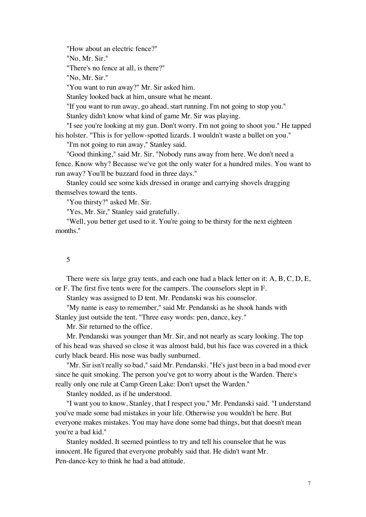"How about an electric fence?"

"No, Mr. Sir."

"There's no fence at all, is there?"

"No, Mr. Sir."

"You want to run away?" Mr. Sir asked him.

Stanley looked back at him, unsure what he meant.

"If you want to run away, go ahead, start running. I'm not going to stop you."

Stanley didn't know what kind of game Mr. Sir was playing.

"I see you're looking at my gun. Don't worry. I'm not going to shoot you." He tapped his holster. "This is for yellow-spotted lizards. I wouldn't waste a bullet on you."

"I'm not going to run away," Stanley said.

"Good thinking," said Mr. Sir. "Nobody runs away from here. We don't need a fence. Know why? Because we've got the only water for a hundred miles. You want to run away? You'll be buzzard food in three days."

Stanley could see some kids dressed in orange and carrying shovels dragging themselves toward the tents.

"You thirsty?" asked Mr. Sir.

"Yes, Mr. Sir," Stanley said gratefully.

"Well, you better get used to it. You're going to be thirsty for the next eighteen months."

### 5

There were six large gray tents, and each one had a black letter on it: A, B, C, D, E, or F. The first five tents were for the campers. The counselors slept in F.

Stanley was assigned to D tent. Mr. Pendanski was his counselor.

"My name is easy to remember," said Mr. Pendanski as he shook hands with Stanley just outside the tent. "Three easy words: pen, dance, key."

Mr. Sir returned to the office.

Mr. Pendanski was younger than Mr. Sir, and not nearly as scary looking. The top of his head was shaved so close it was almost bald, but his face was covered in a thick curly black beard. His nose was badly sunburned.

"Mr. Sir isn't really so bad," said Mr. Pendanski. "He's just been in a bad mood ever since he quit smoking. The person you've got to worry about is the Warden. There's really only one rule at Camp Green Lake: Don't upset the Warden."

Stanley nodded, as if he understood.

"I want you to know, Stanley, that I respect you," Mr. Pendanski said. "I understand you've made some bad mistakes in your life. Otherwise you wouldn't be here. But everyone makes mistakes. You may have done some bad things, but that doesn't mean you're a bad kid."

Stanley nodded. It seemed pointless to try and tell his counselor that he was innocent. He figured that everyone probably said that. He didn't want Mr. Pen-dance-key to think he had a bad attitude.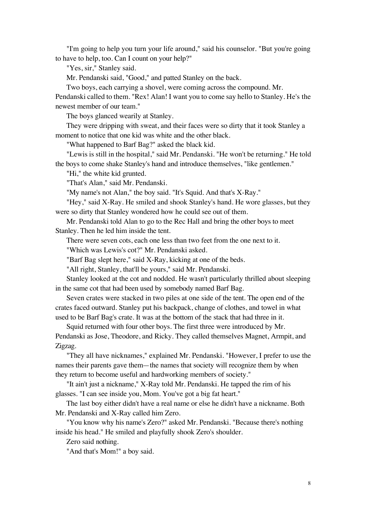"I'm going to help you turn your life around," said his counselor. "But you're going to have to help, too. Can I count on your help?"

"Yes, sir," Stanley said.

Mr. Pendanski said, "Good," and patted Stanley on the back.

Two boys, each carrying a shovel, were coming across the compound. Mr.

Pendanski called to them. "Rex! Alan! I want you to come say hello to Stanley. He's the newest member of our team."

The boys glanced wearily at Stanley.

They were dripping with sweat, and their faces were so dirty that it took Stanley a moment to notice that one kid was white and the other black.

"What happened to Barf Bag?" asked the black kid.

"Lewis is still in the hospital," said Mr. Pendanski. "He won't be returning." He told the boys to come shake Stanley's hand and introduce themselves, "like gentlemen."

"Hi," the white kid grunted.

"That's Alan," said Mr. Pendanski.

"My name's not Alan," the boy said. "It's Squid. And that's X-Ray."

"Hey," said X-Ray. He smiled and shook Stanley's hand. He wore glasses, but they were so dirty that Stanley wondered how he could see out of them.

Mr. Pendanski told Alan to go to the Rec Hall and bring the other boys to meet Stanley. Then he led him inside the tent.

There were seven cots, each one less than two feet from the one next to it.

"Which was Lewis's cot?" Mr. Pendanski asked.

"Barf Bag slept here," said X-Ray, kicking at one of the beds.

"All right, Stanley, that'll be yours," said Mr. Pendanski.

Stanley looked at the cot and nodded. He wasn't particularly thrilled about sleeping in the same cot that had been used by somebody named Barf Bag.

Seven crates were stacked in two piles at one side of the tent. The open end of the crates faced outward. Stanley put his backpack, change of clothes, and towel in what used to be Barf Bag's crate. It was at the bottom of the stack that had three in it.

Squid returned with four other boys. The first three were introduced by Mr. Pendanski as Jose, Theodore, and Ricky. They called themselves Magnet, Armpit, and Zigzag.

"They all have nicknames," explained Mr. Pendanski. "However, I prefer to use the names their parents gave them—the names that society will recognize them by when they return to become useful and hardworking members of society."

"It ain't just a nickname," X-Ray told Mr. Pendanski. He tapped the rim of his glasses. "I can see inside you, Mom. You've got a big fat heart."

The last boy either didn't have a real name or else he didn't have a nickname. Both Mr. Pendanski and X-Ray called him Zero.

"You know why his name's Zero?" asked Mr. Pendanski. "Because there's nothing inside his head." He smiled and playfully shook Zero's shoulder.

Zero said nothing.

"And that's Mom!" a boy said.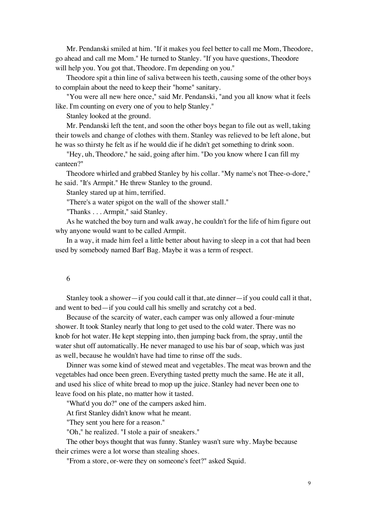Mr. Pendanski smiled at him. "If it makes you feel better to call me Mom, Theodore, go ahead and call me Mom." He turned to Stanley. "If you have questions, Theodore will help you. You got that, Theodore. I'm depending on you."

Theodore spit a thin line of saliva between his teeth, causing some of the other boys to complain about the need to keep their "home" sanitary.

"You were all new here once," said Mr. Pendanski, "and you all know what it feels like. I'm counting on every one of you to help Stanley."

Stanley looked at the ground.

Mr. Pendanski left the tent, and soon the other boys began to file out as well, taking their towels and change of clothes with them. Stanley was relieved to be left alone, but he was so thirsty he felt as if he would die if he didn't get something to drink soon.

"Hey, uh, Theodore," he said, going after him. "Do you know where I can fill my canteen?"

Theodore whirled and grabbed Stanley by his collar. "My name's not Thee-o-dore," he said. "It's Armpit." He threw Stanley to the ground.

Stanley stared up at him, terrified.

"There's a water spigot on the wall of the shower stall."

"Thanks . . . Armpit," said Stanley.

As he watched the boy turn and walk away, he couldn't for the life of him figure out why anyone would want to be called Armpit.

In a way, it made him feel a little better about having to sleep in a cot that had been used by somebody named Barf Bag. Maybe it was a term of respect.

### 6

Stanley took a shower—if you could call it that, ate dinner—if you could call it that, and went to bed—if you could call his smelly and scratchy cot a bed.

Because of the scarcity of water, each camper was only allowed a four-minute shower. It took Stanley nearly that long to get used to the cold water. There was no knob for hot water. He kept stepping into, then jumping back from, the spray, until the water shut off automatically. He never managed to use his bar of soap, which was just as well, because he wouldn't have had time to rinse off the suds.

Dinner was some kind of stewed meat and vegetables. The meat was brown and the vegetables had once been green. Everything tasted pretty much the same. He ate it all, and used his slice of white bread to mop up the juice. Stanley had never been one to leave food on his plate, no matter how it tasted.

"What'd you do?" one of the campers asked him.

At first Stanley didn't know what he meant.

"They sent you here for a reason."

"Oh," he realized. "I stole a pair of sneakers."

The other boys thought that was funny. Stanley wasn't sure why. Maybe because their crimes were a lot worse than stealing shoes.

"From a store, or-were they on someone's feet?" asked Squid.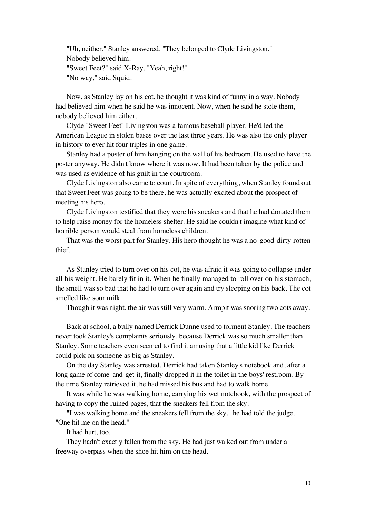"Uh, neither," Stanley answered. "They belonged to Clyde Livingston." Nobody believed him. "Sweet Feet?" said X-Ray. "Yeah, right!" "No way," said Squid.

Now, as Stanley lay on his cot, he thought it was kind of funny in a way. Nobody had believed him when he said he was innocent. Now, when he said he stole them, nobody believed him either.

Clyde "Sweet Feet" Livingston was a famous baseball player. He'd led the American League in stolen bases over the last three years. He was also the only player in history to ever hit four triples in one game.

Stanley had a poster of him hanging on the wall of his bedroom. He used to have the poster anyway. He didn't know where it was now. It had been taken by the police and was used as evidence of his guilt in the courtroom.

Clyde Livingston also came to court. In spite of everything, when Stanley found out that Sweet Feet was going to be there, he was actually excited about the prospect of meeting his hero.

Clyde Livingston testified that they were his sneakers and that he had donated them to help raise money for the homeless shelter. He said he couldn't imagine what kind of horrible person would steal from homeless children.

That was the worst part for Stanley. His hero thought he was a no-good-dirty-rotten thief.

As Stanley tried to turn over on his cot, he was afraid it was going to collapse under all his weight. He barely fit in it. When he finally managed to roll over on his stomach, the smell was so bad that he had to turn over again and try sleeping on his back. The cot smelled like sour milk.

Though it was night, the air was still very warm. Armpit was snoring two cots away.

Back at school, a bully named Derrick Dunne used to torment Stanley. The teachers never took Stanley's complaints seriously, because Derrick was so much smaller than Stanley. Some teachers even seemed to find it amusing that a little kid like Derrick could pick on someone as big as Stanley.

On the day Stanley was arrested, Derrick had taken Stanley's notebook and, after a long game of come-and-get-it, finally dropped it in the toilet in the boys' restroom. By the time Stanley retrieved it, he had missed his bus and had to walk home.

It was while he was walking home, carrying his wet notebook, with the prospect of having to copy the ruined pages, that the sneakers fell from the sky.

"I was walking home and the sneakers fell from the sky," he had told the judge. "One hit me on the head."

It had hurt, too.

They hadn't exactly fallen from the sky. He had just walked out from under a freeway overpass when the shoe hit him on the head.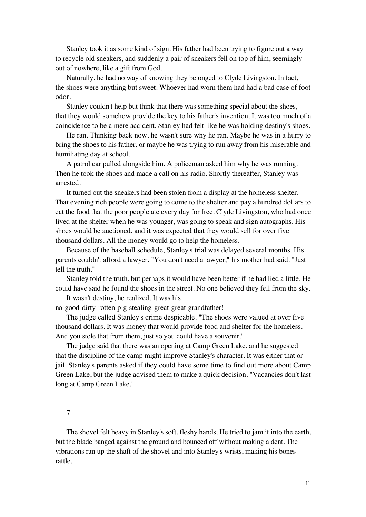Stanley took it as some kind of sign. His father had been trying to figure out a way to recycle old sneakers, and suddenly a pair of sneakers fell on top of him, seemingly out of nowhere, like a gift from God.

Naturally, he had no way of knowing they belonged to Clyde Livingston. In fact, the shoes were anything but sweet. Whoever had worn them had had a bad case of foot odor.

Stanley couldn't help but think that there was something special about the shoes, that they would somehow provide the key to his father's invention. It was too much of a coincidence to be a mere accident. Stanley had felt like he was holding destiny's shoes.

He ran. Thinking back now, he wasn't sure why he ran. Maybe he was in a hurry to bring the shoes to his father, or maybe he was trying to run away from his miserable and humiliating day at school.

A patrol car pulled alongside him. A policeman asked him why he was running. Then he took the shoes and made a call on his radio. Shortly thereafter, Stanley was arrested.

It turned out the sneakers had been stolen from a display at the homeless shelter. That evening rich people were going to come to the shelter and pay a hundred dollars to eat the food that the poor people ate every day for free. Clyde Livingston, who had once lived at the shelter when he was younger, was going to speak and sign autographs. His shoes would be auctioned, and it was expected that they would sell for over five thousand dollars. All the money would go to help the homeless.

Because of the baseball schedule, Stanley's trial was delayed several months. His parents couldn't afford a lawyer. "You don't need a lawyer," his mother had said. "Just tell the truth."

Stanley told the truth, but perhaps it would have been better if he had lied a little. He could have said he found the shoes in the street. No one believed they fell from the sky.

It wasn't destiny, he realized. It was his no-good-dirty-rotten-pig-stealing-great-great-grandfather!

The judge called Stanley's crime despicable. "The shoes were valued at over five thousand dollars. It was money that would provide food and shelter for the homeless. And you stole that from them, just so you could have a souvenir."

The judge said that there was an opening at Camp Green Lake, and he suggested that the discipline of the camp might improve Stanley's character. It was either that or jail. Stanley's parents asked if they could have some time to find out more about Camp Green Lake, but the judge advised them to make a quick decision. "Vacancies don't last long at Camp Green Lake."

## 7

The shovel felt heavy in Stanley's soft, fleshy hands. He tried to jam it into the earth, but the blade banged against the ground and bounced off without making a dent. The vibrations ran up the shaft of the shovel and into Stanley's wrists, making his bones rattle.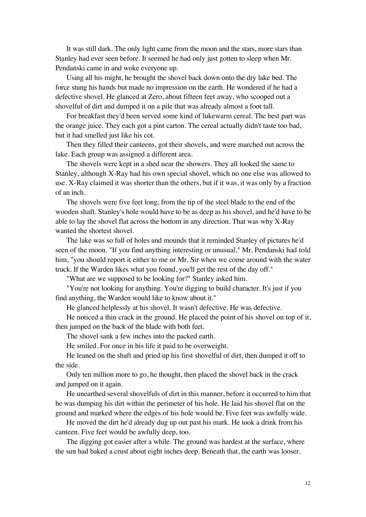It was still dark. The only light came from the moon and the stars, more stars than Stanley had ever seen before. It seemed he had only just gotten to sleep when Mr. Pendanski came in and woke everyone up.

Using all his might, he brought the shovel back down onto the dry lake bed. The force stung his hands but made no impression on the earth. He wondered if he had a defective shovel. He glanced at Zero, about fifteen feet away, who scooped out a shovelful of dirt and dumped it on a pile that was already almost a foot tall.

For breakfast they'd been served some kind of lukewarm cereal. The best part was the orange juice. They each got a pint carton. The cereal actually didn't taste too bad, but it had smelled just like his cot.

Then they filled their canteens, got their shovels, and were marched out across the lake. Each group was assigned a different area.

The shovels were kept in a shed near the showers. They all looked the same to Stanley, although X-Ray had his own special shovel, which no one else was allowed to use. X-Ray claimed it was shorter than the others, but if it was, it was only by a fraction of an inch.

The shovels were five feet long, from the tip of the steel blade to the end of the wooden shaft. Stanley's hole would have to be as deep as his shovel, and he'd have to be able to lay the shovel flat across the bottom in any direction. That was why X-Ray wanted the shortest shovel.

The lake was so full of holes and mounds that it reminded Stanley of pictures he'd seen of the moon. "If you find anything interesting or unusual," Mr. Pendanski had told him, "you should report it either to me or Mr. Sir when we come around with the water truck. If the Warden likes what you found, you'll get the rest of the day off."

"What are we supposed to be looking for?" Stanley asked him.

"You're not looking for anything. You're digging to build character. It's just if you find anything, the Warden would like to know about it."

He glanced helplessly at his shovel. It wasn't defective. He was defective.

He noticed a thin crack in the ground. He placed the point of his shovel on top of it, then jumped on the back of the blade with both feet.

The shovel sank a few inches into the packed earth.

He smiled. For once in his life it paid to be overweight.

He leaned on the shaft and pried up his first shovelful of dirt, then dumped it off to the side.

Only ten million more to go, he thought, then placed the shovel back in the crack and jumped on it again.

He unearthed several shovelfuls of dirt in this manner, before it occurred to him that he was dumping his dirt within the perimeter of his hole. He laid his shovel flat on the ground and marked where the edges of his hole would be. Five feet was awfully wide.

He moved the dirt he'd already dug up out past his mark. He took a drink from his canteen. Five feet would be awfully deep, too.

The digging got easier after a while. The ground was hardest at the surface, where the sun had baked a crust about eight inches deep. Beneath that, the earth was looser.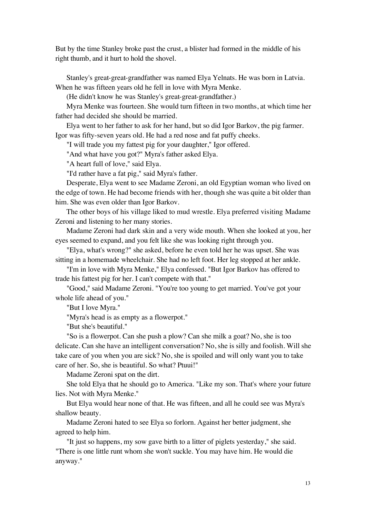But by the time Stanley broke past the crust, a blister had formed in the middle of his right thumb, and it hurt to hold the shovel.

Stanley's great-great-grandfather was named Elya Yelnats. He was born in Latvia. When he was fifteen years old he fell in love with Myra Menke.

(He didn't know he was Stanley's great-great-grandfather.)

Myra Menke was fourteen. She would turn fifteen in two months, at which time her father had decided she should be married.

Elya went to her father to ask for her hand, but so did Igor Barkov, the pig farmer. Igor was fifty-seven years old. He had a red nose and fat puffy cheeks.

"I will trade you my fattest pig for your daughter," Igor offered.

"And what have you got?" Myra's father asked Elya.

"A heart full of love," said Elya.

"I'd rather have a fat pig," said Myra's father.

Desperate, Elya went to see Madame Zeroni, an old Egyptian woman who lived on the edge of town. He had become friends with her, though she was quite a bit older than him. She was even older than Igor Barkov.

The other boys of his village liked to mud wrestle. Elya preferred visiting Madame Zeroni and listening to her many stories.

Madame Zeroni had dark skin and a very wide mouth. When she looked at you, her eyes seemed to expand, and you felt like she was looking right through you.

"Elya, what's wrong?" she asked, before he even told her he was upset. She was sitting in a homemade wheelchair. She had no left foot. Her leg stopped at her ankle.

"I'm in love with Myra Menke," Elya confessed. "But Igor Barkov has offered to trade his fattest pig for her. I can't compete with that."

"Good," said Madame Zeroni. "You're too young to get married. You've got your whole life ahead of you."

"But I love Myra."

"Myra's head is as empty as a flowerpot."

"But she's beautiful."

"So is a flowerpot. Can she push a plow? Can she milk a goat? No, she is too delicate. Can she have an intelligent conversation? No, she is silly and foolish. Will she take care of you when you are sick? No, she is spoiled and will only want you to take care of her. So, she is beautiful. So what? Ptuui!"

Madame Zeroni spat on the dirt.

She told Elya that he should go to America. "Like my son. That's where your future lies. Not with Myra Menke."

But Elya would hear none of that. He was fifteen, and all he could see was Myra's shallow beauty.

Madame Zeroni hated to see Elya so forlorn. Against her better judgment, she agreed to help him.

"It just so happens, my sow gave birth to a litter of piglets yesterday," she said. "There is one little runt whom she won't suckle. You may have him. He would die anyway."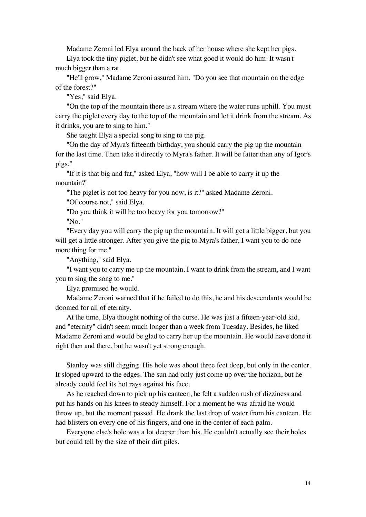Madame Zeroni led Elya around the back of her house where she kept her pigs.

Elya took the tiny piglet, but he didn't see what good it would do him. It wasn't much bigger than a rat.

"He'll grow," Madame Zeroni assured him. "Do you see that mountain on the edge of the forest?"

"Yes," said Elya.

"On the top of the mountain there is a stream where the water runs uphill. You must carry the piglet every day to the top of the mountain and let it drink from the stream. As it drinks, you are to sing to him."

She taught Elya a special song to sing to the pig.

"On the day of Myra's fifteenth birthday, you should carry the pig up the mountain for the last time. Then take it directly to Myra's father. It will be fatter than any of Igor's pigs."

"If it is that big and fat," asked Elya, "how will I be able to carry it up the mountain?"

"The piglet is not too heavy for you now, is it?" asked Madame Zeroni.

"Of course not," said Elya.

"Do you think it will be too heavy for you tomorrow?"

"No."

"Every day you will carry the pig up the mountain. It will get a little bigger, but you will get a little stronger. After you give the pig to Myra's father, I want you to do one more thing for me."

"Anything," said Elya.

"I want you to carry me up the mountain. I want to drink from the stream, and I want you to sing the song to me."

Elya promised he would.

Madame Zeroni warned that if he failed to do this, he and his descendants would be doomed for all of eternity.

At the time, Elya thought nothing of the curse. He was just a fifteen-year-old kid, and "eternity" didn't seem much longer than a week from Tuesday. Besides, he liked Madame Zeroni and would be glad to carry her up the mountain. He would have done it right then and there, but he wasn't yet strong enough.

Stanley was still digging. His hole was about three feet deep, but only in the center. It sloped upward to the edges. The sun had only just come up over the horizon, but he already could feel its hot rays against his face.

As he reached down to pick up his canteen, he felt a sudden rush of dizziness and put his hands on his knees to steady himself. For a moment he was afraid he would throw up, but the moment passed. He drank the last drop of water from his canteen. He had blisters on every one of his fingers, and one in the center of each palm.

Everyone else's hole was a lot deeper than his. He couldn't actually see their holes but could tell by the size of their dirt piles.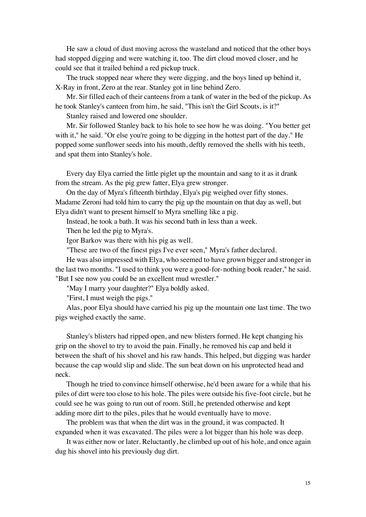He saw a cloud of dust moving across the wasteland and noticed that the other boys had stopped digging and were watching it, too. The dirt cloud moved closer, and he could see that it trailed behind a red pickup truck.

The truck stopped near where they were digging, and the boys lined up behind it, X-Ray in front, Zero at the rear. Stanley got in line behind Zero.

Mr. Sir filled each of their canteens from a tank of water in the bed of the pickup. As he took Stanley's canteen from him, he said, "This isn't the Girl Scouts, is it?"

Stanley raised and lowered one shoulder.

Mr. Sir followed Stanley back to his hole to see how he was doing. "You better get with it," he said. "Or else you're going to be digging in the hottest part of the day." He popped some sunflower seeds into his mouth, deftly removed the shells with his teeth, and spat them into Stanley's hole.

Every day Elya carried the little piglet up the mountain and sang to it as it drank from the stream. As the pig grew fatter, Elya grew stronger.

On the day of Myra's fifteenth birthday, Elya's pig weighed over fifty stones. Madame Zeroni had told him to carry the pig up the mountain on that day as well, but Elya didn't want to present himself to Myra smelling like a pig.

Instead, he took a bath. It was his second bath in less than a week.

Then he led the pig to Myra's.

Igor Barkov was there with his pig as well.

"These are two of the finest pigs I've ever seen," Myra's father declared.

He was also impressed with Elya, who seemed to have grown bigger and stronger in the last two months. "I used to think you were a good-for-nothing book reader," he said. "But I see now you could be an excellent mud wrestler."

"May I marry your daughter?" Elya boldly asked.

"First, I must weigh the pigs."

Alas, poor Elya should have carried his pig up the mountain one last time. The two pigs weighed exactly the same.

Stanley's blisters had ripped open, and new blisters formed. He kept changing his grip on the shovel to try to avoid the pain. Finally, he removed his cap and held it between the shaft of his shovel and his raw hands. This helped, but digging was harder because the cap would slip and slide. The sun beat down on his unprotected head and neck.

Though he tried to convince himself otherwise, he'd been aware for a while that his piles of dirt were too close to his hole. The piles were outside his five-foot circle, but he could see he was going to run out of room. Still, he pretended otherwise and kept adding more dirt to the piles, piles that he would eventually have to move.

The problem was that when the dirt was in the ground, it was compacted. It expanded when it was excavated. The piles were a lot bigger than his hole was deep.

It was either now or later. Reluctantly, he climbed up out of his hole, and once again dug his shovel into his previously dug dirt.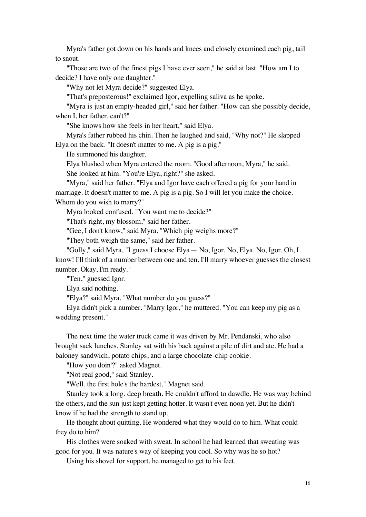Myra's father got down on his hands and knees and closely examined each pig, tail to snout.

"Those are two of the finest pigs I have ever seen," he said at last. "How am I to decide? I have only one daughter."

"Why not let Myra decide?" suggested Elya.

"That's preposterous!" exclaimed Igor, expelling saliva as he spoke.

"Myra is just an empty-headed girl," said her father. "How can she possibly decide, when I, her father, can't?"

"She knows how she feels in her heart," said Elya.

Myra's father rubbed his chin. Then he laughed and said, "Why not?" He slapped Elya on the back. "It doesn't matter to me. A pig is a pig."

He summoned his daughter.

Elya blushed when Myra entered the room. "Good afternoon, Myra," he said. She looked at him. "You're Elya, right?" she asked.

"Myra," said her father. "Elya and Igor have each offered a pig for your hand in marriage. It doesn't matter to me. A pig is a pig. So I will let you make the choice. Whom do you wish to marry?"

Myra looked confused. "You want me to decide?"

"That's right, my blossom," said her father.

"Gee, I don't know," said Myra. "Which pig weighs more?"

"They both weigh the same," said her father.

"Golly," said Myra, "I guess I choose Elya— No, Igor. No, Elya. No, Igor. Oh, I know! I'll think of a number between one and ten. I'll marry whoever guesses the closest number. Okay, I'm ready."

"Ten," guessed Igor.

Elya said nothing.

"Elya?" said Myra. "What number do you guess?"

Elya didn't pick a number. "Marry Igor," he muttered. "You can keep my pig as a wedding present."

The next time the water truck came it was driven by Mr. Pendanski, who also brought sack lunches. Stanley sat with his back against a pile of dirt and ate. He had a baloney sandwich, potato chips, and a large chocolate-chip cookie.

"How you doin'?" asked Magnet.

"Not real good," said Stanley.

"Well, the first hole's the hardest," Magnet said.

Stanley took a long, deep breath. He couldn't afford to dawdle. He was way behind the others, and the sun just kept getting hotter. It wasn't even noon yet. But he didn't know if he had the strength to stand up.

He thought about quitting. He wondered what they would do to him. What could they do to him?

His clothes were soaked with sweat. In school he had learned that sweating was good for you. It was nature's way of keeping you cool. So why was he so hot?

Using his shovel for support, he managed to get to his feet.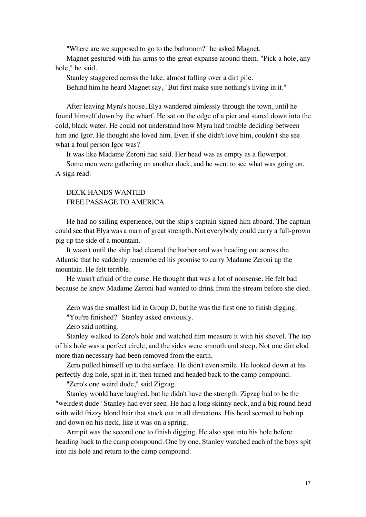"Where are we supposed to go to the bathroom?" he asked Magnet.

Magnet gestured with his arms to the great expanse around them. "Pick a hole, any hole," he said.

Stanley staggered across the lake, almost falling over a dirt pile. Behind him he heard Magnet say, "But first make sure nothing's living in it."

After leaving Myra's house, Elya wandered aimlessly through the town, until he found himself down by the wharf. He sat on the edge of a pier and stared down into the cold, black water. He could not understand how Myra had trouble deciding between him and Igor. He thought she loved him. Even if she didn't love him, couldn't she see what a foul person Igor was?

It was like Madame Zeroni had said. Her head was as empty as a flowerpot.

Some men were gathering on another dock, and he went to see what was going on. A sign read:

## DECK HANDS WANTED FREE PASSAGE TO AMERICA

He had no sailing experience, but the ship's captain signed him aboard. The captain could see that Elya was a ma n of great strength. Not everybody could carry a full-grown pig up the side of a mountain.

It wasn't until the ship had cleared the harbor and was heading out across the Atlantic that he suddenly remembered his promise to carry Madame Zeroni up the mountain. He felt terrible.

He wasn't afraid of the curse. He thought that was a lot of nonsense. He felt bad because he knew Madame Zeroni had wanted to drink from the stream before she died.

Zero was the smallest kid in Group D, but he was the first one to finish digging.

"You're finished?" Stanley asked enviously.

Zero said nothing.

Stanley walked to Zero's hole and watched him measure it with his shovel. The top of his hole was a perfect circle, and the sides were smooth and steep. Not one dirt clod more than necessary had been removed from the earth.

Zero pulled himself up to the surface. He didn't even smile. He looked down at his perfectly dug hole, spat in it, then turned and headed back to the camp compound.

"Zero's one weird dude," said Zigzag.

Stanley would have laughed, but he didn't have the strength. Zigzag had to be the "weirdest dude" Stanley had ever seen. He had a long skinny neck, and a big round head with wild frizzy blond hair that stuck out in all directions. His head seemed to bob up and down on his neck, like it was on a spring.

Armpit was the second one to finish digging. He also spat into his hole before heading back to the camp compound. One by one, Stanley watched each of the boys spit into his hole and return to the camp compound.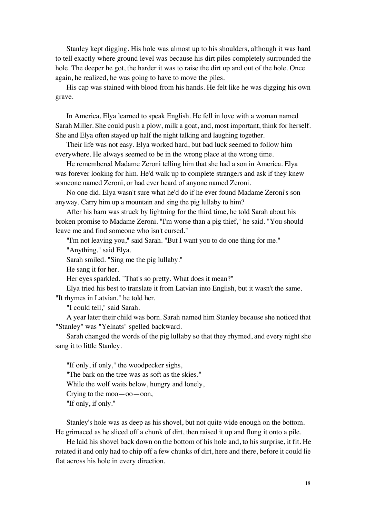Stanley kept digging. His hole was almost up to his shoulders, although it was hard to tell exactly where ground level was because his dirt piles completely surrounded the hole. The deeper he got, the harder it was to raise the dirt up and out of the hole. Once again, he realized, he was going to have to move the piles.

His cap was stained with blood from his hands. He felt like he was digging his own grave.

In America, Elya learned to speak English. He fell in love with a woman named Sarah Miller. She could push a plow, milk a goat, and, most important, think for herself. She and Elya often stayed up half the night talking and laughing together.

Their life was not easy. Elya worked hard, but bad luck seemed to follow him everywhere. He always seemed to be in the wrong place at the wrong time.

He remembered Madame Zeroni telling him that she had a son in America. Elya was forever looking for him. He'd walk up to complete strangers and ask if they knew someone named Zeroni, or had ever heard of anyone named Zeroni.

No one did. Elya wasn't sure what he'd do if he ever found Madame Zeroni's son anyway. Carry him up a mountain and sing the pig lullaby to him?

After his barn was struck by lightning for the third time, he told Sarah about his broken promise to Madame Zeroni. "I'm worse than a pig thief," he said. "You should leave me and find someone who isn't cursed."

"I'm not leaving you," said Sarah. "But I want you to do one thing for me."

"Anything," said Elya.

Sarah smiled. "Sing me the pig lullaby."

He sang it for her.

Her eyes sparkled. "That's so pretty. What does it mean?"

Elya tried his best to translate it from Latvian into English, but it wasn't the same.

"It rhymes in Latvian," he told her.

"I could tell," said Sarah.

A year later their child was born. Sarah named him Stanley because she noticed that "Stanley" was "Yelnats" spelled backward.

Sarah changed the words of the pig lullaby so that they rhymed, and every night she sang it to little Stanley.

"If only, if only," the woodpecker sighs, "The bark on the tree was as soft as the skies." While the wolf waits below, hungry and lonely, Crying to the moo—oo—oon, "If only, if only."

Stanley's hole was as deep as his shovel, but not quite wide enough on the bottom. He grimaced as he sliced off a chunk of dirt, then raised it up and flung it onto a pile.

He laid his shovel back down on the bottom of his hole and, to his surprise, it fit. He rotated it and only had to chip off a few chunks of dirt, here and there, before it could lie flat across his hole in every direction.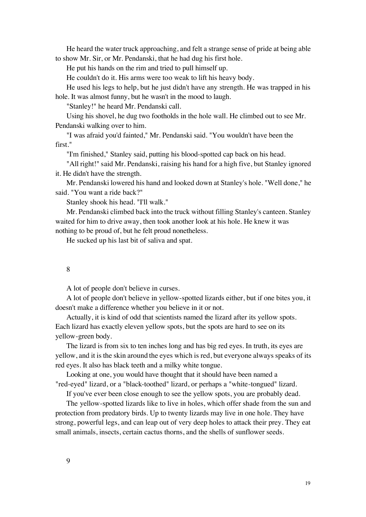He heard the water truck approaching, and felt a strange sense of pride at being able to show Mr. Sir, or Mr. Pendanski, that he had dug his first hole.

He put his hands on the rim and tried to pull himself up.

He couldn't do it. His arms were too weak to lift his heavy body.

He used his legs to help, but he just didn't have any strength. He was trapped in his hole. It was almost funny, but he wasn't in the mood to laugh.

"Stanley!" he heard Mr. Pendanski call.

Using his shovel, he dug two footholds in the hole wall. He climbed out to see Mr. Pendanski walking over to him.

"I was afraid you'd fainted," Mr. Pendanski said. "You wouldn't have been the first."

"I'm finished," Stanley said, putting his blood-spotted cap back on his head.

"All right!" said Mr. Pendanski, raising his hand for a high five, but Stanley ignored it. He didn't have the strength.

Mr. Pendanski lowered his hand and looked down at Stanley's hole. "Well done," he said. "You want a ride back?"

Stanley shook his head. "I'll walk."

Mr. Pendanski climbed back into the truck without filling Stanley's canteen. Stanley waited for him to drive away, then took another look at his hole. He knew it was nothing to be proud of, but he felt proud nonetheless.

He sucked up his last bit of saliva and spat.

#### 8

A lot of people don't believe in curses.

A lot of people don't believe in yellow-spotted lizards either, but if one bites you, it doesn't make a difference whether you believe in it or not.

Actually, it is kind of odd that scientists named the lizard after its yellow spots. Each lizard has exactly eleven yellow spots, but the spots are hard to see on its yellow-green body.

The lizard is from six to ten inches long and has big red eyes. In truth, its eyes are yellow, and it is the skin around the eyes which is red, but everyone always speaks of its red eyes. It also has black teeth and a milky white tongue.

Looking at one, you would have thought that it should have been named a "red-eyed" lizard, or a "black-toothed" lizard, or perhaps a "white-tongued" lizard.

If you've ever been close enough to see the yellow spots, you are probably dead.

The yellow-spotted lizards like to live in holes, which offer shade from the sun and protection from predatory birds. Up to twenty lizards may live in one hole. They have strong, powerful legs, and can leap out of very deep holes to attack their prey. They eat small animals, insects, certain cactus thorns, and the shells of sunflower seeds.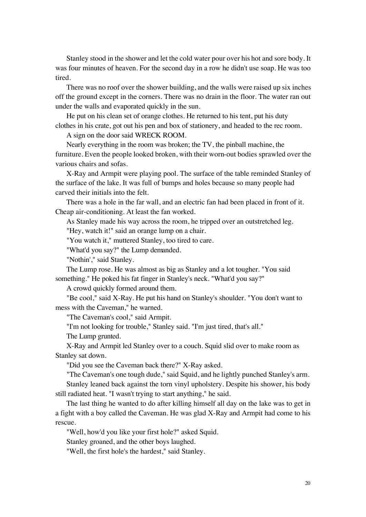Stanley stood in the shower and let the cold water pour over his hot and sore body. It was four minutes of heaven. For the second day in a row he didn't use soap. He was too tired.

There was no roof over the shower building, and the walls were raised up six inches off the ground except in the corners. There was no drain in the floor. The water ran out under the walls and evaporated quickly in the sun.

He put on his clean set of orange clothes. He returned to his tent, put his duty clothes in his crate, got out his pen and box of stationery, and headed to the rec room.

A sign on the door said WRECK ROOM.

Nearly everything in the room was broken; the TV, the pinball machine, the furniture. Even the people looked broken, with their worn-out bodies sprawled over the various chairs and sofas.

X-Ray and Armpit were playing pool. The surface of the table reminded Stanley of the surface of the lake. It was full of bumps and holes because so many people had carved their initials into the felt.

There was a hole in the far wall, and an electric fan had been placed in front of it. Cheap air-conditioning. At least the fan worked.

As Stanley made his way across the room, he tripped over an outstretched leg.

"Hey, watch it!" said an orange lump on a chair.

"You watch it," muttered Stanley, too tired to care.

"What'd you say?" the Lump demanded.

"Nothin'," said Stanley.

The Lump rose. He was almost as big as Stanley and a lot tougher. "You said something." He poked his fat finger in Stanley's neck. "What'd you say?"

A crowd quickly formed around them.

"Be cool," said X-Ray. He put his hand on Stanley's shoulder. "You don't want to mess with the Caveman," he warned.

"The Caveman's cool," said Armpit.

"I'm not looking for trouble," Stanley said. "I'm just tired, that's all."

The Lump grunted.

X-Ray and Armpit led Stanley over to a couch. Squid slid over to make room as Stanley sat down.

"Did you see the Caveman back there?" X-Ray asked.

"The Caveman's one tough dude," said Squid, and he lightly punched Stanley's arm. Stanley leaned back against the torn vinyl upholstery. Despite his shower, his body still radiated heat. "I wasn't trying to start anything," he said.

The last thing he wanted to do after killing himself all day on the lake was to get in a fight with a boy called the Caveman. He was glad X-Ray and Armpit had come to his rescue.

"Well, how'd you like your first hole?" asked Squid.

Stanley groaned, and the other boys laughed.

"Well, the first hole's the hardest," said Stanley.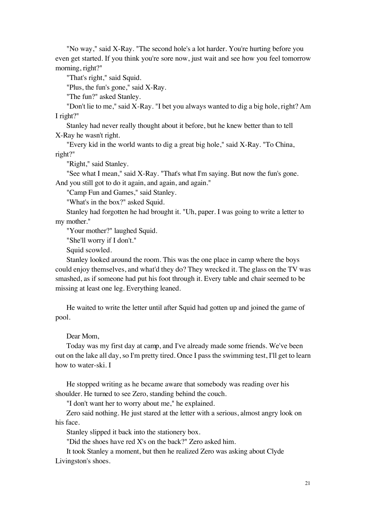"No way," said X-Ray. "The second hole's a lot harder. You're hurting before you even get started. If you think you're sore now, just wait and see how you feel tomorrow morning, right?"

"That's right," said Squid.

"Plus, the fun's gone," said X-Ray.

"The fun?" asked Stanley.

"Don't lie to me," said X-Ray. "I bet you always wanted to dig a big hole, right? Am I right?"

Stanley had never really thought about it before, but he knew better than to tell X-Ray he wasn't right.

"Every kid in the world wants to dig a great big hole," said X-Ray. "To China, right?"

"Right," said Stanley.

"See what I mean," said X-Ray. "That's what I'm saying. But now the fun's gone. And you still got to do it again, and again, and again."

"Camp Fun and Games," said Stanley.

"What's in the box?" asked Squid.

Stanley had forgotten he had brought it. "Uh, paper. I was going to write a letter to my mother."

"Your mother?" laughed Squid.

"She'll worry if I don't."

Squid scowled.

Stanley looked around the room. This was the one place in camp where the boys could enjoy themselves, and what'd they do? They wrecked it. The glass on the TV was smashed, as if someone had put his foot through it. Every table and chair seemed to be missing at least one leg. Everything leaned.

He waited to write the letter until after Squid had gotten up and joined the game of pool.

Dear Mom,

Today was my first day at camp, and I've already made some friends. We've been out on the lake all day, so I'm pretty tired. Once I pass the swimming test, I'll get to learn how to water-ski. I

He stopped writing as he became aware that somebody was reading over his shoulder. He turned to see Zero, standing behind the couch.

"I don't want her to worry about me," he explained.

Zero said nothing. He just stared at the letter with a serious, almost angry look on his face.

Stanley slipped it back into the stationery box.

"Did the shoes have red X's on the back?" Zero asked him.

It took Stanley a moment, but then he realized Zero was asking about Clyde Livingston's shoes.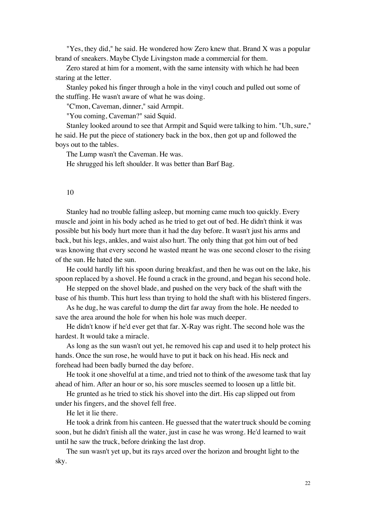"Yes, they did," he said. He wondered how Zero knew that. Brand X was a popular brand of sneakers. Maybe Clyde Livingston made a commercial for them.

Zero stared at him for a moment, with the same intensity with which he had been staring at the letter.

Stanley poked his finger through a hole in the vinyl couch and pulled out some of the stuffing. He wasn't aware of what he was doing.

"C'mon, Caveman, dinner," said Armpit.

"You coming, Caveman?" said Squid.

Stanley looked around to see that Armpit and Squid were talking to him. "Uh, sure," he said. He put the piece of stationery back in the box, then got up and followed the boys out to the tables.

The Lump wasn't the Caveman. He was.

He shrugged his left shoulder. It was better than Barf Bag.

#### 10

Stanley had no trouble falling asleep, but morning came much too quickly. Every muscle and joint in his body ached as he tried to get out of bed. He didn't think it was possible but his body hurt more than it had the day before. It wasn't just his arms and back, but his legs, ankles, and waist also hurt. The only thing that got him out of bed was knowing that every second he wasted meant he was one second closer to the rising of the sun. He hated the sun.

He could hardly lift his spoon during breakfast, and then he was out on the lake, his spoon replaced by a shovel. He found a crack in the ground, and began his second hole.

He stepped on the shovel blade, and pushed on the very back of the shaft with the base of his thumb. This hurt less than trying to hold the shaft with his blistered fingers.

As he dug, he was careful to dump the dirt far away from the hole. He needed to save the area around the hole for when his hole was much deeper.

He didn't know if he'd ever get that far. X-Ray was right. The second hole was the hardest. It would take a miracle.

As long as the sun wasn't out yet, he removed his cap and used it to help protect his hands. Once the sun rose, he would have to put it back on his head. His neck and forehead had been badly burned the day before.

He took it one shovelful at a time, and tried not to think of the awesome task that lay ahead of him. After an hour or so, his sore muscles seemed to loosen up a little bit.

He grunted as he tried to stick his shovel into the dirt. His cap slipped out from under his fingers, and the shovel fell free.

He let it lie there.

He took a drink from his canteen. He guessed that the water truck should be coming soon, but he didn't finish all the water, just in case he was wrong. He'd learned to wait until he saw the truck, before drinking the last drop.

The sun wasn't yet up, but its rays arced over the horizon and brought light to the sky.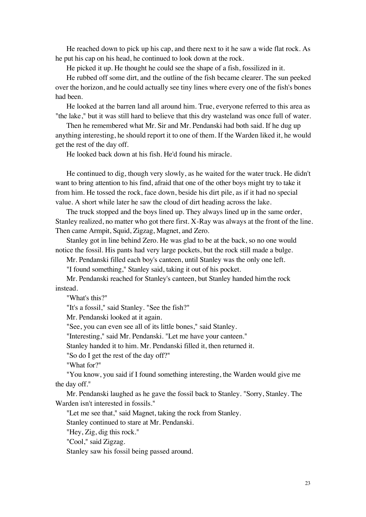He reached down to pick up his cap, and there next to it he saw a wide flat rock. As he put his cap on his head, he continued to look down at the rock.

He picked it up. He thought he could see the shape of a fish, fossilized in it.

He rubbed off some dirt, and the outline of the fish became clearer. The sun peeked over the horizon, and he could actually see tiny lines where every one of the fish's bones had been.

He looked at the barren land all around him. True, everyone referred to this area as "the lake," but it was still hard to believe that this dry wasteland was once full of water.

Then he remembered what Mr. Sir and Mr. Pendanski had both said. If he dug up anything interesting, he should report it to one of them. If the Warden liked it, he would get the rest of the day off.

He looked back down at his fish. He'd found his miracle.

He continued to dig, though very slowly, as he waited for the water truck. He didn't want to bring attention to his find, afraid that one of the other boys might try to take it from him. He tossed the rock, face down, beside his dirt pile, as if it had no special value. A short while later he saw the cloud of dirt heading across the lake.

The truck stopped and the boys lined up. They always lined up in the same order, Stanley realized, no matter who got there first. X-Ray was always at the front of the line. Then came Armpit, Squid, Zigzag, Magnet, and Zero.

Stanley got in line behind Zero. He was glad to be at the back, so no one would notice the fossil. His pants had very large pockets, but the rock still made a bulge.

Mr. Pendanski filled each boy's canteen, until Stanley was the only one left.

"I found something," Stanley said, taking it out of his pocket.

Mr. Pendanski reached for Stanley's canteen, but Stanley handed him the rock instead.

"What's this?"

"It's a fossil," said Stanley. "See the fish?"

Mr. Pendanski looked at it again.

"See, you can even see all of its little bones," said Stanley.

"Interesting," said Mr. Pendanski. "Let me have your canteen."

Stanley handed it to him. Mr. Pendanski filled it, then returned it.

"So do I get the rest of the day off?"

"What for?"

"You know, you said if I found something interesting, the Warden would give me the day off."

Mr. Pendanski laughed as he gave the fossil back to Stanley. "Sorry, Stanley. The Warden isn't interested in fossils."

"Let me see that," said Magnet, taking the rock from Stanley.

Stanley continued to stare at Mr. Pendanski.

"Hey, Zig, dig this rock."

"Cool," said Zigzag.

Stanley saw his fossil being passed around.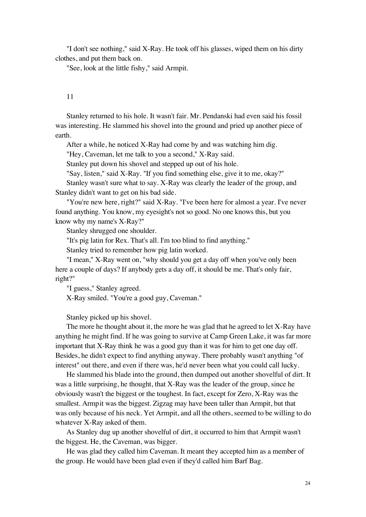"I don't see nothing," said X-Ray. He took off his glasses, wiped them on his dirty clothes, and put them back on.

"See, look at the little fishy," said Armpit.

#### 11

Stanley returned to his hole. It wasn't fair. Mr. Pendanski had even said his fossil was interesting. He slammed his shovel into the ground and pried up another piece of earth.

After a while, he noticed X-Ray had come by and was watching him dig.

"Hey, Caveman, let me talk to you a second," X-Ray said.

Stanley put down his shovel and stepped up out of his hole.

"Say, listen," said X-Ray. "If you find something else, give it to me, okay?"

Stanley wasn't sure what to say. X-Ray was clearly the leader of the group, and Stanley didn't want to get on his bad side.

"You're new here, right?" said X-Ray. "I've been here for almost a year. I've never found anything. You know, my eyesight's not so good. No one knows this, but you know why my name's X-Ray?"

Stanley shrugged one shoulder.

"It's pig latin for Rex. That's all. I'm too blind to find anything."

Stanley tried to remember how pig latin worked.

"I mean," X-Ray went on, "why should you get a day off when you've only been here a couple of days? If anybody gets a day off, it should be me. That's only fair, right?"

"I guess," Stanley agreed.

X-Ray smiled. "You're a good guy, Caveman."

Stanley picked up his shovel.

The more he thought about it, the more he was glad that he agreed to let X-Ray have anything he might find. If he was going to survive at Camp Green Lake, it was far more important that X-Ray think he was a good guy than it was for him to get one day off. Besides, he didn't expect to find anything anyway. There probably wasn't anything "of interest" out there, and even if there was, he'd never been what you could call lucky.

He slammed his blade into the ground, then dumped out another shovelful of dirt. It was a little surprising, he thought, that X-Ray was the leader of the group, since he obviously wasn't the biggest or the toughest. In fact, except for Zero, X-Ray was the smallest. Armpit was the biggest. Zigzag may have been taller than Armpit, but that was only because of his neck. Yet Armpit, and all the others, seemed to be willing to do whatever X-Ray asked of them.

As Stanley dug up another shovelful of dirt, it occurred to him that Armpit wasn't the biggest. He, the Caveman, was bigger.

He was glad they called him Caveman. It meant they accepted him as a member of the group. He would have been glad even if they'd called him Barf Bag.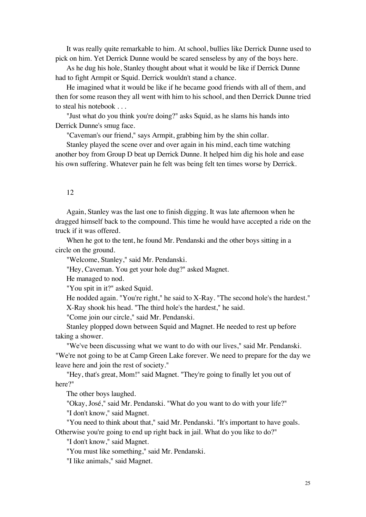It was really quite remarkable to him. At school, bullies like Derrick Dunne used to pick on him. Yet Derrick Dunne would be scared senseless by any of the boys here.

As he dug his hole, Stanley thought about what it would be like if Derrick Dunne had to fight Armpit or Squid. Derrick wouldn't stand a chance.

He imagined what it would be like if he became good friends with all of them, and then for some reason they all went with him to his school, and then Derrick Dunne tried to steal his notebook . . .

"Just what do you think you're doing?" asks Squid, as he slams his hands into Derrick Dunne's smug face.

"Caveman's our friend," says Armpit, grabbing him by the shin collar.

Stanley played the scene over and over again in his mind, each time watching another boy from Group D beat up Derrick Dunne. It helped him dig his hole and ease his own suffering. Whatever pain he felt was being felt ten times worse by Derrick.

## 12

Again, Stanley was the last one to finish digging. It was late afternoon when he dragged himself back to the compound. This time he would have accepted a ride on the truck if it was offered.

When he got to the tent, he found Mr. Pendanski and the other boys sitting in a circle on the ground.

"Welcome, Stanley," said Mr. Pendanski.

"Hey, Caveman. You get your hole dug?" asked Magnet.

He managed to nod.

"You spit in it?" asked Squid.

He nodded again. "You're right," he said to X-Ray. "The second hole's the hardest." X-Ray shook his head. "The third hole's the hardest," he said.

"Come join our circle," said Mr. Pendanski.

Stanley plopped down between Squid and Magnet. He needed to rest up before taking a shower.

"We've been discussing what we want to do with our lives," said Mr. Pendanski. "We're not going to be at Camp Green Lake forever. We need to prepare for the day we leave here and join the rest of society."

"Hey, that's great, Mom!" said Magnet. "They're going to finally let you out of here?"

The other boys laughed.

"Okay, José," said Mr. Pendanski. "What do you want to do with your life?" "I don't know," said Magnet.

"You need to think about that," said Mr. Pendanski. "It's important to have goals. Otherwise you're going to end up right back in jail. What do you like to do?"

"I don't know," said Magnet.

"You must like something," said Mr. Pendanski.

"I like animals," said Magnet.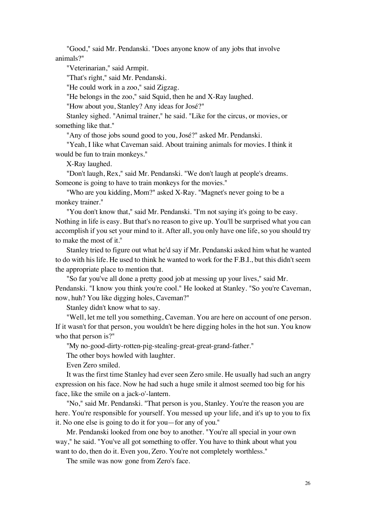"Good," said Mr. Pendanski. "Does anyone know of any jobs that involve animals?"

"Veterinarian," said Armpit.

"That's right," said Mr. Pendanski.

"He could work in a zoo," said Zigzag.

"He belongs in the zoo," said Squid, then he and X-Ray laughed.

"How about you, Stanley? Any ideas for José?"

Stanley sighed. "Animal trainer," he said. "Like for the circus, or movies, or something like that."

"Any of those jobs sound good to you, José?" asked Mr. Pendanski.

"Yeah, I like what Caveman said. About training animals for movies. I think it would be fun to train monkeys."

X-Ray laughed.

"Don't laugh, Rex," said Mr. Pendanski. "We don't laugh at people's dreams. Someone is going to have to train monkeys for the movies."

"Who are you kidding, Mom?" asked X-Ray. "Magnet's never going to be a monkey trainer."

"You don't know that," said Mr. Pendanski. "I'm not saying it's going to be easy. Nothing in life is easy. But that's no reason to give up. You'll be surprised what you can accomplish if you set your mind to it. After all, you only have one life, so you should try to make the most of it.''

Stanley tried to figure out what he'd say if Mr. Pendanski asked him what he wanted to do with his life. He used to think he wanted to work for the F.B.I., but this didn't seem the appropriate place to mention that.

"So far you've all done a pretty good job at messing up your lives," said Mr. Pendanski. "I know you think you're cool." He looked at Stanley. "So you're Caveman, now, huh? You like digging holes, Caveman?"

Stanley didn't know what to say.

"Well, let me tell you something, Caveman. You are here on account of one person. If it wasn't for that person, you wouldn't be here digging holes in the hot sun. You know who that person is?"

"My no-good-dirty-rotten-pig-stealing-great-great-grand-father."

The other boys howled with laughter.

Even Zero smiled.

It was the first time Stanley had ever seen Zero smile. He usually had such an angry expression on his face. Now he had such a huge smile it almost seemed too big for his face, like the smile on a jack-o'-lantern.

"No," said Mr. Pendanski. "That person is you, Stanley. You're the reason you are here. You're responsible for yourself. You messed up your life, and it's up to you to fix it. No one else is going to do it for you—for any of you."

Mr. Pendanski looked from one boy to another. "You're all special in your own way," he said. "You've all got something to offer. You have to think about what you want to do, then do it. Even you, Zero. You're not completely worthless."

The smile was now gone from Zero's face.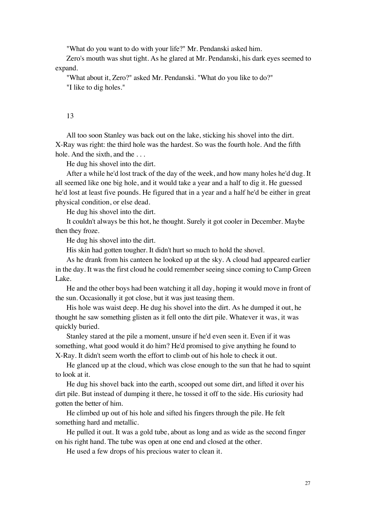"What do you want to do with your life?" Mr. Pendanski asked him.

Zero's mouth was shut tight. As he glared at Mr. Pendanski, his dark eyes seemed to expand.

"What about it, Zero?" asked Mr. Pendanski. "What do you like to do?" "I like to dig holes."

#### 13

All too soon Stanley was back out on the lake, sticking his shovel into the dirt. X-Ray was right: the third hole was the hardest. So was the fourth hole. And the fifth hole. And the sixth, and the ...

He dug his shovel into the dirt.

After a while he'd lost track of the day of the week, and how many holes he'd dug. It all seemed like one big hole, and it would take a year and a half to dig it. He guessed he'd lost at least five pounds. He figured that in a year and a half he'd be either in great physical condition, or else dead.

He dug his shovel into the dirt.

It couldn't always be this hot, he thought. Surely it got cooler in December. Maybe then they froze.

He dug his shovel into the dirt.

His skin had gotten tougher. It didn't hurt so much to hold the shovel.

As he drank from his canteen he looked up at the sky. A cloud had appeared earlier in the day. It was the first cloud he could remember seeing since coming to Camp Green Lake.

He and the other boys had been watching it all day, hoping it would move in front of the sun. Occasionally it got close, but it was just teasing them.

His hole was waist deep. He dug his shovel into the dirt. As he dumped it out, he thought he saw something glisten as it fell onto the dirt pile. Whatever it was, it was quickly buried.

Stanley stared at the pile a moment, unsure if he'd even seen it. Even if it was something, what good would it do him? He'd promised to give anything he found to X-Ray. It didn't seem worth the effort to climb out of his hole to check it out.

He glanced up at the cloud, which was close enough to the sun that he had to squint to look at it.

He dug his shovel back into the earth, scooped out some dirt, and lifted it over his dirt pile. But instead of dumping it there, he tossed it off to the side. His curiosity had gotten the better of him.

He climbed up out of his hole and sifted his fingers through the pile. He felt something hard and metallic.

He pulled it out. It was a gold tube, about as long and as wide as the second finger on his right hand. The tube was open at one end and closed at the other.

He used a few drops of his precious water to clean it.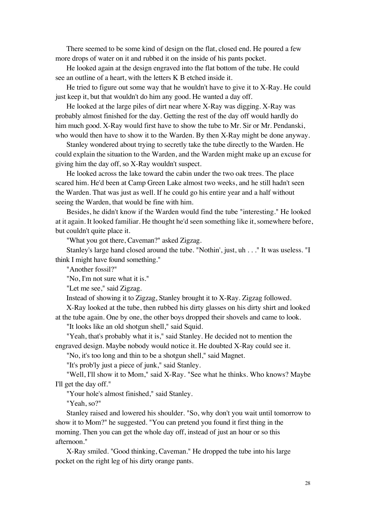There seemed to be some kind of design on the flat, closed end. He poured a few more drops of water on it and rubbed it on the inside of his pants pocket.

He looked again at the design engraved into the flat bottom of the tube. He could see an outline of a heart, with the letters K B etched inside it.

He tried to figure out some way that he wouldn't have to give it to X-Ray. He could just keep it, but that wouldn't do him any good. He wanted a day off.

He looked at the large piles of dirt near where X-Ray was digging. X-Ray was probably almost finished for the day. Getting the rest of the day off would hardly do him much good. X-Ray would first have to show the tube to Mr. Sir or Mr. Pendanski, who would then have to show it to the Warden. By then X-Ray might be done anyway.

Stanley wondered about trying to secretly take the tube directly to the Warden. He could explain the situation to the Warden, and the Warden might make up an excuse for giving him the day off, so X-Ray wouldn't suspect.

He looked across the lake toward the cabin under the two oak trees. The place scared him. He'd been at Camp Green Lake almost two weeks, and he still hadn't seen the Warden. That was just as well. If he could go his entire year and a half without seeing the Warden, that would be fine with him.

Besides, he didn't know if the Warden would find the tube "interesting." He looked at it again. It looked familiar. He thought he'd seen something like it, somewhere before, but couldn't quite place it.

"What you got there, Caveman?" asked Zigzag.

Stanley's large hand closed around the tube. "Nothin', just, uh . . ." It was useless. "I think I might have found something."

"Another fossil?"

"No, I'm not sure what it is."

"Let me see," said Zigzag.

Instead of showing it to Zigzag, Stanley brought it to X-Ray. Zigzag followed.

X-Ray looked at the tube, then rubbed his dirty glasses on his dirty shirt and looked at the tube again. One by one, the other boys dropped their shovels and came to look.

"It looks like an old shotgun shell," said Squid.

"Yeah, that's probably what it is," said Stanley. He decided not to mention the engraved design. Maybe nobody would notice it. He doubted X-Ray could see it.

"No, it's too long and thin to be a shotgun shell," said Magnet.

"It's prob'ly just a piece of junk," said Stanley.

"Well, I'll show it to Mom," said X-Ray. "See what he thinks. Who knows? Maybe I'll get the day off."

"Your hole's almost finished," said Stanley.

"Yeah, so?"

Stanley raised and lowered his shoulder. "So, why don't you wait until tomorrow to show it to Mom?" he suggested. "You can pretend you found it first thing in the morning. Then you can get the whole day off, instead of just an hour or so this afternoon."

X-Ray smiled. "Good thinking, Caveman." He dropped the tube into his large pocket on the right leg of his dirty orange pants.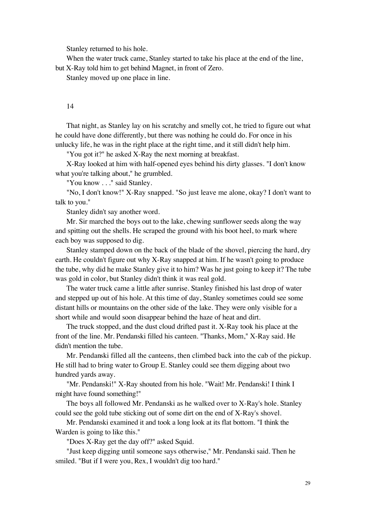Stanley returned to his hole.

When the water truck came, Stanley started to take his place at the end of the line,

but X-Ray told him to get behind Magnet, in front of Zero.

Stanley moved up one place in line.

#### 14

That night, as Stanley lay on his scratchy and smelly cot, he tried to figure out what he could have done differently, but there was nothing he could do. For once in his unlucky life, he was in the right place at the right time, and it still didn't help him.

"You got it?" he asked X-Ray the next morning at breakfast.

X-Ray looked at him with half-opened eyes behind his dirty glasses. "I don't know what you're talking about," he grumbled.

"You know . . ." said Stanley.

"No, I don't know!" X-Ray snapped. "So just leave me alone, okay? I don't want to talk to you."

Stanley didn't say another word.

Mr. Sir marched the boys out to the lake, chewing sunflower seeds along the way and spitting out the shells. He scraped the ground with his boot heel, to mark where each boy was supposed to dig.

Stanley stamped down on the back of the blade of the shovel, piercing the hard, dry earth. He couldn't figure out why X-Ray snapped at him. If he wasn't going to produce the tube, why did he make Stanley give it to him? Was he just going to keep it? The tube was gold in color, but Stanley didn't think it was real gold.

The water truck came a little after sunrise. Stanley finished his last drop of water and stepped up out of his hole. At this time of day, Stanley sometimes could see some distant hills or mountains on the other side of the lake. They were only visible for a short while and would soon disappear behind the haze of heat and dirt.

The truck stopped, and the dust cloud drifted past it. X-Ray took his place at the front of the line. Mr. Pendanski filled his canteen. "Thanks, Mom," X-Ray said. He didn't mention the tube.

Mr. Pendanski filled all the canteens, then climbed back into the cab of the pickup. He still had to bring water to Group E. Stanley could see them digging about two hundred yards away.

"Mr. Pendanski!" X-Ray shouted from his hole. "Wait! Mr. Pendanski! I think I might have found something!"

The boys all followed Mr. Pendanski as he walked over to X-Ray's hole. Stanley could see the gold tube sticking out of some dirt on the end of X-Ray's shovel.

Mr. Pendanski examined it and took a long look at its flat bottom. "I think the Warden is going to like this."

"Does X-Ray get the day off?" asked Squid.

"Just keep digging until someone says otherwise," Mr. Pendanski said. Then he smiled. "But if I were you, Rex, I wouldn't dig too hard."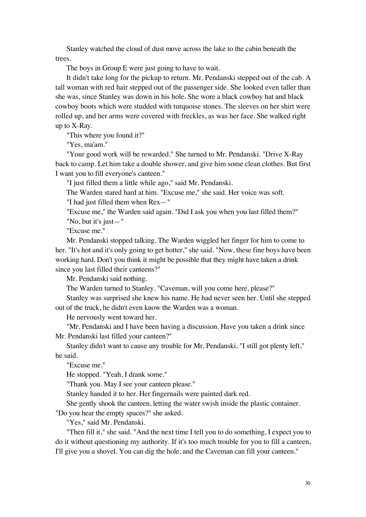Stanley watched the cloud of dust move across the lake to the cabin beneath the trees.

The boys in Group E were just going to have to wait.

It didn't take long for the pickup to return. Mr. Pendanski stepped out of the cab. A tall woman with red hair stepped out of the passenger side. She looked even taller than she was, since Stanley was down in his hole. She wore a black cowboy hat and black cowboy boots which were studded with turquoise stones. The sleeves on her shirt were rolled up, and her arms were covered with freckles, as was her face. She walked right up to X-Ray.

"This where you found it?"

"Yes, ma'am."

"Your good work will be rewarded." She turned to Mr. Pendanski. "Drive X-Ray back to camp. Let him take a double shower, and give him some clean clothes. But first I want you to fill everyone's canteen."

"I just filled them a little while ago," said Mr. Pendanski.

The Warden stared hard at him. "Excuse me," she said. Her voice was soft. "I had just filled them when Rex—"

"Excuse me," the Warden said again. "Did I ask you when you last filled them?" "No, but it's just—"

"Excuse me."

Mr. Pendanski stopped talking. The Warden wiggled her finger for him to come to her. "It's hot and it's only going to get hotter," she said. "Now, these fine boys have been working hard. Don't you think it might be possible that they might have taken a drink since you last filled their canteens?"

Mr. Pendanski said nothing.

The Warden turned to Stanley. "Caveman, will you come here, please?"

Stanley was surprised she knew his name. He had never seen her. Until she stepped out of the truck, he didn't even know the Warden was a woman.

He nervously went toward her.

"Mr. Pendanski and I have been having a discussion. Have you taken a drink since Mr. Pendanski last filled your canteen?"

Stanley didn't want to cause any trouble for Mr. Pendanski. "I still got plenty left," he said.

"Excuse me."

He stopped. "Yeah, I drank some."

"Thank you. May I see your canteen please."

Stanley handed it to her. Her fingernails were painted dark red.

She gently shook the canteen, letting the water swish inside the plastic container.

"Do you hear the empty spaces?" she asked.

"Yes," said Mr. Pendanski.

"Then fill it," she said. "And the next time I tell you to do something, I expect you to do it without questioning my authority. If it's too much trouble for you to fill a canteen, I'll give you a shovel. You can dig the hole, and the Caveman can fill your canteen."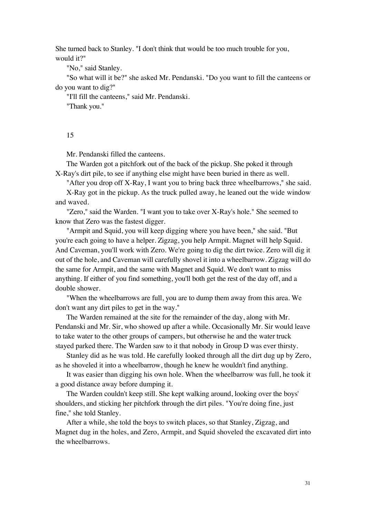She turned back to Stanley. "I don't think that would be too much trouble for you, would it?"

"No," said Stanley.

"So what will it be?" she asked Mr. Pendanski. "Do you want to fill the canteens or do you want to dig?"

"I'll fill the canteens," said Mr. Pendanski.

"Thank you."

Mr. Pendanski filled the canteens.

The Warden got a pitchfork out of the back of the pickup. She poked it through X-Ray's dirt pile, to see if anything else might have been buried in there as well.

"After you drop off X-Ray, I want you to bring back three wheelbarrows," she said.

X-Ray got in the pickup. As the truck pulled away, he leaned out the wide window and waved.

"Zero," said the Warden. "I want you to take over X-Ray's hole." She seemed to know that Zero was the fastest digger.

"Armpit and Squid, you will keep digging where you have been," she said. "But you're each going to have a helper. Zigzag, you help Armpit. Magnet will help Squid. And Caveman, you'll work with Zero. We're going to dig the dirt twice. Zero will dig it out of the hole, and Caveman will carefully shovel it into a wheelbarrow. Zigzag will do the same for Armpit, and the same with Magnet and Squid. We don't want to miss anything. If either of you find something, you'll both get the rest of the day off, and a double shower.

"When the wheelbarrows are full, you are to dump them away from this area. We don't want any dirt piles to get in the way."

The Warden remained at the site for the remainder of the day, along with Mr. Pendanski and Mr. Sir, who showed up after a while. Occasionally Mr. Sir would leave to take water to the other groups of campers, but otherwise he and the water truck stayed parked there. The Warden saw to it that nobody in Group D was ever thirsty.

Stanley did as he was told. He carefully looked through all the dirt dug up by Zero, as he shoveled it into a wheelbarrow, though he knew he wouldn't find anything.

It was easier than digging his own hole. When the wheelbarrow was full, he took it a good distance away before dumping it.

The Warden couldn't keep still. She kept walking around, looking over the boys' shoulders, and sticking her pitchfork through the dirt piles. "You're doing fine, just fine," she told Stanley.

After a while, she told the boys to switch places, so that Stanley, Zigzag, and Magnet dug in the holes, and Zero, Armpit, and Squid shoveled the excavated dirt into the wheelbarrows.

<sup>15</sup>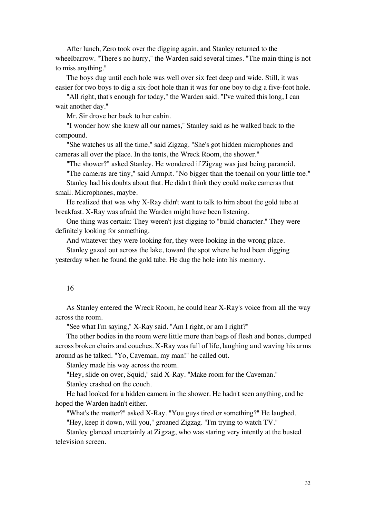After lunch, Zero took over the digging again, and Stanley returned to the wheelbarrow. "There's no hurry," the Warden said several times. "The main thing is not to miss anything."

The boys dug until each hole was well over six feet deep and wide. Still, it was easier for two boys to dig a six-foot hole than it was for one boy to dig a five-foot hole.

"All right, that's enough for today," the Warden said. "I've waited this long, I can wait another day."

Mr. Sir drove her back to her cabin.

"I wonder how she knew all our names," Stanley said as he walked back to the compound.

"She watches us all the time," said Zigzag. "She's got hidden microphones and cameras all over the place. In the tents, the Wreck Room, the shower."

"The shower?" asked Stanley. He wondered if Zigzag was just being paranoid.

"The cameras are tiny," said Armpit. "No bigger than the toenail on your little toe."

Stanley had his doubts about that. He didn't think they could make cameras that small. Microphones, maybe.

He realized that was why X-Ray didn't want to talk to him about the gold tube at breakfast. X-Ray was afraid the Warden might have been listening.

One thing was certain: They weren't just digging to "build character." They were definitely looking for something.

And whatever they were looking for, they were looking in the wrong place.

Stanley gazed out across the lake, toward the spot where he had been digging yesterday when he found the gold tube. He dug the hole into his memory.

### 16

As Stanley entered the Wreck Room, he could hear X-Ray's voice from all the way across the room.

"See what I'm saying," X-Ray said. "Am I right, or am I right?"

The other bodies in the room were little more than bags of flesh and bones, dumped across broken chairs and couches. X-Ray was full of life, laughing and waving his arms around as he talked. "Yo, Caveman, my man!" he called out.

Stanley made his way across the room.

"Hey, slide on over, Squid," said X-Ray. "Make room for the Caveman."

Stanley crashed on the couch.

He had looked for a hidden camera in the shower. He hadn't seen anything, and he hoped the Warden hadn't either.

"What's the matter?" asked X-Ray. "You guys tired or something?" He laughed.

"Hey, keep it down, will you," groaned Zigzag. "I'm trying to watch TV."

Stanley glanced uncertainly at Zigzag, who was staring very intently at the busted television screen.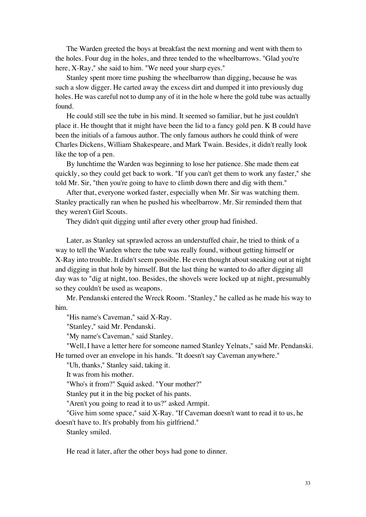The Warden greeted the boys at breakfast the next morning and went with them to the holes. Four dug in the holes, and three tended to the wheelbarrows. "Glad you're here, X-Ray," she said to him. "We need your sharp eyes."

Stanley spent more time pushing the wheelbarrow than digging, because he was such a slow digger. He carted away the excess dirt and dumped it into previously dug holes. He was careful not to dump any of it in the hole w here the gold tube was actually found.

He could still see the tube in his mind. It seemed so familiar, but he just couldn't place it. He thought that it might have been the lid to a fancy gold pen. K B could have been the initials of a famous author. The only famous authors he could think of were Charles Dickens, William Shakespeare, and Mark Twain. Besides, it didn't really look like the top of a pen.

By lunchtime the Warden was beginning to lose her patience. She made them eat quickly, so they could get back to work. "If you can't get them to work any faster," she told Mr. Sir, "then you're going to have to climb down there and dig with them."

After that, everyone worked faster, especially when Mr. Sir was watching them. Stanley practically ran when he pushed his wheelbarrow. Mr. Sir reminded them that they weren't Girl Scouts.

They didn't quit digging until after every other group had finished.

Later, as Stanley sat sprawled across an understuffed chair, he tried to think of a way to tell the Warden where the tube was really found, without getting himself or X-Ray into trouble. It didn't seem possible. He even thought about sneaking out at night and digging in that hole by himself. But the last thing he wanted to do after digging all day was to "dig at night, too. Besides, the shovels were locked up at night, presumably so they couldn't be used as weapons.

Mr. Pendanski entered the Wreck Room. "Stanley," he called as he made his way to him.

"His name's Caveman," said X-Ray.

"Stanley," said Mr. Pendanski.

"My name's Caveman," said Stanley.

"Well, I have a letter here for someone named Stanley Yelnats," said Mr. Pendanski. He turned over an envelope in his hands. "It doesn't say Caveman anywhere."

"Uh, thanks," Stanley said, taking it.

It was from his mother.

"Who's it from?" Squid asked. "Your mother?"

Stanley put it in the big pocket of his pants.

"Aren't you going to read it to us?" asked Armpit.

"Give him some space," said X-Ray. "If Caveman doesn't want to read it to us, he doesn't have to. It's probably from his girlfriend."

Stanley smiled.

He read it later, after the other boys had gone to dinner.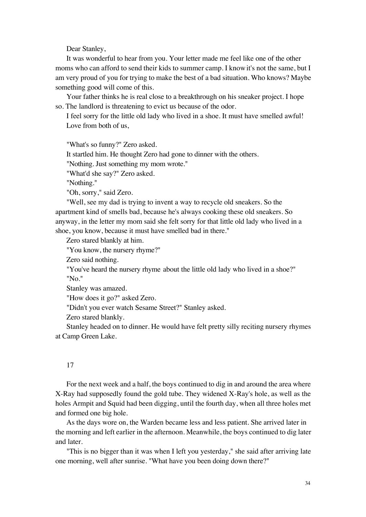Dear Stanley,

It was wonderful to hear from you. Your letter made me feel like one of the other moms who can afford to send their kids to summer camp. I know it's not the same, but I am very proud of you for trying to make the best of a bad situation. Who knows? Maybe something good will come of this.

Your father thinks he is real close to a breakthrough on his sneaker project. I hope so. The landlord is threatening to evict us because of the odor.

I feel sorry for the little old lady who lived in a shoe. It must have smelled awful! Love from both of us,

"What's so funny?" Zero asked.

It startled him. He thought Zero had gone to dinner with the others.

"Nothing. Just something my mom wrote."

"What'd she say?" Zero asked.

"Nothing."

"Oh, sorry," said Zero.

"Well, see my dad is trying to invent a way to recycle old sneakers. So the apartment kind of smells bad, because he's always cooking these old sneakers. So anyway, in the letter my mom said she felt sorry for that little old lady who lived in a shoe, you know, because it must have smelled bad in there."

Zero stared blankly at him.

"You know, the nursery rhyme?"

Zero said nothing.

"You've heard the nursery rhyme about the little old lady who lived in a shoe?" "No."

Stanley was amazed.

"How does it go?" asked Zero.

"Didn't you ever watch Sesame Street?" Stanley asked.

Zero stared blankly.

Stanley headed on to dinner. He would have felt pretty silly reciting nursery rhymes at Camp Green Lake.

#### 17

For the next week and a half, the boys continued to dig in and around the area where X-Ray had supposedly found the gold tube. They widened X-Ray's hole, as well as the holes Armpit and Squid had been digging, until the fourth day, when all three holes met and formed one big hole.

As the days wore on, the Warden became less and less patient. She arrived later in the morning and left earlier in the afternoon. Meanwhile, the boys continued to dig later and later.

"This is no bigger than it was when I left you yesterday," she said after arriving late one morning, well after sunrise. "What have you been doing down there?"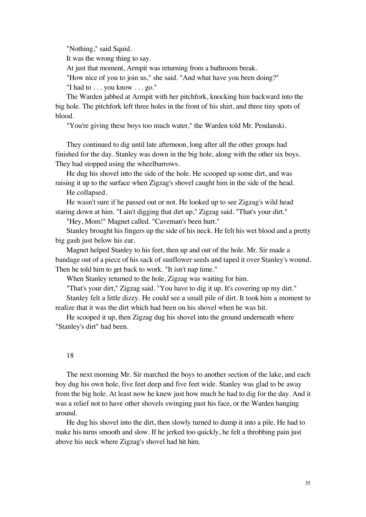"Nothing," said Squid.

It was the wrong thing to say.

At just that moment, Armpit was returning from a bathroom break.

"How nice of you to join us," she said. "And what have you been doing?"

"I had to . . . you know . . . go."

The Warden jabbed at Armpit with her pitchfork, knocking him backward into the big hole. The pitchfork left three holes in the front of his shirt, and three tiny spots of blood.

"You're giving these boys too much water," the Warden told Mr. Pendanski.

They continued to dig until late afternoon, long after all the other groups had finished for the day. Stanley was down in the big hole, along with the other six boys. They had stopped using the wheelbarrows.

He dug his shovel into the side of the hole. He scooped up some dirt, and was raising it up to the surface when Zigzag's shovel caught him in the side of the head. He collapsed.

He wasn't sure if he passed out or not. He looked up to see Zigzag's wild head staring down at him. "I ain't digging that dirt up," Zigzag said. "That's your dirt."

"Hey, Mom!" Magnet called. "Caveman's been hurt."

Stanley brought his fingers up the side of his neck. He felt his wet blood and a pretty big gash just below his ear.

Magnet helped Stanley to his feet, then up and out of the hole. Mr. Sir made a bandage out of a piece of his sack of sunflower seeds and taped it over Stanley's wound. Then he told him to get back to work. "It isn't nap time."

When Stanley returned to the hole, Zigzag was waiting for him.

"That's your dirt," Zigzag said. "You have to dig it up. It's covering up my dirt." Stanley felt a little dizzy. He could see a small pile of dirt. It took him a moment to realize that it was the dirt which had been on his shovel when he was hit.

He scooped it up, then Zigzag dug his shovel into the ground underneath where "Stanley's dirt" had been.

### 18

The next morning Mr. Sir marched the boys to another section of the lake, and each boy dug his own hole, five feet deep and five feet wide. Stanley was glad to be away from the big hole. At least now he knew just how much he had to dig for the day. And it was a relief not to have other shovels swinging past his face, or the Warden hanging around.

He dug his shovel into the dirt, then slowly turned to dump it into a pile. He had to make his turns smooth and slow. If he jerked too quickly, he felt a throbbing pain just above his neck where Zigzag's shovel had hit him.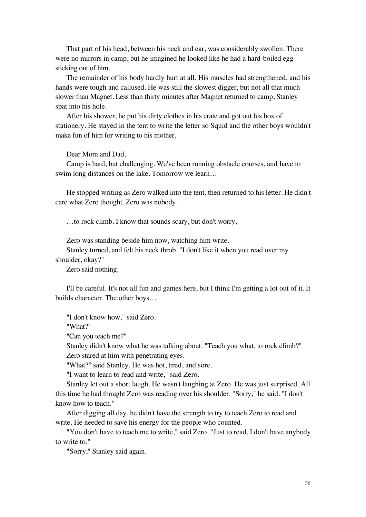That part of his head, between his neck and ear, was considerably swollen. There were no mirrors in camp, but he imagined he looked like he had a hard-boiled egg sticking out of him.

The remainder of his body hardly hurt at all. His muscles had strengthened, and his hands were tough and callused. He was still the slowest digger, but not all that much slower than Magnet. Less than thirty minutes after Magnet returned to camp, Stanley spat into his hole.

After his shower, he put his dirty clothes in his crate and got out his box of stationery. He stayed in the tent to write the letter so Squid and the other boys wouldn't make fun of him for writing to his mother.

Dear Mom and Dad,

Camp is hard, but challenging. We've been running obstacle courses, and have to swim long distances on the lake. Tomorrow we learn…

He stopped writing as Zero walked into the tent, then returned to his letter. He didn't care what Zero thought. Zero was nobody.

…to rock climb. I know that sounds scary, but don't worry,

Zero was standing beside him now, watching him write.

Stanley turned, and felt his neck throb. "I don't like it when you read over my shoulder, okay?"

Zero said nothing.

I'll be careful. It's not all fun and games here, but I think I'm getting a lot out of it. It builds character. The other boys…

"I don't know how," said Zero.

"What?"

"Can you teach me?"

Stanley didn't know what he was talking about. "Teach you what, to rock climb?" Zero stared at him with penetrating eyes.

"What?" said Stanley. He was hot, tired, and sore.

"I want to learn to read and write," said Zero.

Stanley let out a short laugh. He wasn't laughing at Zero. He was just surprised. All this time he had thought Zero was reading over his shoulder. "Sorry," he said. "I don't know how to teach."

After digging all day, he didn't have the strength to try to teach Zero to read and write. He needed to save his energy for the people who counted.

"You don't have to teach me to write," said Zero. "Just to read. I don't have anybody to write to."

"Sorry," Stanley said again.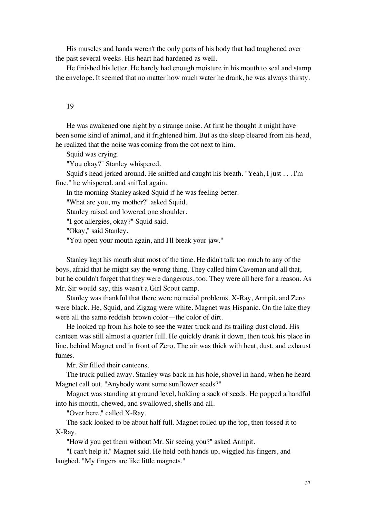His muscles and hands weren't the only parts of his body that had toughened over the past several weeks. His heart had hardened as well.

He finished his letter. He barely had enough moisture in his mouth to seal and stamp the envelope. It seemed that no matter how much water he drank, he was always thirsty.

### 19

He was awakened one night by a strange noise. At first he thought it might have been some kind of animal, and it frightened him. But as the sleep cleared from his head, he realized that the noise was coming from the cot next to him.

Squid was crying.

"You okay?" Stanley whispered.

Squid's head jerked around. He sniffed and caught his breath. "Yeah, I just . . . I'm fine," he whispered, and sniffed again.

In the morning Stanley asked Squid if he was feeling better.

"What are you, my mother?" asked Squid.

Stanley raised and lowered one shoulder.

"I got allergies, okay?" Squid said.

"Okay," said Stanley.

"You open your mouth again, and I'll break your jaw."

Stanley kept his mouth shut most of the time. He didn't talk too much to any of the boys, afraid that he might say the wrong thing. They called him Caveman and all that, but he couldn't forget that they were dangerous, too. They were all here for a reason. As Mr. Sir would say, this wasn't a Girl Scout camp.

Stanley was thankful that there were no racial problems. X-Ray, Armpit, and Zero were black. He, Squid, and Zigzag were white. Magnet was Hispanic. On the lake they were all the same reddish brown color—the color of dirt.

He looked up from his hole to see the water truck and its trailing dust cloud. His canteen was still almost a quarter full. He quickly drank it down, then took his place in line, behind Magnet and in front of Zero. The air was thick with heat, dust, and exhaust fumes.

Mr. Sir filled their canteens.

The truck pulled away. Stanley was back in his hole, shovel in hand, when he heard Magnet call out. "Anybody want some sunflower seeds?"

Magnet was standing at ground level, holding a sack of seeds. He popped a handful into his mouth, chewed, and swallowed, shells and all.

"Over here," called X-Ray.

The sack looked to be about half full. Magnet rolled up the top, then tossed it to X-Ray.

"How'd you get them without Mr. Sir seeing you?" asked Armpit.

"I can't help it," Magnet said. He held both hands up, wiggled his fingers, and laughed. "My fingers are like little magnets."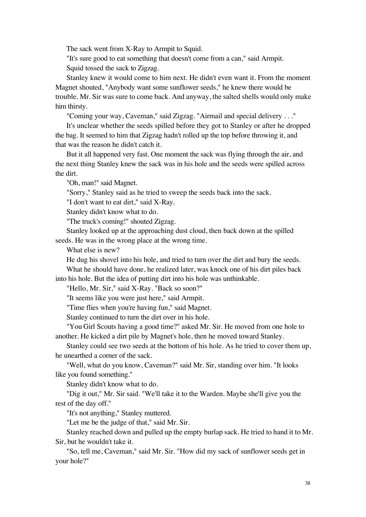The sack went from X-Ray to Armpit to Squid.

"It's sure good to eat something that doesn't come from a can," said Armpit. Squid tossed the sack to Zigzag.

Stanley knew it would come to him next. He didn't even want it. From the moment Magnet shouted, "Anybody want some sunflower seeds," he knew there would be trouble. Mr. Sir was sure to come back. And anyway, the salted shells would only make him thirsty.

"Coming your way, Caveman," said Zigzag. "Airmail and special delivery . . ."

It's unclear whether the seeds spilled before they got to Stanley or after he dropped the bag. It seemed to him that Zigzag hadn't rolled up the top before throwing it, and that was the reason he didn't catch it.

But it all happened very fast. One moment the sack was flying through the air, and the next thing Stanley knew the sack was in his hole and the seeds were spilled across the dirt.

"Oh, man!" said Magnet.

"Sorry," Stanley said as he tried to sweep the seeds back into the sack.

"I don't want to eat dirt," said X-Ray.

Stanley didn't know what to do.

"The truck's coming!" shouted Zigzag.

Stanley looked up at the approaching dust cloud, then back down at the spilled seeds. He was in the wrong place at the wrong time.

What else is new?

He dug his shovel into his hole, and tried to turn over the dirt and bury the seeds.

What he should have done, he realized later, was knock one of his dirt piles back into his hole. But the idea of putting dirt into his hole was unthinkable.

"Hello, Mr. Sir," said X-Ray. "Back so soon?"

"It seems like you were just here," said Armpit.

"Time flies when you're having fun," said Magnet.

Stanley continued to turn the dirt over in his hole.

"You Girl Scouts having a good time?" asked Mr. Sir. He moved from one hole to another. He kicked a dirt pile by Magnet's hole, then he moved toward Stanley.

Stanley could see two seeds at the bottom of his hole. As he tried to cover them up, he unearthed a corner of the sack.

"Well, what do you know, Caveman?" said Mr. Sir, standing over him. "It looks like you found something."

Stanley didn't know what to do.

"Dig it out," Mr. Sir said. "We'll take it to the Warden. Maybe she'll give you the rest of the day off."

"It's not anything," Stanley muttered.

"Let me be the judge of that," said Mr. Sir.

Stanley reached down and pulled up the empty burlap sack. He tried to hand it to Mr. Sir, but he wouldn't take it.

"So, tell me, Caveman," said Mr. Sir. "How did my sack of sunflower seeds get in your hole?"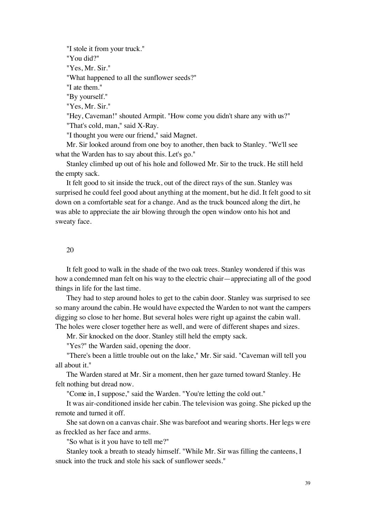"I stole it from your truck." "You did?" "Yes, Mr. Sir." "What happened to all the sunflower seeds?" "I ate them." "By yourself." "Yes, Mr. Sir." "Hey, Caveman!" shouted Armpit. "How come you didn't share any with us?" "That's cold, man," said X-Ray. "I thought you were our friend," said Magnet.

Mr. Sir looked around from one boy to another, then back to Stanley. "We'll see what the Warden has to say about this. Let's go."

Stanley climbed up out of his hole and followed Mr. Sir to the truck. He still held the empty sack.

It felt good to sit inside the truck, out of the direct rays of the sun. Stanley was surprised he could feel good about anything at the moment, but he did. It felt good to sit down on a comfortable seat for a change. And as the truck bounced along the dirt, he was able to appreciate the air blowing through the open window onto his hot and sweaty face.

## 20

It felt good to walk in the shade of the two oak trees. Stanley wondered if this was how a condemned man felt on his way to the electric chair—appreciating all of the good things in life for the last time.

They had to step around holes to get to the cabin door. Stanley was surprised to see so many around the cabin. He would have expected the Warden to not want the campers digging so close to her home. But several holes were right up against the cabin wall. The holes were closer together here as well, and were of different shapes and sizes.

Mr. Sir knocked on the door. Stanley still held the empty sack.

"Yes?" the Warden said, opening the door.

"There's been a little trouble out on the lake," Mr. Sir said. "Caveman will tell you all about it."

The Warden stared at Mr. Sir a moment, then her gaze turned toward Stanley. He felt nothing but dread now.

"Come in, I suppose," said the Warden. "You're letting the cold out."

It was air-conditioned inside her cabin. The television was going. She picked up the remote and turned it off.

She sat down on a canvas chair. She was barefoot and wearing shorts. Her legs were as freckled as her face and arms.

"So what is it you have to tell me?"

Stanley took a breath to steady himself. "While Mr. Sir was filling the canteens, I snuck into the truck and stole his sack of sunflower seeds."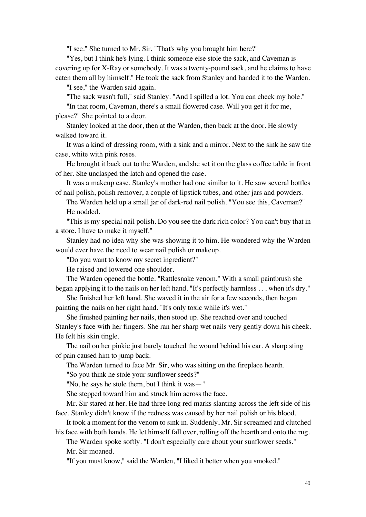"I see." She turned to Mr. Sir. "That's why you brought him here?"

"Yes, but I think he's lying. I think someone else stole the sack, and Caveman is covering up for X-Ray or somebody. It was a twenty-pound sack, and he claims to have eaten them all by himself." He took the sack from Stanley and handed it to the Warden.

"I see," the Warden said again.

"The sack wasn't full," said Stanley. "And I spilled a lot. You can check my hole."

"In that room, Caveman, there's a small flowered case. Will you get it for me, please?" She pointed to a door.

Stanley looked at the door, then at the Warden, then back at the door. He slowly walked toward it.

It was a kind of dressing room, with a sink and a mirror. Next to the sink he saw the case, white with pink roses.

He brought it back out to the Warden, and she set it on the glass coffee table in front of her. She unclasped the latch and opened the case.

It was a makeup case. Stanley's mother had one similar to it. He saw several bottles of nail polish, polish remover, a couple of lipstick tubes, and other jars and powders.

The Warden held up a small jar of dark-red nail polish. "You see this, Caveman?" He nodded.

"This is my special nail polish. Do you see the dark rich color? You can't buy that in a store. I have to make it myself."

Stanley had no idea why she was showing it to him. He wondered why the Warden would ever have the need to wear nail polish or makeup.

"Do you want to know my secret ingredient?"

He raised and lowered one shoulder.

The Warden opened the bottle. "Rattlesnake venom." With a small paintbrush she began applying it to the nails on her left hand. "It's perfectly harmless . . . when it's dry."

She finished her left hand. She waved it in the air for a few seconds, then began painting the nails on her right hand. "It's only toxic while it's wet."

She finished painting her nails, then stood up. She reached over and touched Stanley's face with her fingers. She ran her sharp wet nails very gently down his cheek. He felt his skin tingle.

The nail on her pinkie just barely touched the wound behind his ear. A sharp sting of pain caused him to jump back.

The Warden turned to face Mr. Sir, who was sitting on the fireplace hearth.

"So you think he stole your sunflower seeds?"

"No, he says he stole them, but I think it was—"

She stepped toward him and struck him across the face.

Mr. Sir stared at her. He had three long red marks slanting across the left side of his face. Stanley didn't know if the redness was caused by her nail polish or his blood.

It took a moment for the venom to sink in. Suddenly, Mr. Sir screamed and clutched his face with both hands. He let himself fall over, rolling off the hearth and onto the rug.

The Warden spoke softly. "I don't especially care about your sunflower seeds." Mr. Sir moaned.

"If you must know," said the Warden, "I liked it better when you smoked."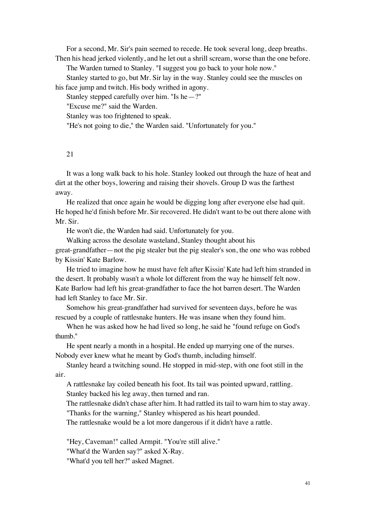For a second, Mr. Sir's pain seemed to recede. He took several long, deep breaths. Then his head jerked violently, and he let out a shrill scream, worse than the one before. The Warden turned to Stanley. "I suggest you go back to your hole now." Stanley started to go, but Mr. Sir lay in the way. Stanley could see the muscles on his face jump and twitch. His body writhed in agony.

Stanley stepped carefully over him. "Is he  $-$ ?"

"Excuse me?" said the Warden.

Stanley was too frightened to speak.

"He's not going to die," the Warden said. "Unfortunately for you."

# 21

It was a long walk back to his hole. Stanley looked out through the haze of heat and dirt at the other boys, lowering and raising their shovels. Group D was the farthest away.

He realized that once again he would be digging long after everyone else had quit. He hoped he'd finish before Mr. Sir recovered. He didn't want to be out there alone with Mr. Sir.

He won't die, the Warden had said. Unfortunately for you.

Walking across the desolate wasteland, Stanley thought about his great-grandfather—not the pig stealer but the pig stealer's son, the one who was robbed by Kissin' Kate Barlow.

He tried to imagine how he must have felt after Kissin' Kate had left him stranded in the desert. It probably wasn't a whole lot different from the way he himself felt now. Kate Barlow had left his great-grandfather to face the hot barren desert. The Warden had left Stanley to face Mr. Sir.

Somehow his great-grandfather had survived for seventeen days, before he was rescued by a couple of rattlesnake hunters. He was insane when they found him.

When he was asked how he had lived so long, he said he "found refuge on God's thumb."

He spent nearly a month in a hospital. He ended up marrying one of the nurses. Nobody ever knew what he meant by God's thumb, including himself.

Stanley heard a twitching sound. He stopped in mid-step, with one foot still in the air.

A rattlesnake lay coiled beneath his foot. Its tail was pointed upward, rattling. Stanley backed his leg away, then turned and ran.

The rattlesnake didn't chase after him. It had rattled its tail to warn him to stay away. "Thanks for the warning," Stanley whispered as his heart pounded.

The rattlesnake would be a lot more dangerous if it didn't have a rattle.

"Hey, Caveman!" called Armpit. "You're still alive." "What'd the Warden say?" asked X-Ray. "What'd you tell her?" asked Magnet.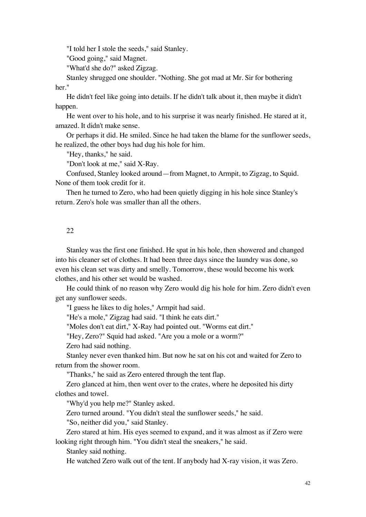"I told her I stole the seeds," said Stanley.

"Good going," said Magnet.

"What'd she do?" asked Zigzag.

Stanley shrugged one shoulder. "Nothing. She got mad at Mr. Sir for bothering her."

He didn't feel like going into details. If he didn't talk about it, then maybe it didn't happen.

He went over to his hole, and to his surprise it was nearly finished. He stared at it, amazed. It didn't make sense.

Or perhaps it did. He smiled. Since he had taken the blame for the sunflower seeds, he realized, the other boys had dug his hole for him.

"Hey, thanks," he said.

"Don't look at me," said X-Ray.

Confused, Stanley looked around—from Magnet, to Armpit, to Zigzag, to Squid. None of them took credit for it.

Then he turned to Zero, who had been quietly digging in his hole since Stanley's return. Zero's hole was smaller than all the others.

## 22

Stanley was the first one finished. He spat in his hole, then showered and changed into his cleaner set of clothes. It had been three days since the laundry was done, so even his clean set was dirty and smelly. Tomorrow, these would become his work clothes, and his other set would be washed.

He could think of no reason why Zero would dig his hole for him. Zero didn't even get any sunflower seeds.

"I guess he likes to dig holes," Armpit had said.

"He's a mole," Zigzag had said. "I think he eats dirt."

"Moles don't eat dirt," X-Ray had pointed out. "Worms eat dirt."

"Hey, Zero?" Squid had asked. "Are you a mole or a worm?"

Zero had said nothing.

Stanley never even thanked him. But now he sat on his cot and waited for Zero to return from the shower room.

"Thanks," he said as Zero entered through the tent flap.

Zero glanced at him, then went over to the crates, where he deposited his dirty clothes and towel.

"Why'd you help me?" Stanley asked.

Zero turned around. "You didn't steal the sunflower seeds," he said.

"So, neither did you," said Stanley.

Zero stared at him. His eyes seemed to expand, and it was almost as if Zero were looking right through him. "You didn't steal the sneakers," he said.

Stanley said nothing.

He watched Zero walk out of the tent. If anybody had X-ray vision, it was Zero.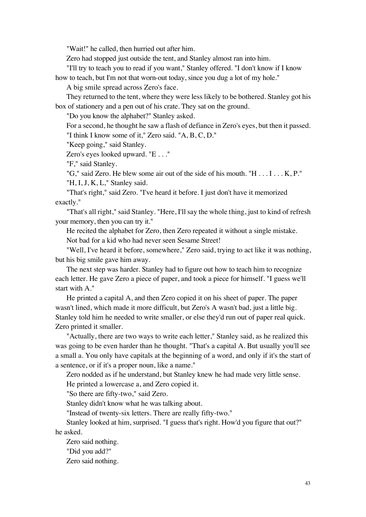"Wait!" he called, then hurried out after him.

Zero had stopped just outside the tent, and Stanley almost ran into him.

"I'll try to teach you to read if you want," Stanley offered. "I don't know if I know how to teach, but I'm not that worn-out today, since you dug a lot of my hole."

A big smile spread across Zero's face.

They returned to the tent, where they were less likely to be bothered. Stanley got his box of stationery and a pen out of his crate. They sat on the ground.

"Do you know the alphabet?" Stanley asked.

For a second, he thought he saw a flash of defiance in Zero's eyes, but then it passed.

"I think I know some of it," Zero said. "A, B, C, D."

"Keep going," said Stanley.

Zero's eyes looked upward. "E . . ."

"F," said Stanley.

"G," said Zero. He blew some air out of the side of his mouth. "H . . . I . . . K, P." "H, I, J, K, L," Stanley said.

"That's right," said Zero. "I've heard it before. I just don't have it memorized exactly."

"That's all right," said Stanley. "Here, I'll say the whole thing, just to kind of refresh your memory, then you can try it."

He recited the alphabet for Zero, then Zero repeated it without a single mistake. Not bad for a kid who had never seen Sesame Street!

"Well, I've heard it before, somewhere," Zero said, trying to act like it was nothing, but his big smile gave him away.

The next step was harder. Stanley had to figure out how to teach him to recognize each letter. He gave Zero a piece of paper, and took a piece for himself. "I guess we'll start with A."

He printed a capital A, and then Zero copied it on his sheet of paper. The paper wasn't lined, which made it more difficult, but Zero's A wasn't bad, just a little big. Stanley told him he needed to write smaller, or else they'd run out of paper real quick. Zero printed it smaller.

"Actually, there are two ways to write each letter," Stanley said, as he realized this was going to be even harder than he thought. "That's a capital A. But usually you'll see a small a. You only have capitals at the beginning of a word, and only if it's the start of a sentence, or if it's a proper noun, like a name."

Zero nodded as if he understand, but Stanley knew he had made very little sense. He printed a lowercase a, and Zero copied it.

"So there are fifty-two," said Zero.

Stanley didn't know what he was talking about.

"Instead of twenty-six letters. There are really fifty-two."

Stanley looked at him, surprised. "I guess that's right. How'd you figure that out?" he asked.

Zero said nothing. "Did you add?" Zero said nothing.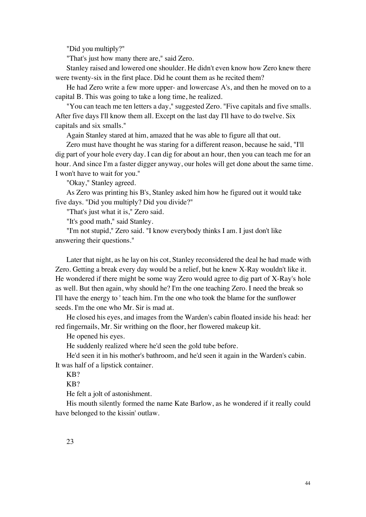"Did you multiply?"

"That's just how many there are," said Zero.

Stanley raised and lowered one shoulder. He didn't even know how Zero knew there were twenty-six in the first place. Did he count them as he recited them?

He had Zero write a few more upper- and lowercase A's, and then he moved on to a capital B. This was going to take a long time, he realized.

"You can teach me ten letters a day," suggested Zero. "Five capitals and five smalls. After five days I'll know them all. Except on the last day I'll have to do twelve. Six capitals and six smalls."

Again Stanley stared at him, amazed that he was able to figure all that out.

Zero must have thought he was staring for a different reason, because he said, "I'll dig part of your hole every day. I can dig for about an hour, then you can teach me for an hour. And since I'm a faster digger anyway, our holes will get done about the same time. I won't have to wait for you."

"Okay," Stanley agreed.

As Zero was printing his B's, Stanley asked him how he figured out it would take five days. "Did you multiply? Did you divide?"

"That's just what it is," Zero said.

"It's good math," said Stanley.

"I'm not stupid," Zero said. "I know everybody thinks I am. I just don't like answering their questions."

Later that night, as he lay on his cot, Stanley reconsidered the deal he had made with Zero. Getting a break every day would be a relief, but he knew X-Ray wouldn't like it. He wondered if there might be some way Zero would agree to dig part of X-Ray's hole as well. But then again, why should he? I'm the one teaching Zero. I need the break so I'll have the energy to ' teach him. I'm the one who took the blame for the sunflower seeds. I'm the one who Mr. Sir is mad at.

He closed his eyes, and images from the Warden's cabin floated inside his head: her red fingernails, Mr. Sir writhing on the floor, her flowered makeup kit.

He opened his eyes.

He suddenly realized where he'd seen the gold tube before.

He'd seen it in his mother's bathroom, and he'd seen it again in the Warden's cabin. It was half of a lipstick container.

KB?

KB?

He felt a jolt of astonishment.

His mouth silently formed the name Kate Barlow, as he wondered if it really could have belonged to the kissin' outlaw.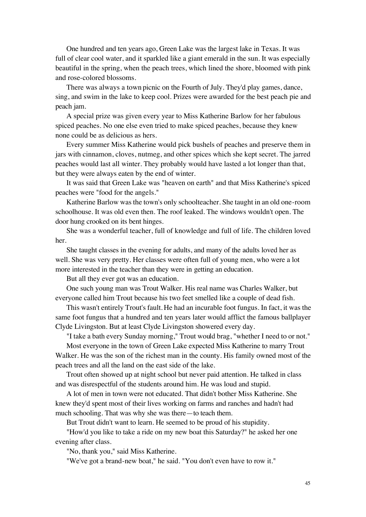One hundred and ten years ago, Green Lake was the largest lake in Texas. It was full of clear cool water, and it sparkled like a giant emerald in the sun. It was especially beautiful in the spring, when the peach trees, which lined the shore, bloomed with pink and rose-colored blossoms.

There was always a town picnic on the Fourth of July. They'd play games, dance, sing, and swim in the lake to keep cool. Prizes were awarded for the best peach pie and peach jam.

A special prize was given every year to Miss Katherine Barlow for her fabulous spiced peaches. No one else even tried to make spiced peaches, because they knew none could be as delicious as hers.

Every summer Miss Katherine would pick bushels of peaches and preserve them in jars with cinnamon, cloves, nutmeg, and other spices which she kept secret. The jarred peaches would last all winter. They probably would have lasted a lot longer than that, but they were always eaten by the end of winter.

It was said that Green Lake was "heaven on earth" and that Miss Katherine's spiced peaches were "food for the angels."

Katherine Barlow was the town's only schoolteacher. She taught in an old one-room schoolhouse. It was old even then. The roof leaked. The windows wouldn't open. The door hung crooked on its bent hinges.

She was a wonderful teacher, full of knowledge and full of life. The children loved her.

She taught classes in the evening for adults, and many of the adults loved her as well. She was very pretty. Her classes were often full of young men, who were a lot more interested in the teacher than they were in getting an education.

But all they ever got was an education.

One such young man was Trout Walker. His real name was Charles Walker, but everyone called him Trout because his two feet smelled like a couple of dead fish.

This wasn't entirely Trout's fault. He had an incurable foot fungus. In fact, it was the same foot fungus that a hundred and ten years later would afflict the famous ballplayer Clyde Livingston. But at least Clyde Livingston showered every day.

"I take a bath every Sunday morning," Trout would brag, "whether I need to or not."

Most everyone in the town of Green Lake expected Miss Katherine to marry Trout Walker. He was the son of the richest man in the county. His family owned most of the peach trees and all the land on the east side of the lake.

Trout often showed up at night school but never paid attention. He talked in class and was disrespectful of the students around him. He was loud and stupid.

A lot of men in town were not educated. That didn't bother Miss Katherine. She knew they'd spent most of their lives working on farms and ranches and hadn't had much schooling. That was why she was there—to teach them.

But Trout didn't want to learn. He seemed to be proud of his stupidity.

"How'd you like to take a ride on my new boat this Saturday?" he asked her one evening after class.

"No, thank you," said Miss Katherine.

"We've got a brand-new boat," he said. "You don't even have to row it."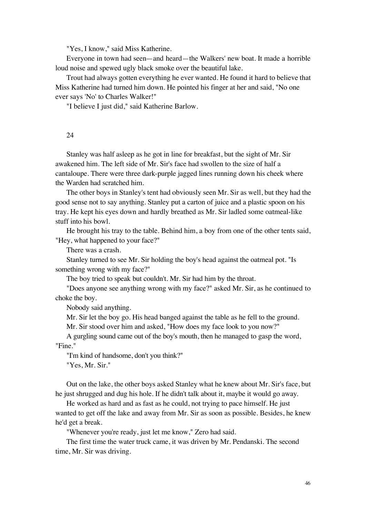"Yes, I know," said Miss Katherine.

Everyone in town had seen—and heard—the Walkers' new boat. It made a horrible loud noise and spewed ugly black smoke over the beautiful lake.

Trout had always gotten everything he ever wanted. He found it hard to believe that Miss Katherine had turned him down. He pointed his finger at her and said, "No one ever says 'No' to Charles Walker!"

"I believe I just did," said Katherine Barlow.

# 24

Stanley was half asleep as he got in line for breakfast, but the sight of Mr. Sir awakened him. The left side of Mr. Sir's face had swollen to the size of half a cantaloupe. There were three dark-purple jagged lines running down his cheek where the Warden had scratched him.

The other boys in Stanley's tent had obviously seen Mr. Sir as well, but they had the good sense not to say anything. Stanley put a carton of juice and a plastic spoon on his tray. He kept his eyes down and hardly breathed as Mr. Sir ladled some oatmeal-like stuff into his bowl.

He brought his tray to the table. Behind him, a boy from one of the other tents said, "Hey, what happened to your face?"

There was a crash.

Stanley turned to see Mr. Sir holding the boy's head against the oatmeal pot. "Is something wrong with my face?"

The boy tried to speak but couldn't. Mr. Sir had him by the throat.

"Does anyone see anything wrong with my face?" asked Mr. Sir, as he continued to choke the boy.

Nobody said anything.

Mr. Sir let the boy go. His head banged against the table as he fell to the ground.

Mr. Sir stood over him and asked, "How does my face look to you now?"

A gurgling sound came out of the boy's mouth, then he managed to gasp the word, "Fine."

"I'm kind of handsome, don't you think?"

"Yes, Mr. Sir."

Out on the lake, the other boys asked Stanley what he knew about Mr. Sir's face, but he just shrugged and dug his hole. If he didn't talk about it, maybe it would go away.

He worked as hard and as fast as he could, not trying to pace himself. He just wanted to get off the lake and away from Mr. Sir as soon as possible. Besides, he knew he'd get a break.

"Whenever you're ready, just let me know," Zero had said.

The first time the water truck came, it was driven by Mr. Pendanski. The second time, Mr. Sir was driving.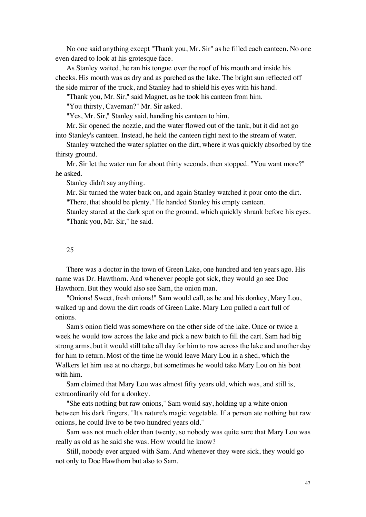No one said anything except "Thank you, Mr. Sir" as he filled each canteen. No one even dared to look at his grotesque face.

As Stanley waited, he ran his tongue over the roof of his mouth and inside his cheeks. His mouth was as dry and as parched as the lake. The bright sun reflected off the side mirror of the truck, and Stanley had to shield his eyes with his hand.

"Thank you, Mr. Sir," said Magnet, as he took his canteen from him.

"You thirsty, Caveman?" Mr. Sir asked.

"Yes, Mr. Sir," Stanley said, handing his canteen to him.

Mr. Sir opened the nozzle, and the water flowed out of the tank, but it did not go into Stanley's canteen. Instead, he held the canteen right next to the stream of water.

Stanley watched the water splatter on the dirt, where it was quickly absorbed by the thirsty ground.

Mr. Sir let the water run for about thirty seconds, then stopped. "You want more?" he asked.

Stanley didn't say anything.

Mr. Sir turned the water back on, and again Stanley watched it pour onto the dirt. "There, that should be plenty." He handed Stanley his empty canteen.

Stanley stared at the dark spot on the ground, which quickly shrank before his eyes. "Thank you, Mr. Sir," he said.

## 25

There was a doctor in the town of Green Lake, one hundred and ten years ago. His name was Dr. Hawthorn. And whenever people got sick, they would go see Doc Hawthorn. But they would also see Sam, the onion man.

"Onions! Sweet, fresh onions!" Sam would call, as he and his donkey, Mary Lou, walked up and down the dirt roads of Green Lake. Mary Lou pulled a cart full of onions.

Sam's onion field was somewhere on the other side of the lake. Once or twice a week he would tow across the lake and pick a new batch to fill the cart. Sam had big strong arms, but it would still take all day for him to row across the lake and another day for him to return. Most of the time he would leave Mary Lou in a shed, which the Walkers let him use at no charge, but sometimes he would take Mary Lou on his boat with him.

Sam claimed that Mary Lou was almost fifty years old, which was, and still is, extraordinarily old for a donkey.

"She eats nothing but raw onions," Sam would say, holding up a white onion between his dark fingers. "It's nature's magic vegetable. If a person ate nothing but raw onions, he could live to be two hundred years old."

Sam was not much older than twenty, so nobody was quite sure that Mary Lou was really as old as he said she was. How would he know?

Still, nobody ever argued with Sam. And whenever they were sick, they would go not only to Doc Hawthorn but also to Sam.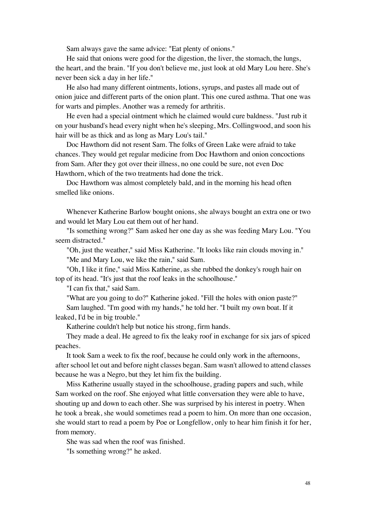Sam always gave the same advice: "Eat plenty of onions."

He said that onions were good for the digestion, the liver, the stomach, the lungs, the heart, and the brain. "If you don't believe me, just look at old Mary Lou here. She's never been sick a day in her life."

He also had many different ointments, lotions, syrups, and pastes all made out of onion juice and different parts of the onion plant. This one cured asthma. That one was for warts and pimples. Another was a remedy for arthritis.

He even had a special ointment which he claimed would cure baldness. "Just rub it on your husband's head every night when he's sleeping, Mrs. Collingwood, and soon his hair will be as thick and as long as Mary Lou's tail."

Doc Hawthorn did not resent Sam. The folks of Green Lake were afraid to take chances. They would get regular medicine from Doc Hawthorn and onion concoctions from Sam. After they got over their illness, no one could be sure, not even Doc Hawthorn, which of the two treatments had done the trick.

Doc Hawthorn was almost completely bald, and in the morning his head often smelled like onions.

Whenever Katherine Barlow bought onions, she always bought an extra one or two and would let Mary Lou eat them out of her hand.

"Is something wrong?" Sam asked her one day as she was feeding Mary Lou. "You seem distracted."

"Oh, just the weather," said Miss Katherine. "It looks like rain clouds moving in." "Me and Mary Lou, we like the rain," said Sam.

"Oh, I like it fine," said Miss Katherine, as she rubbed the donkey's rough hair on top of its head. "It's just that the roof leaks in the schoolhouse."

"I can fix that," said Sam.

"What are you going to do?" Katherine joked. "Fill the holes with onion paste?" Sam laughed. "I'm good with my hands," he told her. "I built my own boat. If it leaked, I'd be in big trouble."

Katherine couldn't help but notice his strong, firm hands.

They made a deal. He agreed to fix the leaky roof in exchange for six jars of spiced peaches.

It took Sam a week to fix the roof, because he could only work in the afternoons, after school let out and before night classes began. Sam wasn't allowed to attend classes because he was a Negro, but they let him fix the building.

Miss Katherine usually stayed in the schoolhouse, grading papers and such, while Sam worked on the roof. She enjoyed what little conversation they were able to have, shouting up and down to each other. She was surprised by his interest in poetry. When he took a break, she would sometimes read a poem to him. On more than one occasion, she would start to read a poem by Poe or Longfellow, only to hear him finish it for her, from memory.

She was sad when the roof was finished.

"Is something wrong?" he asked.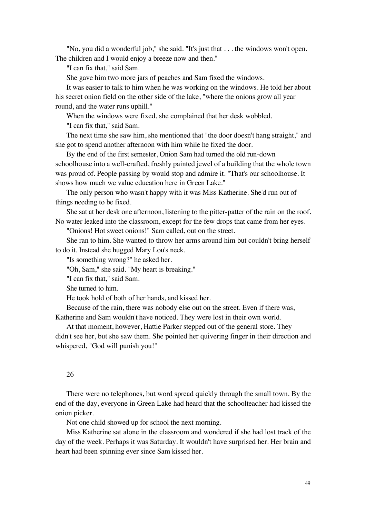"No, you did a wonderful job," she said. "It's just that . . . the windows won't open. The children and I would enjoy a breeze now and then."

"I can fix that," said Sam.

She gave him two more jars of peaches and Sam fixed the windows.

It was easier to talk to him when he was working on the windows. He told her about his secret onion field on the other side of the lake, "where the onions grow all year round, and the water runs uphill."

When the windows were fixed, she complained that her desk wobbled.

"I can fix that," said Sam.

The next time she saw him, she mentioned that "the door doesn't hang straight," and she got to spend another afternoon with him while he fixed the door.

By the end of the first semester, Onion Sam had turned the old run-down schoolhouse into a well-crafted, freshly painted jewel of a building that the whole town was proud of. People passing by would stop and admire it. "That's our schoolhouse. It shows how much we value education here in Green Lake."

The only person who wasn't happy with it was Miss Katherine. She'd run out of things needing to be fixed.

She sat at her desk one afternoon, listening to the pitter-patter of the rain on the roof. No water leaked into the classroom, except for the few drops that came from her eyes.

"Onions! Hot sweet onions!" Sam called, out on the street.

She ran to him. She wanted to throw her arms around him but couldn't bring herself to do it. Instead she hugged Mary Lou's neck.

"Is something wrong?" he asked her.

"Oh, Sam," she said. "My heart is breaking."

"I can fix that," said Sam.

She turned to him.

He took hold of both of her hands, and kissed her.

Because of the rain, there was nobody else out on the street. Even if there was, Katherine and Sam wouldn't have noticed. They were lost in their own world.

At that moment, however, Hattie Parker stepped out of the general store. They didn't see her, but she saw them. She pointed her quivering finger in their direction and whispered, "God will punish you!"

## 26

There were no telephones, but word spread quickly through the small town. By the end of the day, everyone in Green Lake had heard that the schoolteacher had kissed the onion picker.

Not one child showed up for school the next morning.

Miss Katherine sat alone in the classroom and wondered if she had lost track of the day of the week. Perhaps it was Saturday. It wouldn't have surprised her. Her brain and heart had been spinning ever since Sam kissed her.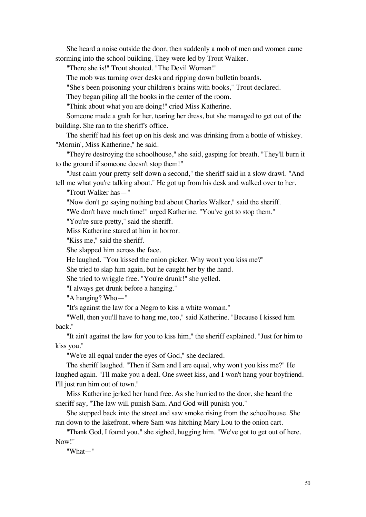She heard a noise outside the door, then suddenly a mob of men and women came storming into the school building. They were led by Trout Walker.

"There she is!" Trout shouted. "The Devil Woman!"

The mob was turning over desks and ripping down bulletin boards.

"She's been poisoning your children's brains with books," Trout declared.

They began piling all the books in the center of the room.

"Think about what you are doing!" cried Miss Katherine.

Someone made a grab for her, tearing her dress, but she managed to get out of the building. She ran to the sheriff's office.

The sheriff had his feet up on his desk and was drinking from a bottle of whiskey. "Mornin', Miss Katherine," he said.

"They're destroying the schoolhouse," she said, gasping for breath. "They'll burn it to the ground if someone doesn't stop them!"

"Just calm your pretty self down a second," the sheriff said in a slow drawl. "And tell me what you're talking about." He got up from his desk and walked over to her.

"Trout Walker has—"

"Now don't go saying nothing bad about Charles Walker," said the sheriff.

"We don't have much time!" urged Katherine. "You've got to stop them."

"You're sure pretty," said the sheriff.

Miss Katherine stared at him in horror.

"Kiss me," said the sheriff.

She slapped him across the face.

He laughed. "You kissed the onion picker. Why won't you kiss me?"

She tried to slap him again, but he caught her by the hand.

She tried to wriggle free. "You're drunk!" she yelled.

"I always get drunk before a hanging."

"A hanging? Who—"

"It's against the law for a Negro to kiss a white woman."

"Well, then you'll have to hang me, too," said Katherine. "Because I kissed him back."

"It ain't against the law for you to kiss him," the sheriff explained. "Just for him to kiss you."

"We're all equal under the eyes of God," she declared.

The sheriff laughed. "Then if Sam and I are equal, why won't you kiss me?" He laughed again. "I'll make you a deal. One sweet kiss, and I won't hang your boyfriend. I'll just run him out of town."

Miss Katherine jerked her hand free. As she hurried to the door, she heard the sheriff say, "The law will punish Sam. And God will punish you."

She stepped back into the street and saw smoke rising from the schoolhouse. She ran down to the lakefront, where Sam was hitching Mary Lou to the onion cart.

"Thank God, I found you," she sighed, hugging him. "We've got to get out of here. Now!"

"What—"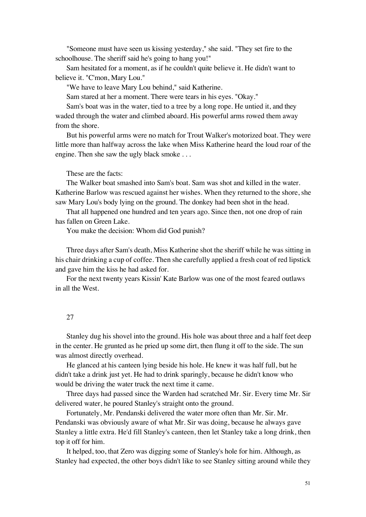"Someone must have seen us kissing yesterday," she said. "They set fire to the schoolhouse. The sheriff said he's going to hang you!"

Sam hesitated for a moment, as if he couldn't quite believe it. He didn't want to believe it. "C'mon, Mary Lou."

"We have to leave Mary Lou behind," said Katherine.

Sam stared at her a moment. There were tears in his eyes. "Okay."

Sam's boat was in the water, tied to a tree by a long rope. He untied it, and they waded through the water and climbed aboard. His powerful arms rowed them away from the shore.

But his powerful arms were no match for Trout Walker's motorized boat. They were little more than halfway across the lake when Miss Katherine heard the loud roar of the engine. Then she saw the ugly black smoke . . .

These are the facts:

The Walker boat smashed into Sam's boat. Sam was shot and killed in the water. Katherine Barlow was rescued against her wishes. When they returned to the shore, she saw Mary Lou's body lying on the ground. The donkey had been shot in the head.

That all happened one hundred and ten years ago. Since then, not one drop of rain has fallen on Green Lake.

You make the decision: Whom did God punish?

Three days after Sam's death, Miss Katherine shot the sheriff while he was sitting in his chair drinking a cup of coffee. Then she carefully applied a fresh coat of red lipstick and gave him the kiss he had asked for.

For the next twenty years Kissin' Kate Barlow was one of the most feared outlaws in all the West.

# 27

Stanley dug his shovel into the ground. His hole was about three and a half feet deep in the center. He grunted as he pried up some dirt, then flung it off to the side. The sun was almost directly overhead.

He glanced at his canteen lying beside his hole. He knew it was half full, but he didn't take a drink just yet. He had to drink sparingly, because he didn't know who would be driving the water truck the next time it came.

Three days had passed since the Warden had scratched Mr. Sir. Every time Mr. Sir delivered water, he poured Stanley's straight onto the ground.

Fortunately, Mr. Pendanski delivered the water more often than Mr. Sir. Mr. Pendanski was obviously aware of what Mr. Sir was doing, because he always gave Stanley a little extra. He'd fill Stanley's canteen, then let Stanley take a long drink, then top it off for him.

It helped, too, that Zero was digging some of Stanley's hole for him. Although, as Stanley had expected, the other boys didn't like to see Stanley sitting around while they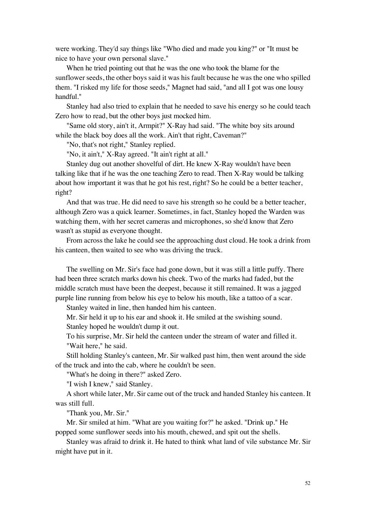were working. They'd say things like "Who died and made you king?" or "It must be nice to have your own personal slave."

When he tried pointing out that he was the one who took the blame for the sunflower seeds, the other boys said it was his fault because he was the one who spilled them. "I risked my life for those seeds," Magnet had said, "and all I got was one lousy handful."

Stanley had also tried to explain that he needed to save his energy so he could teach Zero how to read, but the other boys just mocked him.

"Same old story, ain't it, Armpit?" X-Ray had said. "The white boy sits around while the black boy does all the work. Ain't that right, Caveman?"

"No, that's not right," Stanley replied.

"No, it ain't," X-Ray agreed. "It ain't right at all."

Stanley dug out another shovelful of dirt. He knew X-Ray wouldn't have been talking like that if he was the one teaching Zero to read. Then X-Ray would be talking about how important it was that he got his rest, right? So he could be a better teacher, right?

And that was true. He did need to save his strength so he could be a better teacher, although Zero was a quick learner. Sometimes, in fact, Stanley hoped the Warden was watching them, with her secret cameras and microphones, so she'd know that Zero wasn't as stupid as everyone thought.

From across the lake he could see the approaching dust cloud. He took a drink from his canteen, then waited to see who was driving the truck.

The swelling on Mr. Sir's face had gone down, but it was still a little puffy. There had been three scratch marks down his cheek. Two of the marks had faded, but the middle scratch must have been the deepest, because it still remained. It was a jagged purple line running from below his eye to below his mouth, like a tattoo of a scar.

Stanley waited in line, then handed him his canteen.

Mr. Sir held it up to his ear and shook it. He smiled at the swishing sound. Stanley hoped he wouldn't dump it out.

To his surprise, Mr. Sir held the canteen under the stream of water and filled it. "Wait here," he said.

Still holding Stanley's canteen, Mr. Sir walked past him, then went around the side of the truck and into the cab, where he couldn't be seen.

"What's he doing in there?" asked Zero.

"I wish I knew," said Stanley.

A short while later, Mr. Sir came out of the truck and handed Stanley his canteen. It was still full.

"Thank you, Mr. Sir."

Mr. Sir smiled at him. "What are you waiting for?" he asked. "Drink up." He popped some sunflower seeds into his mouth, chewed, and spit out the shells.

Stanley was afraid to drink it. He hated to think what land of vile substance Mr. Sir might have put in it.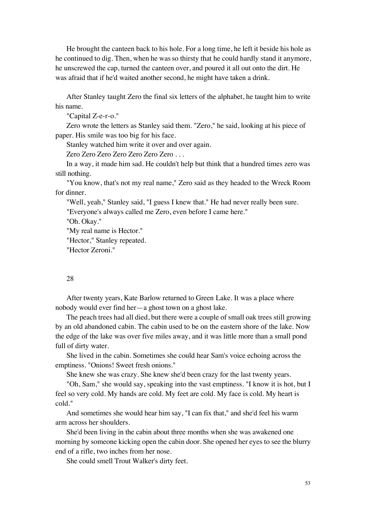He brought the canteen back to his hole. For a long time, he left it beside his hole as he continued to dig. Then, when he was so thirsty that he could hardly stand it anymore, he unscrewed the cap, turned the canteen over, and poured it all out onto the dirt. He was afraid that if he'd waited another second, he might have taken a drink.

After Stanley taught Zero the final six letters of the alphabet, he taught him to write his name.

"Capital Z-e-r-o."

Zero wrote the letters as Stanley said them. "Zero," he said, looking at his piece of paper. His smile was too big for his face.

Stanley watched him write it over and over again.

Zero Zero Zero Zero Zero Zero Zero . . .

In a way, it made him sad. He couldn't help but think that a hundred times zero was still nothing.

"You know, that's not my real name," Zero said as they headed to the Wreck Room for dinner.

"Well, yeah," Stanley said, "I guess I knew that." He had never really been sure. "Everyone's always called me Zero, even before I came here."

"Oh. Okay."

"My real name is Hector."

"Hector," Stanley repeated.

"Hector Zeroni."

## 28

After twenty years, Kate Barlow returned to Green Lake. It was a place where nobody would ever find her—a ghost town on a ghost lake.

The peach trees had all died, but there were a couple of small oak trees still growing by an old abandoned cabin. The cabin used to be on the eastern shore of the lake. Now the edge of the lake was over five miles away, and it was little more than a small pond full of dirty water.

She lived in the cabin. Sometimes she could hear Sam's voice echoing across the emptiness. "Onions! Sweet fresh onions."

She knew she was crazy. She knew she'd been crazy for the last twenty years.

"Oh, Sam," she would say, speaking into the vast emptiness. "I know it is hot, but I feel so very cold. My hands are cold. My feet are cold. My face is cold. My heart is cold."

And sometimes she would hear him say, "I can fix that," and she'd feel his warm arm across her shoulders.

She'd been living in the cabin about three months when she was awakened one morning by someone kicking open the cabin door. She opened her eyes to see the blurry end of a rifle, two inches from her nose.

She could smell Trout Walker's dirty feet.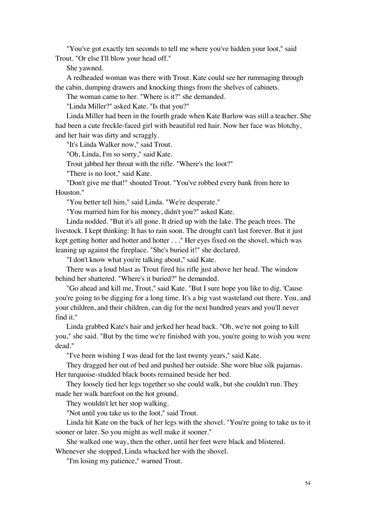"You've got exactly ten seconds to tell me where you've hidden your loot," said Trout. "Or else I'll blow your head off."

She yawned.

A redheaded woman was there with Trout. Kate could see her rummaging through the cabin, dumping drawers and knocking things from the shelves of cabinets.

The woman came to her. "Where is it?" she demanded.

"Linda Miller?" asked Kate. "Is that you?"

Linda Miller had been in the fourth grade when Kate Barlow was still a teacher. She had been a cute freckle-faced girl with beautiful red hair. Now her face was blotchy, and her hair was dirty and scraggly.

"It's Linda Walker now," said Trout.

"Oh, Linda, I'm so sorry," said Kate.

Trout jabbed her throat with the rifle. "Where's the loot?"

"There is no loot," said Kate.

"Don't give me that!" shouted Trout. "You've robbed every bank from here to Houston."

"You better tell him," said Linda. "We're desperate."

"You married him for his money, didn't you?" asked Kate.

Linda nodded. "But it's all gone. It dried up with the lake. The peach trees. The livestock. I kept thinking: It has to rain soon. The drought can't last forever. But it just kept getting hotter and hotter and hotter . . ." Her eyes fixed on the shovel, which was leaning up against the fireplace. "She's buried it!" she declared.

"I don't know what you're talking about," said Kate.

There was a loud blast as Trout fired his rifle just above her head. The window behind her shattered. "Where's it buried?" he demanded.

"Go ahead and kill me, Trout," said Kate. "But I sure hope you like to dig. 'Cause you're going to be digging for a long time. It's a big vast wasteland out there. You, and your children, and their children, can dig for the next hundred years and you'll never find it."

Linda grabbed Kate's hair and jerked her head back. "Oh, we're not going to kill you," she said. "But by the time we're finished with you, you're going to wish you were dead."

"I've been wishing I was dead for the last twenty years," said Kate.

They dragged her out of bed and pushed her outside. She wore blue silk pajamas. Her turquoise-studded black boots remained beside her bed.

They loosely tied her legs together so she could walk, but she couldn't run. They made her walk barefoot on the hot ground.

They wouldn't let her stop walking.

"Not until you take us to the loot," said Trout.

Linda hit Kate on the back of her legs with the shovel. "You're going to take us to it sooner or later. So you might as well make it sooner."

She walked one way, then the other, until her feet were black and blistered.

Whenever she stopped, Linda whacked her with the shovel.

"I'm losing my patience," warned Trout.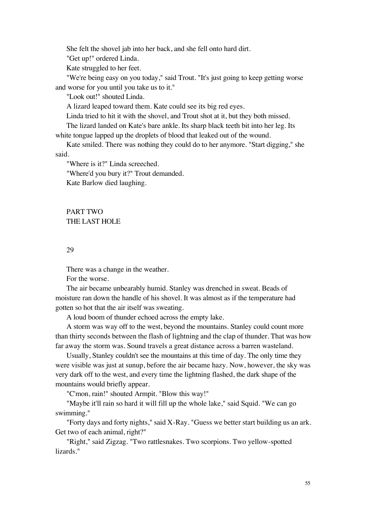She felt the shovel jab into her back, and she fell onto hard dirt.

"Get up!" ordered Linda.

Kate struggled to her feet.

"We're being easy on you today," said Trout. "It's just going to keep getting worse and worse for you until you take us to it."

"Look out!" shouted Linda.

A lizard leaped toward them. Kate could see its big red eyes.

Linda tried to hit it with the shovel, and Trout shot at it, but they both missed.

The lizard landed on Kate's bare ankle. Its sharp black teeth bit into her leg. Its white tongue lapped up the droplets of blood that leaked out of the wound.

Kate smiled. There was nothing they could do to her anymore. "Start digging," she said.

"Where is it?" Linda screeched.

"Where'd you bury it?" Trout demanded.

Kate Barlow died laughing.

# PART TWO THE LAST HOLE

### 29

There was a change in the weather.

For the worse.

The air became unbearably humid. Stanley was drenched in sweat. Beads of moisture ran down the handle of his shovel. It was almost as if the temperature had gotten so hot that the air itself was sweating.

A loud boom of thunder echoed across the empty lake.

A storm was way off to the west, beyond the mountains. Stanley could count more than thirty seconds between the flash of lightning and the clap of thunder. That was how far away the storm was. Sound travels a great distance across a barren wasteland.

Usually, Stanley couldn't see the mountains at this time of day. The only time they were visible was just at sunup, before the air became hazy. Now, however, the sky was very dark off to the west, and every time the lightning flashed, the dark shape of the mountains would briefly appear.

"C'mon, rain!" shouted Armpit. "Blow this way!"

"Maybe it'll rain so hard it will fill up the whole lake," said Squid. "We can go swimming."

"Forty days and forty nights," said X-Ray. "Guess we better start building us an ark. Get two of each animal, right?"

"Right," said Zigzag. "Two rattlesnakes. Two scorpions. Two yellow-spotted lizards."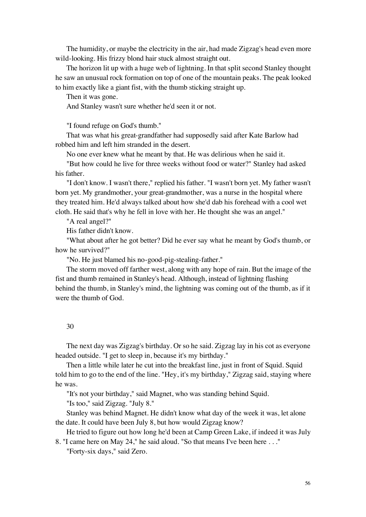The humidity, or maybe the electricity in the air, had made Zigzag's head even more wild-looking. His frizzy blond hair stuck almost straight out.

The horizon lit up with a huge web of lightning. In that split second Stanley thought he saw an unusual rock formation on top of one of the mountain peaks. The peak looked to him exactly like a giant fist, with the thumb sticking straight up.

Then it was gone.

And Stanley wasn't sure whether he'd seen it or not.

"I found refuge on God's thumb."

That was what his great-grandfather had supposedly said after Kate Barlow had robbed him and left him stranded in the desert.

No one ever knew what he meant by that. He was delirious when he said it.

"But how could he live for three weeks without food or water?" Stanley had asked his father.

"I don't know. I wasn't there," replied his father. "I wasn't born yet. My father wasn't born yet. My grandmother, your great-grandmother, was a nurse in the hospital where they treated him. He'd always talked about how she'd dab his forehead with a cool wet cloth. He said that's why he fell in love with her. He thought she was an angel."

"A real angel?"

His father didn't know.

"What about after he got better? Did he ever say what he meant by God's thumb, or how he survived?"

"No. He just blamed his no-good-pig-stealing-father."

The storm moved off farther west, along with any hope of rain. But the image of the fist and thumb remained in Stanley's head. Although, instead of lightning flashing behind the thumb, in Stanley's mind, the lightning was coming out of the thumb, as if it were the thumb of God.

## 30

The next day was Zigzag's birthday. Or so he said. Zigzag lay in his cot as everyone headed outside. "I get to sleep in, because it's my birthday."

Then a little while later he cut into the breakfast line, just in front of Squid. Squid told him to go to the end of the line. "Hey, it's my birthday," Zigzag said, staying where he was.

"It's not your birthday," said Magnet, who was standing behind Squid.

"Is too," said Zigzag. "July 8."

Stanley was behind Magnet. He didn't know what day of the week it was, let alone the date. It could have been July 8, but how would Zigzag know?

He tried to figure out how long he'd been at Camp Green Lake, if indeed it was July

8. "I came here on May 24," he said aloud. "So that means I've been here . . ." "Forty-six days," said Zero.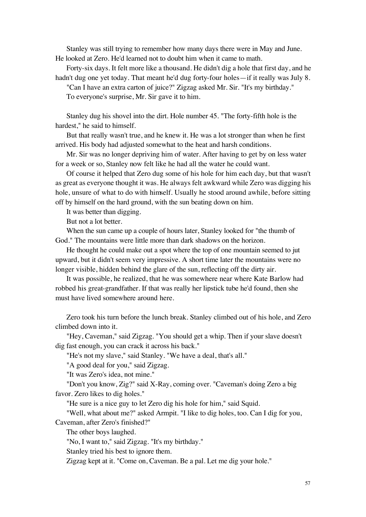Stanley was still trying to remember how many days there were in May and June. He looked at Zero. He'd learned not to doubt him when it came to math.

Forty-six days. It felt more like a thousand. He didn't dig a hole that first day, and he hadn't dug one yet today. That meant he'd dug forty-four holes—if it really was July 8.

"Can I have an extra carton of juice?" Zigzag asked Mr. Sir. "It's my birthday." To everyone's surprise, Mr. Sir gave it to him.

Stanley dug his shovel into the dirt. Hole number 45. "The forty-fifth hole is the hardest," he said to himself.

But that really wasn't true, and he knew it. He was a lot stronger than when he first arrived. His body had adjusted somewhat to the heat and harsh conditions.

Mr. Sir was no longer depriving him of water. After having to get by on less water for a week or so, Stanley now felt like he had all the water he could want.

Of course it helped that Zero dug some of his hole for him each day, but that wasn't as great as everyone thought it was. He always felt awkward while Zero was digging his hole, unsure of what to do with himself. Usually he stood around awhile, before sitting off by himself on the hard ground, with the sun beating down on him.

It was better than digging.

But not a lot better.

When the sun came up a couple of hours later, Stanley looked for "the thumb of God." The mountains were little more than dark shadows on the horizon.

He thought he could make out a spot where the top of one mountain seemed to jut upward, but it didn't seem very impressive. A short time later the mountains were no longer visible, hidden behind the glare of the sun, reflecting off the dirty air.

It was possible, he realized, that he was somewhere near where Kate Barlow had robbed his great-grandfather. If that was really her lipstick tube he'd found, then she must have lived somewhere around here.

Zero took his turn before the lunch break. Stanley climbed out of his hole, and Zero climbed down into it.

"Hey, Caveman," said Zigzag. "You should get a whip. Then if your slave doesn't dig fast enough, you can crack it across his back."

"He's not my slave," said Stanley. "We have a deal, that's all."

"A good deal for you," said Zigzag.

"It was Zero's idea, not mine."

"Don't you know, Zig?" said X-Ray, coming over. "Caveman's doing Zero a big favor. Zero likes to dig holes."

"He sure is a nice guy to let Zero dig his hole for him," said Squid.

"Well, what about me?" asked Armpit. "I like to dig holes, too. Can I dig for you, Caveman, after Zero's finished?"

The other boys laughed.

"No, I want to," said Zigzag. "It's my birthday."

Stanley tried his best to ignore them.

Zigzag kept at it. "Come on, Caveman. Be a pal. Let me dig your hole."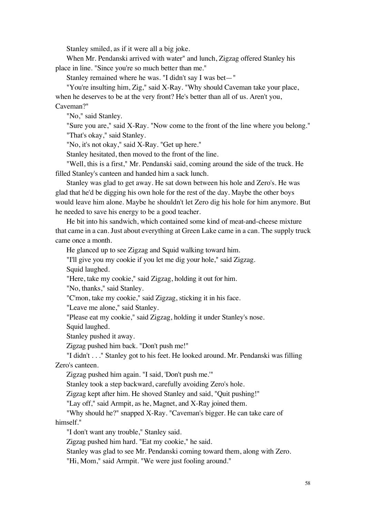Stanley smiled, as if it were all a big joke.

When Mr. Pendanski arrived with water" and lunch, Zigzag offered Stanley his place in line. "Since you're so much better than me."

Stanley remained where he was. "I didn't say I was bet—"

"You're insulting him, Zig," said X-Ray. "Why should Caveman take your place, when he deserves to be at the very front? He's better than all of us. Aren't you, Caveman?"

"No," said Stanley.

"Sure you are," said X-Ray. "Now come to the front of the line where you belong." "That's okay," said Stanley.

"No, it's not okay," said X-Ray. "Get up here."

Stanley hesitated, then moved to the front of the line.

"Well, this is a first," Mr. Pendanski said, coming around the side of the truck. He filled Stanley's canteen and handed him a sack lunch.

Stanley was glad to get away. He sat down between his hole and Zero's. He was glad that he'd be digging his own hole for the rest of the day. Maybe the other boys would leave him alone. Maybe he shouldn't let Zero dig his hole for him anymore. But he needed to save his energy to be a good teacher.

He bit into his sandwich, which contained some kind of meat-and-cheese mixture that came in a can. Just about everything at Green Lake came in a can. The supply truck came once a month.

He glanced up to see Zigzag and Squid walking toward him.

"I'll give you my cookie if you let me dig your hole," said Zigzag. Squid laughed.

"Here, take my cookie," said Zigzag, holding it out for him.

"No, thanks," said Stanley.

"C'mon, take my cookie," said Zigzag, sticking it in his face.

"Leave me alone," said Stanley.

"Please eat my cookie," said Zigzag, holding it under Stanley's nose.

Squid laughed.

Stanley pushed it away.

Zigzag pushed him back. "Don't push me!"

"I didn't . . ." Stanley got to his feet. He looked around. Mr. Pendanski was filling Zero's canteen.

Zigzag pushed him again. "I said, 'Don't push me.'"

Stanley took a step backward, carefully avoiding Zero's hole.

Zigzag kept after him. He shoved Stanley and said, "Quit pushing!"

"Lay off," said Armpit, as he, Magnet, and X-Ray joined them.

"Why should he?" snapped X-Ray. "Caveman's bigger. He can take care of himself."

"I don't want any trouble," Stanley said.

Zigzag pushed him hard. "Eat my cookie," he said.

Stanley was glad to see Mr. Pendanski coming toward them, along with Zero.

"Hi, Mom," said Armpit. "We were just fooling around."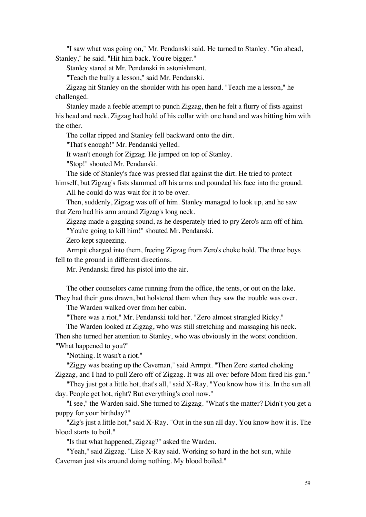"I saw what was going on," Mr. Pendanski said. He turned to Stanley. "Go ahead, Stanley," he said. "Hit him back. You're bigger."

Stanley stared at Mr. Pendanski in astonishment.

"Teach the bully a lesson," said Mr. Pendanski.

Zigzag hit Stanley on the shoulder with his open hand. "Teach me a lesson," he challenged.

Stanley made a feeble attempt to punch Zigzag, then he felt a flurry of fists against his head and neck. Zigzag had hold of his collar with one hand and was hitting him with the other.

The collar ripped and Stanley fell backward onto the dirt.

"That's enough!" Mr. Pendanski yelled.

It wasn't enough for Zigzag. He jumped on top of Stanley.

"Stop!" shouted Mr. Pendanski.

The side of Stanley's face was pressed flat against the dirt. He tried to protect himself, but Zigzag's fists slammed off his arms and pounded his face into the ground. All he could do was wait for it to be over.

Then, suddenly, Zigzag was off of him. Stanley managed to look up, and he saw that Zero had his arm around Zigzag's long neck.

Zigzag made a gagging sound, as he desperately tried to pry Zero's arm off of him. "You're going to kill him!" shouted Mr. Pendanski.

Zero kept squeezing.

Armpit charged into them, freeing Zigzag from Zero's choke hold. The three boys fell to the ground in different directions.

Mr. Pendanski fired his pistol into the air.

The other counselors came running from the office, the tents, or out on the lake. They had their guns drawn, but holstered them when they saw the trouble was over.

The Warden walked over from her cabin.

"There was a riot," Mr. Pendanski told her. "Zero almost strangled Ricky."

The Warden looked at Zigzag, who was still stretching and massaging his neck. Then she turned her attention to Stanley, who was obviously in the worst condition. "What happened to you?"

"Nothing. It wasn't a riot."

"Ziggy was beating up the Caveman," said Armpit. "Then Zero started choking Zigzag, and I had to pull Zero off of Zigzag. It was all over before Mom fired his gun."

"They just got a little hot, that's all," said X-Ray. "You know how it is. In the sun all day. People get hot, right? But everything's cool now."

"I see," the Warden said. She turned to Zigzag. "What's the matter? Didn't you get a puppy for your birthday?"

"Zig's just a little hot," said X-Ray. "Out in the sun all day. You know how it is. The blood starts to boil."

"Is that what happened, Zigzag?" asked the Warden.

"Yeah," said Zigzag. "Like X-Ray said. Working so hard in the hot sun, while Caveman just sits around doing nothing. My blood boiled."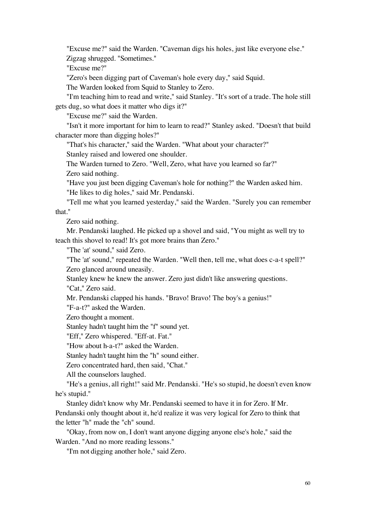"Excuse me?" said the Warden. "Caveman digs his holes, just like everyone else."

Zigzag shrugged. "Sometimes."

"Excuse me?"

"Zero's been digging part of Caveman's hole every day," said Squid.

The Warden looked from Squid to Stanley to Zero.

"I'm teaching him to read and write," said Stanley. "It's sort of a trade. The hole still gets dug, so what does it matter who digs it?"

"Excuse me?" said the Warden.

"Isn't it more important for him to learn to read?" Stanley asked. "Doesn't that build character more than digging holes?"

"That's his character," said the Warden. "What about your character?" Stanley raised and lowered one shoulder.

The Warden turned to Zero. "Well, Zero, what have you learned so far?" Zero said nothing.

"Have you just been digging Caveman's hole for nothing?" the Warden asked him. "He likes to dig holes," said Mr. Pendanski.

"Tell me what you learned yesterday," said the Warden. "Surely you can remember that."

Zero said nothing.

Mr. Pendanski laughed. He picked up a shovel and said, "You might as well try to teach this shovel to read! It's got more brains than Zero."

"The 'at' sound," said Zero.

"The 'at' sound," repeated the Warden. "Well then, tell me, what does c-a-t spell?" Zero glanced around uneasily.

Stanley knew he knew the answer. Zero just didn't like answering questions.

"Cat," Zero said.

Mr. Pendanski clapped his hands. "Bravo! Bravo! The boy's a genius!"

"F-a-t?" asked the Warden.

Zero thought a moment.

Stanley hadn't taught him the "f" sound yet.

"Eff," Zero whispered. "Eff-at. Fat."

"How about h-a-t?" asked the Warden.

Stanley hadn't taught him the "h" sound either.

Zero concentrated hard, then said, "Chat."

All the counselors laughed.

"He's a genius, all right!" said Mr. Pendanski. "He's so stupid, he doesn't even know he's stupid."

Stanley didn't know why Mr. Pendanski seemed to have it in for Zero. If Mr. Pendanski only thought about it, he'd realize it was very logical for Zero to think that the letter "h" made the "ch" sound.

"Okay, from now on, I don't want anyone digging anyone else's hole," said the Warden. "And no more reading lessons."

"I'm not digging another hole," said Zero.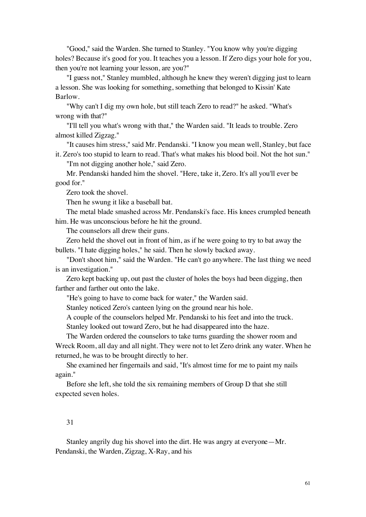"Good," said the Warden. She turned to Stanley. "You know why you're digging holes? Because it's good for you. It teaches you a lesson. If Zero digs your hole for you, then you're not learning your lesson, are you?"

"I guess not," Stanley mumbled, although he knew they weren't digging just to learn a lesson. She was looking for something, something that belonged to Kissin' Kate Barlow.

"Why can't I dig my own hole, but still teach Zero to read?" he asked. "What's wrong with that?"

"I'll tell you what's wrong with that," the Warden said. "It leads to trouble. Zero almost killed Zigzag."

"It causes him stress," said Mr. Pendanski. "I know you mean well, Stanley, but face it. Zero's too stupid to learn to read. That's what makes his blood boil. Not the hot sun."

"I'm not digging another hole," said Zero.

Mr. Pendanski handed him the shovel. "Here, take it, Zero. It's all you'll ever be good for."

Zero took the shovel.

Then he swung it like a baseball bat.

The metal blade smashed across Mr. Pendanski's face. His knees crumpled beneath him. He was unconscious before he hit the ground.

The counselors all drew their guns.

Zero held the shovel out in front of him, as if he were going to try to bat away the bullets. "I hate digging holes," he said. Then he slowly backed away.

"Don't shoot him," said the Warden. "He can't go anywhere. The last thing we need is an investigation."

Zero kept backing up, out past the cluster of holes the boys had been digging, then farther and farther out onto the lake.

"He's going to have to come back for water," the Warden said.

Stanley noticed Zero's canteen lying on the ground near his hole.

A couple of the counselors helped Mr. Pendanski to his feet and into the truck.

Stanley looked out toward Zero, but he had disappeared into the haze.

The Warden ordered the counselors to take turns guarding the shower room and Wreck Room, all day and all night. They were not to let Zero drink any water. When he returned, he was to be brought directly to her.

She examined her fingernails and said, "It's almost time for me to paint my nails again."

Before she left, she told the six remaining members of Group D that she still expected seven holes.

## 31

Stanley angrily dug his shovel into the dirt. He was angry at everyone—Mr. Pendanski, the Warden, Zigzag, X-Ray, and his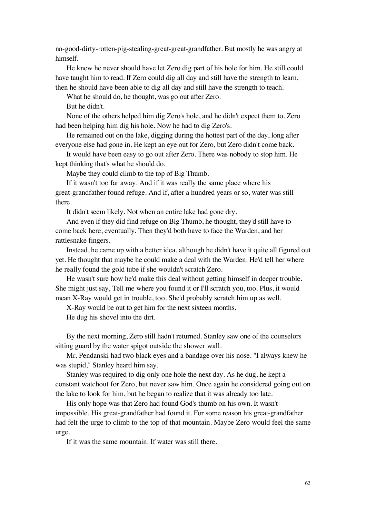no-good-dirty-rotten-pig-stealing-great-great-grandfather. But mostly he was angry at himself.

He knew he never should have let Zero dig part of his hole for him. He still could have taught him to read. If Zero could dig all day and still have the strength to learn, then he should have been able to dig all day and still have the strength to teach.

What he should do, he thought, was go out after Zero.

But he didn't.

None of the others helped him dig Zero's hole, and he didn't expect them to. Zero had been helping him dig his hole. Now he had to dig Zero's.

He remained out on the lake, digging during the hottest part of the day, long after everyone else had gone in. He kept an eye out for Zero, but Zero didn't come back.

It would have been easy to go out after Zero. There was nobody to stop him. He kept thinking that's what he should do.

Maybe they could climb to the top of Big Thumb.

If it wasn't too far away. And if it was really the same place where his great-grandfather found refuge. And if, after a hundred years or so, water was still there.

It didn't seem likely. Not when an entire lake had gone dry.

And even if they did find refuge on Big Thumb, he thought, they'd still have to come back here, eventually. Then they'd both have to face the Warden, and her rattlesnake fingers.

Instead, he came up with a better idea, although he didn't have it quite all figured out yet. He thought that maybe he could make a deal with the Warden. He'd tell her where he really found the gold tube if she wouldn't scratch Zero.

He wasn't sure how he'd make this deal without getting himself in deeper trouble. She might just say, Tell me where you found it or I'll scratch you, too. Plus, it would mean X-Ray would get in trouble, too. She'd probably scratch him up as well.

X-Ray would be out to get him for the next sixteen months.

He dug his shovel into the dirt.

By the next morning, Zero still hadn't returned. Stanley saw one of the counselors sitting guard by the water spigot outside the shower wall.

Mr. Pendanski had two black eyes and a bandage over his nose. "I always knew he was stupid," Stanley heard him say.

Stanley was required to dig only one hole the next day. As he dug, he kept a constant watchout for Zero, but never saw him. Once again he considered going out on the lake to look for him, but he began to realize that it was already too late.

His only hope was that Zero had found God's thumb on his own. It wasn't impossible. His great-grandfather had found it. For some reason his great-grandfather had felt the urge to climb to the top of that mountain. Maybe Zero would feel the same urge.

If it was the same mountain. If water was still there.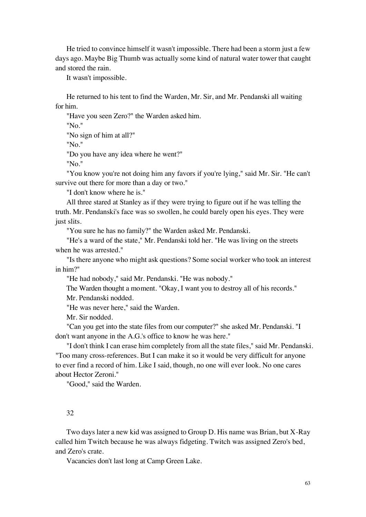He tried to convince himself it wasn't impossible. There had been a storm just a few days ago. Maybe Big Thumb was actually some kind of natural water tower that caught and stored the rain.

It wasn't impossible.

He returned to his tent to find the Warden, Mr. Sir, and Mr. Pendanski all waiting for him.

"Have you seen Zero?" the Warden asked him.

"No."

"No sign of him at all?"

"No."

"Do you have any idea where he went?"

"No."

"You know you're not doing him any favors if you're lying," said Mr. Sir. "He can't survive out there for more than a day or two."

"I don't know where he is."

All three stared at Stanley as if they were trying to figure out if he was telling the truth. Mr. Pendanski's face was so swollen, he could barely open his eyes. They were just slits.

"You sure he has no family?" the Warden asked Mr. Pendanski.

"He's a ward of the state," Mr. Pendanski told her. "He was living on the streets when he was arrested."

"Is there anyone who might ask questions? Some social worker who took an interest in him?"

"He had nobody," said Mr. Pendanski. "He was nobody."

The Warden thought a moment. "Okay, I want you to destroy all of his records."

Mr. Pendanski nodded.

"He was never here," said the Warden.

Mr. Sir nodded.

"Can you get into the state files from our computer?" she asked Mr. Pendanski. "I don't want anyone in the A.G.'s office to know he was here."

"I don't think I can erase him completely from all the state files," said Mr. Pendanski. "Too many cross-references. But I can make it so it would be very difficult for anyone to ever find a record of him. Like I said, though, no one will ever look. No one cares about Hector Zeroni."

"Good," said the Warden.

# 32

Two days later a new kid was assigned to Group D. His name was Brian, but X-Ray called him Twitch because he was always fidgeting. Twitch was assigned Zero's bed, and Zero's crate.

Vacancies don't last long at Camp Green Lake.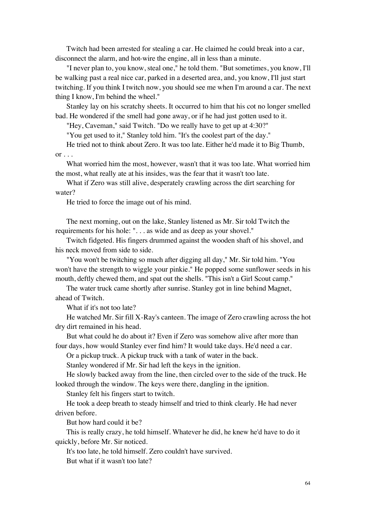Twitch had been arrested for stealing a car. He claimed he could break into a car, disconnect the alarm, and hot-wire the engine, all in less than a minute.

"I never plan to, you know, steal one," he told them. "But sometimes, you know, I'll be walking past a real nice car, parked in a deserted area, and, you know, I'll just start twitching. If you think I twitch now, you should see me when I'm around a car. The next thing I know, I'm behind the wheel."

Stanley lay on his scratchy sheets. It occurred to him that his cot no longer smelled bad. He wondered if the smell had gone away, or if he had just gotten used to it.

"Hey, Caveman," said Twitch. "Do we really have to get up at 4:30?"

"You get used to it," Stanley told him. "It's the coolest part of the day."

He tried not to think about Zero. It was too late. Either he'd made it to Big Thumb,  $or \ldots$ 

What worried him the most, however, wasn't that it was too late. What worried him the most, what really ate at his insides, was the fear that it wasn't too late.

What if Zero was still alive, desperately crawling across the dirt searching for water?

He tried to force the image out of his mind.

The next morning, out on the lake, Stanley listened as Mr. Sir told Twitch the requirements for his hole: ". . . as wide and as deep as your shovel."

Twitch fidgeted. His fingers drummed against the wooden shaft of his shovel, and his neck moved from side to side.

"You won't be twitching so much after digging all day," Mr. Sir told him. "You won't have the strength to wiggle your pinkie." He popped some sunflower seeds in his mouth, deftly chewed them, and spat out the shells. "This isn't a Girl Scout camp."

The water truck came shortly after sunrise. Stanley got in line behind Magnet, ahead of Twitch.

What if it's not too late?

He watched Mr. Sir fill X-Ray's canteen. The image of Zero crawling across the hot dry dirt remained in his head.

But what could he do about it? Even if Zero was somehow alive after more than four days, how would Stanley ever find him? It would take days. He'd need a car.

Or a pickup truck. A pickup truck with a tank of water in the back.

Stanley wondered if Mr. Sir had left the keys in the ignition.

He slowly backed away from the line, then circled over to the side of the truck. He looked through the window. The keys were there, dangling in the ignition.

Stanley felt his fingers start to twitch.

He took a deep breath to steady himself and tried to think clearly. He had never driven before.

But how hard could it be?

This is really crazy, he told himself. Whatever he did, he knew he'd have to do it quickly, before Mr. Sir noticed.

It's too late, he told himself. Zero couldn't have survived.

But what if it wasn't too late?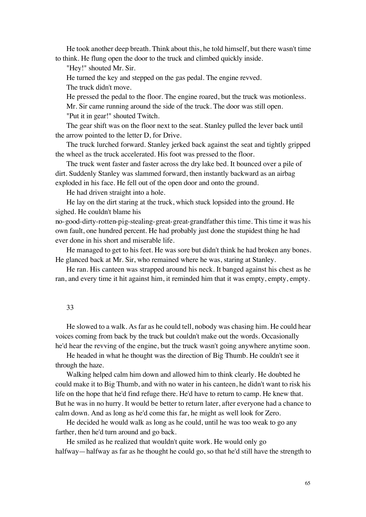He took another deep breath. Think about this, he told himself, but there wasn't time to think. He flung open the door to the truck and climbed quickly inside.

"Hey!" shouted Mr. Sir.

He turned the key and stepped on the gas pedal. The engine revved.

The truck didn't move.

He pressed the pedal to the floor. The engine roared, but the truck was motionless. Mr. Sir came running around the side of the truck. The door was still open.

"Put it in gear!" shouted Twitch.

The gear shift was on the floor next to the seat. Stanley pulled the lever back until the arrow pointed to the letter D, for Drive.

The truck lurched forward. Stanley jerked back against the seat and tightly gripped the wheel as the truck accelerated. His foot was pressed to the floor.

The truck went faster and faster across the dry lake bed. It bounced over a pile of dirt. Suddenly Stanley was slammed forward, then instantly backward as an airbag exploded in his face. He fell out of the open door and onto the ground.

He had driven straight into a hole.

He lay on the dirt staring at the truck, which stuck lopsided into the ground. He sighed. He couldn't blame his

no-good-dirty-rotten-pig-stealing-great-great-grandfather this time. This time it was his own fault, one hundred percent. He had probably just done the stupidest thing he had ever done in his short and miserable life.

He managed to get to his feet. He was sore but didn't think he had broken any bones. He glanced back at Mr. Sir, who remained where he was, staring at Stanley.

He ran. His canteen was strapped around his neck. It banged against his chest as he ran, and every time it hit against him, it reminded him that it was empty, empty, empty.

# 33

He slowed to a walk. As far as he could tell, nobody was chasing him. He could hear voices coming from back by the truck but couldn't make out the words. Occasionally he'd hear the revving of the engine, but the truck wasn't going anywhere anytime soon.

He headed in what he thought was the direction of Big Thumb. He couldn't see it through the haze.

Walking helped calm him down and allowed him to think clearly. He doubted he could make it to Big Thumb, and with no water in his canteen, he didn't want to risk his life on the hope that he'd find refuge there. He'd have to return to camp. He knew that. But he was in no hurry. It would be better to return later, after everyone had a chance to calm down. And as long as he'd come this far, he might as well look for Zero.

He decided he would walk as long as he could, until he was too weak to go any farther, then he'd turn around and go back.

He smiled as he realized that wouldn't quite work. He would only go halfway—halfway as far as he thought he could go, so that he'd still have the strength to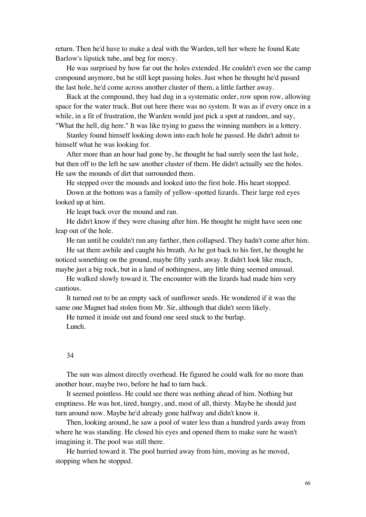return. Then he'd have to make a deal with the Warden, tell her where he found Kate Barlow's lipstick tube, and beg for mercy.

He was surprised by how far out the holes extended. He couldn't even see the camp compound anymore, but he still kept passing holes. Just when he thought he'd passed the last hole, he'd come across another cluster of them, a little farther away.

Back at the compound, they had dug in a systematic order, row upon row, allowing space for the water truck. But out here there was no system. It was as if every once in a while, in a fit of frustration, the Warden would just pick a spot at random, and say, "What the hell, dig here." It was like trying to guess the winning numbers in a lottery.

Stanley found himself looking down into each hole he passed. He didn't admit to himself what he was looking for.

After more than an hour had gone by, he thought he had surely seen the last hole, but then off to the left he saw another cluster of them. He didn't actually see the holes. He saw the mounds of dirt that surrounded them.

He stepped over the mounds and looked into the first hole. His heart stopped.

Down at the bottom was a family of yellow-spotted lizards. Their large red eyes looked up at him.

He leapt back over the mound and ran.

He didn't know if they were chasing after him. He thought he might have seen one leap out of the hole.

He ran until he couldn't run any farther, then collapsed. They hadn't come after him. He sat there awhile and caught his breath. As he got back to his feet, he thought he noticed something on the ground, maybe fifty yards away. It didn't look like much,

maybe just a big rock, but in a land of nothingness, any little thing seemed unusual. He walked slowly toward it. The encounter with the lizards had made him very cautious.

It turned out to be an empty sack of sunflower seeds. He wondered if it was the same one Magnet had stolen from Mr. Sir, although that didn't seem likely.

He turned it inside out and found one seed stuck to the burlap. Lunch.

## 34

The sun was almost directly overhead. He figured he could walk for no more than another hour, maybe two, before he had to turn back.

It seemed pointless. He could see there was nothing ahead of him. Nothing but emptiness. He was hot, tired, hungry, and, most of all, thirsty. Maybe he should just turn around now. Maybe he'd already gone halfway and didn't know it.

Then, looking around, he saw a pool of water less than a hundred yards away from where he was standing. He closed his eyes and opened them to make sure he wasn't imagining it. The pool was still there.

He hurried toward it. The pool hurried away from him, moving as he moved, stopping when he stopped.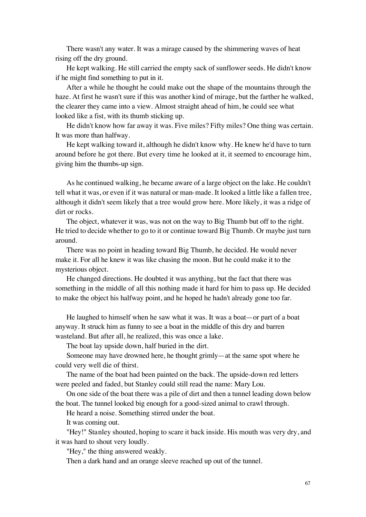There wasn't any water. It was a mirage caused by the shimmering waves of heat rising off the dry ground.

He kept walking. He still carried the empty sack of sunflower seeds. He didn't know if he might find something to put in it.

After a while he thought he could make out the shape of the mountains through the haze. At first he wasn't sure if this was another kind of mirage, but the farther he walked, the clearer they came into a view. Almost straight ahead of him, he could see what looked like a fist, with its thumb sticking up.

He didn't know how far away it was. Five miles? Fifty miles? One thing was certain. It was more than halfway.

He kept walking toward it, although he didn't know why. He knew he'd have to turn around before he got there. But every time he looked at it, it seemed to encourage him, giving him the thumbs-up sign.

As he continued walking, he became aware of a large object on the lake. He couldn't tell what it was, or even if it was natural or man-made. It looked a little like a fallen tree, although it didn't seem likely that a tree would grow here. More likely, it was a ridge of dirt or rocks.

The object, whatever it was, was not on the way to Big Thumb but off to the right. He tried to decide whether to go to it or continue toward Big Thumb. Or maybe just turn around.

There was no point in heading toward Big Thumb, he decided. He would never make it. For all he knew it was like chasing the moon. But he could make it to the mysterious object.

He changed directions. He doubted it was anything, but the fact that there was something in the middle of all this nothing made it hard for him to pass up. He decided to make the object his halfway point, and he hoped he hadn't already gone too far.

He laughed to himself when he saw what it was. It was a boat—or part of a boat anyway. It struck him as funny to see a boat in the middle of this dry and barren wasteland. But after all, he realized, this was once a lake.

The boat lay upside down, half buried in the dirt.

Someone may have drowned here, he thought grimly—at the same spot where he could very well die of thirst.

The name of the boat had been painted on the back. The upside-down red letters were peeled and faded, but Stanley could still read the name: Mary Lou.

On one side of the boat there was a pile of dirt and then a tunnel leading down below the boat. The tunnel looked big enough for a good-sized animal to crawl through.

He heard a noise. Something stirred under the boat.

It was coming out.

"Hey!" Stanley shouted, hoping to scare it back inside. His mouth was very dry, and it was hard to shout very loudly.

"Hey," the thing answered weakly.

Then a dark hand and an orange sleeve reached up out of the tunnel.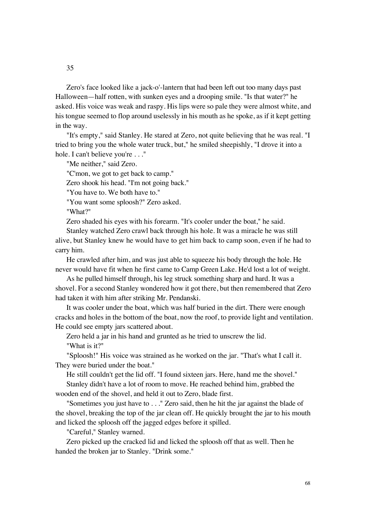Zero's face looked like a jack-o'-lantern that had been left out too many days past Halloween—half rotten, with sunken eyes and a drooping smile. "Is that water?" he asked. His voice was weak and raspy. His lips were so pale they were almost white, and his tongue seemed to flop around uselessly in his mouth as he spoke, as if it kept getting in the way.

"It's empty," said Stanley. He stared at Zero, not quite believing that he was real. "I tried to bring you the whole water truck, but," he smiled sheepishly, "I drove it into a hole. I can't believe you're . . ."

"Me neither," said Zero.

"C'mon, we got to get back to camp."

Zero shook his head. "I'm not going back."

"You have to. We both have to."

"You want some sploosh?" Zero asked.

"What?"

Zero shaded his eyes with his forearm. "It's cooler under the boat," he said.

Stanley watched Zero crawl back through his hole. It was a miracle he was still alive, but Stanley knew he would have to get him back to camp soon, even if he had to carry him.

He crawled after him, and was just able to squeeze his body through the hole. He never would have fit when he first came to Camp Green Lake. He'd lost a lot of weight.

As he pulled himself through, his leg struck something sharp and hard. It was a shovel. For a second Stanley wondered how it got there, but then remembered that Zero had taken it with him after striking Mr. Pendanski.

It was cooler under the boat, which was half buried in the dirt. There were enough cracks and holes in the bottom of the boat, now the roof, to provide light and ventilation. He could see empty jars scattered about.

Zero held a jar in his hand and grunted as he tried to unscrew the lid. "What is it?"

"Sploosh!" His voice was strained as he worked on the jar. "That's what I call it. They were buried under the boat."

He still couldn't get the lid off. "I found sixteen jars. Here, hand me the shovel." Stanley didn't have a lot of room to move. He reached behind him, grabbed the wooden end of the shovel, and held it out to Zero, blade first.

"Sometimes you just have to . . ." Zero said, then he hit the jar against the blade of the shovel, breaking the top of the jar clean off. He quickly brought the jar to his mouth and licked the sploosh off the jagged edges before it spilled.

"Careful," Stanley warned.

Zero picked up the cracked lid and licked the sploosh off that as well. Then he handed the broken jar to Stanley. "Drink some."

35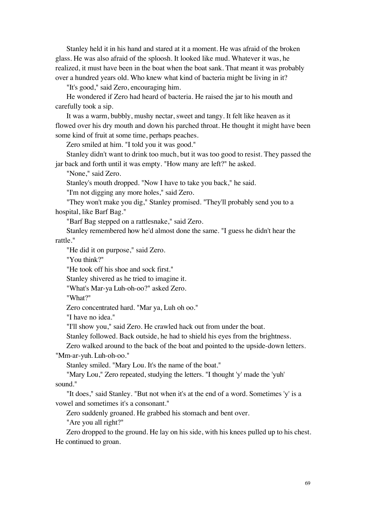Stanley held it in his hand and stared at it a moment. He was afraid of the broken glass. He was also afraid of the sploosh. It looked like mud. Whatever it was, he realized, it must have been in the boat when the boat sank. That meant it was probably over a hundred years old. Who knew what kind of bacteria might be living in it?

"It's good," said Zero, encouraging him.

He wondered if Zero had heard of bacteria. He raised the jar to his mouth and carefully took a sip.

It was a warm, bubbly, mushy nectar, sweet and tangy. It felt like heaven as it flowed over his dry mouth and down his parched throat. He thought it might have been some kind of fruit at some time, perhaps peaches.

Zero smiled at him. "I told you it was good."

Stanley didn't want to drink too much, but it was too good to resist. They passed the jar back and forth until it was empty. "How many are left?" he asked.

"None," said Zero.

Stanley's mouth dropped. "Now I have to take you back," he said.

"I'm not digging any more holes," said Zero.

"They won't make you dig," Stanley promised. "They'll probably send you to a hospital, like Barf Bag."

"Barf Bag stepped on a rattlesnake," said Zero.

Stanley remembered how he'd almost done the same. "I guess he didn't hear the rattle."

"He did it on purpose," said Zero.

"You think?"

"He took off his shoe and sock first."

Stanley shivered as he tried to imagine it.

"What's Mar-ya Luh-oh-oo?" asked Zero.

"What?"

Zero concentrated hard. "Mar ya, Luh oh oo."

"I have no idea."

"I'll show you," said Zero. He crawled hack out from under the boat.

Stanley followed. Back outside, he had to shield his eyes from the brightness.

Zero walked around to the back of the boat and pointed to the upside-down letters. "Mm-ar-yuh. Luh-oh-oo."

Stanley smiled. "Mary Lou. It's the name of the boat."

"Mary Lou," Zero repeated, studying the letters. "I thought 'y' made the 'yuh' sound."

"It does," said Stanley. "But not when it's at the end of a word. Sometimes 'y' is a vowel and sometimes it's a consonant."

Zero suddenly groaned. He grabbed his stomach and bent over.

"Are you all right?"

Zero dropped to the ground. He lay on his side, with his knees pulled up to his chest. He continued to groan.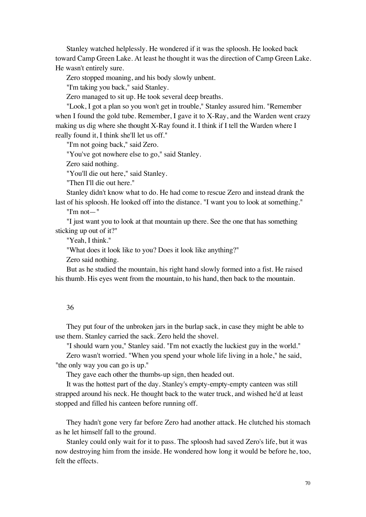Stanley watched helplessly. He wondered if it was the sploosh. He looked back toward Camp Green Lake. At least he thought it was the direction of Camp Green Lake. He wasn't entirely sure.

Zero stopped moaning, and his body slowly unbent.

"I'm taking you back," said Stanley.

Zero managed to sit up. He took several deep breaths.

"Look, I got a plan so you won't get in trouble," Stanley assured him. "Remember when I found the gold tube. Remember, I gave it to X-Ray, and the Warden went crazy making us dig where she thought X-Ray found it. I think if I tell the Warden where I really found it, I think she'll let us off."

"I'm not going back," said Zero.

"You've got nowhere else to go," said Stanley.

Zero said nothing.

"You'll die out here," said Stanley.

"Then I'll die out here."

Stanley didn't know what to do. He had come to rescue Zero and instead drank the last of his sploosh. He looked off into the distance. "I want you to look at something."

"I'm not—"

"I just want you to look at that mountain up there. See the one that has something sticking up out of it?"

"Yeah, I think."

"What does it look like to you? Does it look like anything?"

Zero said nothing.

But as he studied the mountain, his right hand slowly formed into a fist. He raised his thumb. His eyes went from the mountain, to his hand, then back to the mountain.

# 36

They put four of the unbroken jars in the burlap sack, in case they might be able to use them. Stanley carried the sack. Zero held the shovel.

"I should warn you," Stanley said. "I'm not exactly the luckiest guy in the world." Zero wasn't worried. "When you spend your whole life living in a hole," he said, "the only way you can go is up."

They gave each other the thumbs-up sign, then headed out.

It was the hottest part of the day. Stanley's empty-empty-empty canteen was still strapped around his neck. He thought back to the water truck, and wished he'd at least stopped and filled his canteen before running off.

They hadn't gone very far before Zero had another attack. He clutched his stomach as he let himself fall to the ground.

Stanley could only wait for it to pass. The sploosh had saved Zero's life, but it was now destroying him from the inside. He wondered how long it would be before he, too, felt the effects.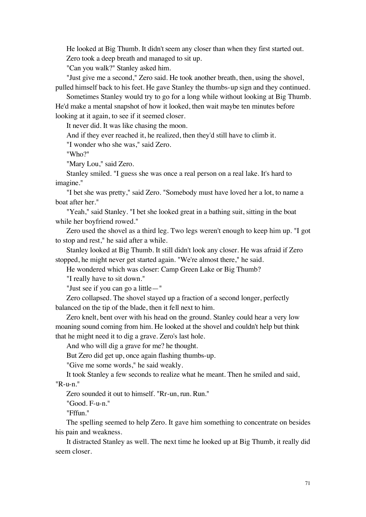He looked at Big Thumb. It didn't seem any closer than when they first started out. Zero took a deep breath and managed to sit up.

"Can you walk?" Stanley asked him.

"Just give me a second," Zero said. He took another breath, then, using the shovel, pulled himself back to his feet. He gave Stanley the thumbs-up sign and they continued.

Sometimes Stanley would try to go for a long while without looking at Big Thumb. He'd make a mental snapshot of how it looked, then wait maybe ten minutes before looking at it again, to see if it seemed closer.

It never did. It was like chasing the moon.

And if they ever reached it, he realized, then they'd still have to climb it.

"I wonder who she was," said Zero.

"Who?"

"Mary Lou," said Zero.

Stanley smiled. "I guess she was once a real person on a real lake. It's hard to imagine."

"I bet she was pretty," said Zero. "Somebody must have loved her a lot, to name a boat after her."

"Yeah," said Stanley. "I bet she looked great in a bathing suit, sitting in the boat while her boyfriend rowed."

Zero used the shovel as a third leg. Two legs weren't enough to keep him up. "I got to stop and rest," he said after a while.

Stanley looked at Big Thumb. It still didn't look any closer. He was afraid if Zero stopped, he might never get started again. "We're almost there," he said.

He wondered which was closer: Camp Green Lake or Big Thumb?

"I really have to sit down."

"Just see if you can go a little—"

Zero collapsed. The shovel stayed up a fraction of a second longer, perfectly balanced on the tip of the blade, then it fell next to him.

Zero knelt, bent over with his head on the ground. Stanley could hear a very low moaning sound coming from him. He looked at the shovel and couldn't help but think that he might need it to dig a grave. Zero's last hole.

And who will dig a grave for me? he thought.

But Zero did get up, once again flashing thumbs-up.

"Give me some words," he said weakly.

It took Stanley a few seconds to realize what he meant. Then he smiled and said, "R-u-n."

Zero sounded it out to himself. "Rr-un, run. Run."

"Good. F-u-n."

"Fffun."

The spelling seemed to help Zero. It gave him something to concentrate on besides his pain and weakness.

It distracted Stanley as well. The next time he looked up at Big Thumb, it really did seem closer.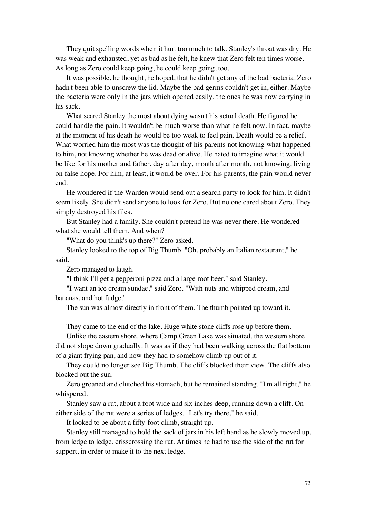They quit spelling words when it hurt too much to talk. Stanley's throat was dry. He was weak and exhausted, yet as bad as he felt, he knew that Zero felt ten times worse. As long as Zero could keep going, he could keep going, too.

It was possible, he thought, he hoped, that he didn't get any of the bad bacteria. Zero hadn't been able to unscrew the lid. Maybe the bad germs couldn't get in, either. Maybe the bacteria were only in the jars which opened easily, the ones he was now carrying in his sack.

What scared Stanley the most about dying wasn't his actual death. He figured he could handle the pain. It wouldn't be much worse than what he felt now. In fact, maybe at the moment of his death he would be too weak to feel pain. Death would be a relief. What worried him the most was the thought of his parents not knowing what happened to him, not knowing whether he was dead or alive. He hated to imagine what it would be like for his mother and father, day after day, month after month, not knowing, living on false hope. For him, at least, it would be over. For his parents, the pain would never end.

He wondered if the Warden would send out a search party to look for him. It didn't seem likely. She didn't send anyone to look for Zero. But no one cared about Zero. They simply destroyed his files.

But Stanley had a family. She couldn't pretend he was never there. He wondered what she would tell them. And when?

"What do you think's up there?" Zero asked.

Stanley looked to the top of Big Thumb. "Oh, probably an Italian restaurant," he said.

Zero managed to laugh.

"I think I'll get a pepperoni pizza and a large root beer," said Stanley.

"I want an ice cream sundae," said Zero. "With nuts and whipped cream, and bananas, and hot fudge."

The sun was almost directly in front of them. The thumb pointed up toward it.

They came to the end of the lake. Huge white stone cliffs rose up before them.

Unlike the eastern shore, where Camp Green Lake was situated, the western shore did not slope down gradually. It was as if they had been walking across the flat bottom of a giant frying pan, and now they had to somehow climb up out of it.

They could no longer see Big Thumb. The cliffs blocked their view. The cliffs also blocked out the sun.

Zero groaned and clutched his stomach, but he remained standing. "I'm all right," he whispered.

Stanley saw a rut, about a foot wide and six inches deep, running down a cliff. On either side of the rut were a series of ledges. "Let's try there," he said.

It looked to be about a fifty-foot climb, straight up.

Stanley still managed to hold the sack of jars in his left hand as he slowly moved up, from ledge to ledge, crisscrossing the rut. At times he had to use the side of the rut for support, in order to make it to the next ledge.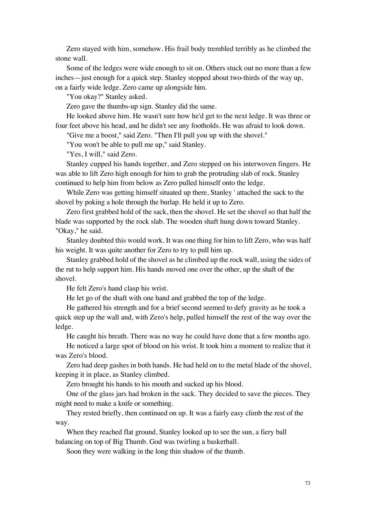Zero stayed with him, somehow. His frail body trembled terribly as he climbed the stone wall.

Some of the ledges were wide enough to sit on. Others stuck out no more than a few inches—just enough for a quick step. Stanley stopped about two-thirds of the way up, on a fairly wide ledge. Zero came up alongside him.

"You okay?" Stanley asked.

Zero gave the thumbs-up sign. Stanley did the same.

He looked above him. He wasn't sure how he'd get to the next ledge. It was three or four feet above his head, and he didn't see any footholds. He was afraid to look down.

"Give me a boost," said Zero. "Then I'll pull you up with the shovel."

"You won't be able to pull me up," said Stanley.

"Yes, I will," said Zero.

Stanley cupped his hands together, and Zero stepped on his interwoven fingers. He was able to lift Zero high enough for him to grab the protruding slab of rock. Stanley continued to help him from below as Zero pulled himself onto the ledge.

While Zero was getting himself situated up there, Stanley ' attached the sack to the shovel by poking a hole through the burlap. He held it up to Zero.

Zero first grabbed hold of the sack, then the shovel. He set the shovel so that half the blade was supported by the rock slab. The wooden shaft hung down toward Stanley. "Okay," he said.

Stanley doubted this would work. It was one thing for him to lift Zero, who was half his weight. It was quite another for Zero to try to pull him up.

Stanley grabbed hold of the shovel as he climbed up the rock wall, using the sides of the rut to help support him. His hands moved one over the other, up the shaft of the shovel.

He felt Zero's hand clasp his wrist.

He let go of the shaft with one hand and grabbed the top of the ledge.

He gathered his strength and for a brief second seemed to defy gravity as he took a quick step up the wall and, with Zero's help, pulled himself the rest of the way over the ledge.

He caught his breath. There was no way he could have done that a few months ago.

He noticed a large spot of blood on his wrist. It took him a moment to realize that it was Zero's blood.

Zero had deep gashes in both hands. He had held on to the metal blade of the shovel, keeping it in place, as Stanley climbed.

Zero brought his hands to his mouth and sucked up his blood.

One of the glass jars had broken in the sack. They decided to save the pieces. They might need to make a knife or something.

They rested briefly, then continued on up. It was a fairly easy climb the rest of the way.

When they reached flat ground, Stanley looked up to see the sun, a fiery ball balancing on top of Big Thumb. God was twirling a basketball.

Soon they were walking in the long thin shadow of the thumb.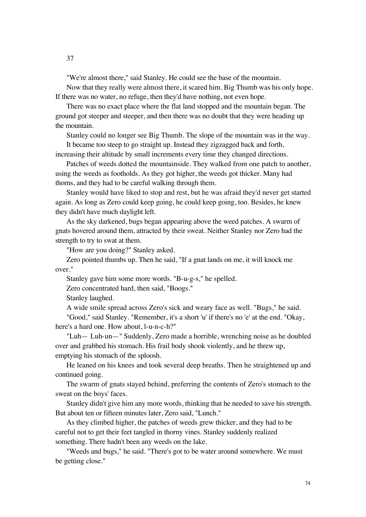"We're almost there," said Stanley. He could see the base of the mountain.

Now that they really were almost there, it scared him. Big Thumb was his only hope. If there was no water, no refuge, then they'd have nothing, not even hope.

There was no exact place where the flat land stopped and the mountain began. The ground got steeper and steeper, and then there was no doubt that they were heading up the mountain.

Stanley could no longer see Big Thumb. The slope of the mountain was in the way.

It became too steep to go straight up. Instead they zigzagged back and forth, increasing their altitude by small increments every time they changed directions.

Patches of weeds dotted the mountainside. They walked from one patch to another, using the weeds as footholds. As they got higher, the weeds got thicker. Many had thorns, and they had to be careful walking through them.

Stanley would have liked to stop and rest, but he was afraid they'd never get started again. As long as Zero could keep going, he could keep going, too. Besides, he knew they didn't have much daylight left.

As the sky darkened, bugs began appearing above the weed patches. A swarm of gnats hovered around them, attracted by their sweat. Neither Stanley nor Zero had the strength to try to swat at them.

"How are you doing?" Stanley asked.

Zero pointed thumbs up. Then he said, "If a gnat lands on me, it will knock me over."

Stanley gave him some more words. "B-u-g-s," he spelled.

Zero concentrated hard, then said, "Boogs."

Stanley laughed.

A wide smile spread across Zero's sick and weary face as well. "Bugs," he said.

"Good," said Stanley. "Remember, it's a short 'u' if there's no 'e' at the end. "Okay, here's a hard one. How about, l-u-n-c-h?"

"Luh— Luh-un—" Suddenly, Zero made a horrible, wrenching noise as he doubled over and grabbed his stomach. His frail body shook violently, and he threw up, emptying his stomach of the sploosh.

He leaned on his knees and took several deep breaths. Then he straightened up and continued going.

The swarm of gnats stayed behind, preferring the contents of Zero's stomach to the sweat on the boys' faces.

Stanley didn't give him any more words, thinking that he needed to save his strength. But about ten or fifteen minutes later, Zero said, "Lunch."

As they climbed higher, the patches of weeds grew thicker, and they had to be careful not to get their feet tangled in thorny vines. Stanley suddenly realized something. There hadn't been any weeds on the lake.

"Weeds and bugs," he said. "There's got to be water around somewhere. We must be getting close."

37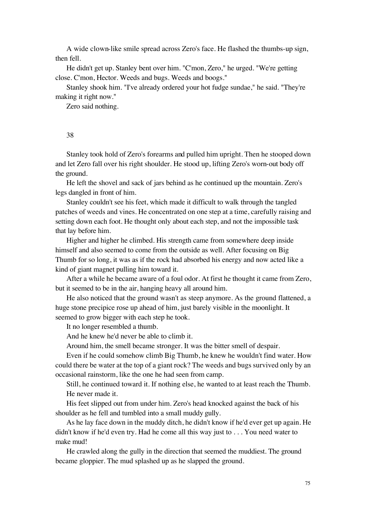A wide clown-like smile spread across Zero's face. He flashed the thumbs-up sign, then fell.

He didn't get up. Stanley bent over him. "C'mon, Zero," he urged. "We're getting close. C'mon, Hector. Weeds and bugs. Weeds and boogs."

Stanley shook him. "I've already ordered your hot fudge sundae," he said. "They're making it right now."

Zero said nothing.

## 38

Stanley took hold of Zero's forearms and pulled him upright. Then he stooped down and let Zero fall over his right shoulder. He stood up, lifting Zero's worn-out body off the ground.

He left the shovel and sack of jars behind as he continued up the mountain. Zero's legs dangled in front of him.

Stanley couldn't see his feet, which made it difficult to walk through the tangled patches of weeds and vines. He concentrated on one step at a time, carefully raising and setting down each foot. He thought only about each step, and not the impossible task that lay before him.

Higher and higher he climbed. His strength came from somewhere deep inside himself and also seemed to come from the outside as well. After focusing on Big Thumb for so long, it was as if the rock had absorbed his energy and now acted like a kind of giant magnet pulling him toward it.

After a while he became aware of a foul odor. At first he thought it came from Zero, but it seemed to be in the air, hanging heavy all around him.

He also noticed that the ground wasn't as steep anymore. As the ground flattened, a huge stone precipice rose up ahead of him, just barely visible in the moonlight. It seemed to grow bigger with each step he took.

It no longer resembled a thumb.

And he knew he'd never be able to climb it.

Around him, the smell became stronger. It was the bitter smell of despair.

Even if he could somehow climb Big Thumb, he knew he wouldn't find water. How could there be water at the top of a giant rock? The weeds and bugs survived only by an occasional rainstorm, like the one he had seen from camp.

Still, he continued toward it. If nothing else, he wanted to at least reach the Thumb. He never made it.

His feet slipped out from under him. Zero's head knocked against the back of his shoulder as he fell and tumbled into a small muddy gully.

As he lay face down in the muddy ditch, he didn't know if he'd ever get up again. He didn't know if he'd even try. Had he come all this way just to . . . You need water to make mud!

He crawled along the gully in the direction that seemed the muddiest. The ground became gloppier. The mud splashed up as he slapped the ground.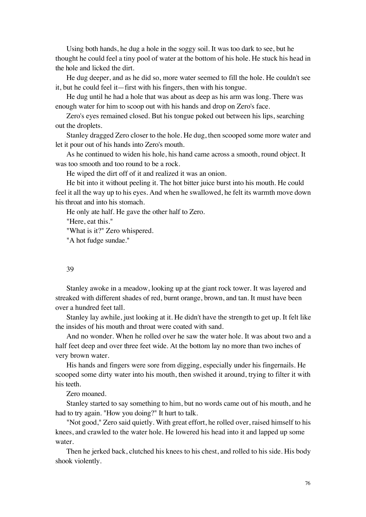Using both hands, he dug a hole in the soggy soil. It was too dark to see, but he thought he could feel a tiny pool of water at the bottom of his hole. He stuck his head in the hole and licked the dirt.

He dug deeper, and as he did so, more water seemed to fill the hole. He couldn't see it, but he could feel it—first with his fingers, then with his tongue.

He dug until he had a hole that was about as deep as his arm was long. There was enough water for him to scoop out with his hands and drop on Zero's face.

Zero's eyes remained closed. But his tongue poked out between his lips, searching out the droplets.

Stanley dragged Zero closer to the hole. He dug, then scooped some more water and let it pour out of his hands into Zero's mouth.

As he continued to widen his hole, his hand came across a smooth, round object. It was too smooth and too round to be a rock.

He wiped the dirt off of it and realized it was an onion.

He bit into it without peeling it. The hot bitter juice burst into his mouth. He could feel it all the way up to his eyes. And when he swallowed, he felt its warmth move down his throat and into his stomach.

He only ate half. He gave the other half to Zero.

"Here, eat this."

"What is it?" Zero whispered.

"A hot fudge sundae."

#### 39

Stanley awoke in a meadow, looking up at the giant rock tower. It was layered and streaked with different shades of red, burnt orange, brown, and tan. It must have been over a hundred feet tall.

Stanley lay awhile, just looking at it. He didn't have the strength to get up. It felt like the insides of his mouth and throat were coated with sand.

And no wonder. When he rolled over he saw the water hole. It was about two and a half feet deep and over three feet wide. At the bottom lay no more than two inches of very brown water.

His hands and fingers were sore from digging, especially under his fingernails. He scooped some dirty water into his mouth, then swished it around, trying to filter it with his teeth.

Zero moaned.

Stanley started to say something to him, but no words came out of his mouth, and he had to try again. "How you doing?" It hurt to talk.

"Not good," Zero said quietly. With great effort, he rolled over, raised himself to his knees, and crawled to the water hole. He lowered his head into it and lapped up some water.

Then he jerked back, clutched his knees to his chest, and rolled to his side. His body shook violently.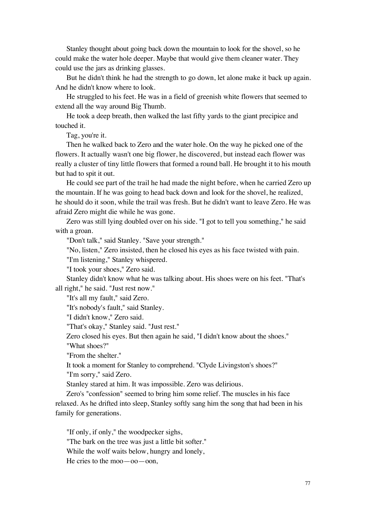Stanley thought about going back down the mountain to look for the shovel, so he could make the water hole deeper. Maybe that would give them cleaner water. They could use the jars as drinking glasses.

But he didn't think he had the strength to go down, let alone make it back up again. And he didn't know where to look.

He struggled to his feet. He was in a field of greenish white flowers that seemed to extend all the way around Big Thumb.

He took a deep breath, then walked the last fifty yards to the giant precipice and touched it.

Tag, you're it.

Then he walked back to Zero and the water hole. On the way he picked one of the flowers. It actually wasn't one big flower, he discovered, but instead each flower was really a cluster of tiny little flowers that formed a round ball. He brought it to his mouth but had to spit it out.

He could see part of the trail he had made the night before, when he carried Zero up the mountain. If he was going to head back down and look for the shovel, he realized, he should do it soon, while the trail was fresh. But he didn't want to leave Zero. He was afraid Zero might die while he was gone.

Zero was still lying doubled over on his side. "I got to tell you something," he said with a groan.

"Don't talk," said Stanley. "Save your strength."

"No, listen," Zero insisted, then he closed his eyes as his face twisted with pain.

"I'm listening," Stanley whispered.

"I took your shoes," Zero said.

Stanley didn't know what he was talking about. His shoes were on his feet. "That's all right," he said. "Just rest now."

"It's all my fault," said Zero.

"It's nobody's fault," said Stanley.

"I didn't know," Zero said.

"That's okay," Stanley said. "Just rest."

Zero closed his eyes. But then again he said, "I didn't know about the shoes."

"What shoes?"

"From the shelter."

It took a moment for Stanley to comprehend. "Clyde Livingston's shoes?" "I'm sorry," said Zero.

Stanley stared at him. It was impossible. Zero was delirious.

Zero's "confession" seemed to bring him some relief. The muscles in his face relaxed. As he drifted into sleep, Stanley softly sang him the song that had been in his family for generations.

"If only, if only," the woodpecker sighs, "The bark on the tree was just a little bit softer." While the wolf waits below, hungry and lonely, He cries to the moo — oo — oon,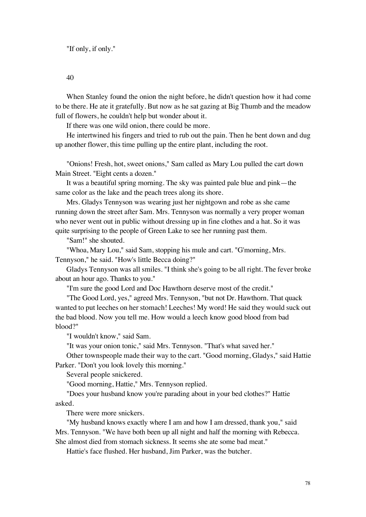"If only, if only."

40

When Stanley found the onion the night before, he didn't question how it had come to be there. He ate it gratefully. But now as he sat gazing at Big Thumb and the meadow full of flowers, he couldn't help but wonder about it.

If there was one wild onion, there could be more.

He intertwined his fingers and tried to rub out the pain. Then he bent down and dug up another flower, this time pulling up the entire plant, including the root.

"Onions! Fresh, hot, sweet onions," Sam called as Mary Lou pulled the cart down Main Street. "Eight cents a dozen."

It was a beautiful spring morning. The sky was painted pale blue and pink—the same color as the lake and the peach trees along its shore.

Mrs. Gladys Tennyson was wearing just her nightgown and robe as she came running down the street after Sam. Mrs. Tennyson was normally a very proper woman who never went out in public without dressing up in fine clothes and a hat. So it was quite surprising to the people of Green Lake to see her running past them.

"Sam!" she shouted.

"Whoa, Mary Lou," said Sam, stopping his mule and cart. "G'morning, Mrs. Tennyson," he said. "How's little Becca doing?"

Gladys Tennyson was all smiles. "I think she's going to be all right. The fever broke about an hour ago. Thanks to you."

"I'm sure the good Lord and Doc Hawthorn deserve most of the credit."

"The Good Lord, yes," agreed Mrs. Tennyson, "but not Dr. Hawthorn. That quack wanted to put leeches on her stomach! Leeches! My word! He said they would suck out the bad blood. Now you tell me. How would a leech know good blood from bad blood?"

"I wouldn't know," said Sam.

"It was your onion tonic," said Mrs. Tennyson. "That's what saved her."

Other townspeople made their way to the cart. "Good morning, Gladys," said Hattie Parker. "Don't you look lovely this morning."

Several people snickered.

"Good morning, Hattie," Mrs. Tennyson replied.

"Does your husband know you're parading about in your bed clothes?" Hattie asked.

There were more snickers.

"My husband knows exactly where I am and how I am dressed, thank you," said Mrs. Tennyson. "We have both been up all night and half the morning with Rebecca. She almost died from stomach sickness. It seems she ate some bad meat."

Hattie's face flushed. Her husband, Jim Parker, was the butcher.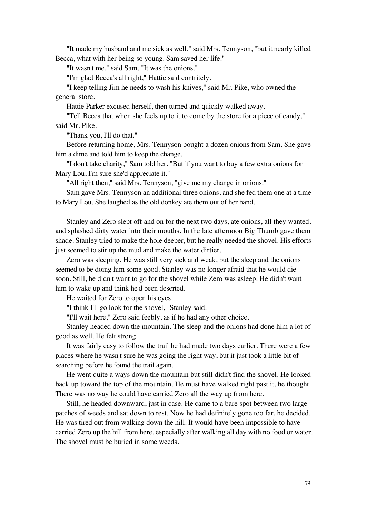"It made my husband and me sick as well," said Mrs. Tennyson, "but it nearly killed Becca, what with her being so young. Sam saved her life."

"It wasn't me," said Sam. "It was the onions."

"I'm glad Becca's all right," Hattie said contritely.

"I keep telling Jim he needs to wash his knives," said Mr. Pike, who owned the general store.

Hattie Parker excused herself, then turned and quickly walked away.

"Tell Becca that when she feels up to it to come by the store for a piece of candy," said Mr. Pike.

"Thank you, I'll do that."

Before returning home, Mrs. Tennyson bought a dozen onions from Sam. She gave him a dime and told him to keep the change.

"I don't take charity," Sam told her. "But if you want to buy a few extra onions for Mary Lou, I'm sure she'd appreciate it."

"All right then," said Mrs. Tennyson, "give me my change in onions."

Sam gave Mrs. Tennyson an additional three onions, and she fed them one at a time to Mary Lou. She laughed as the old donkey ate them out of her hand.

Stanley and Zero slept off and on for the next two days, ate onions, all they wanted, and splashed dirty water into their mouths. In the late afternoon Big Thumb gave them shade. Stanley tried to make the hole deeper, but he really needed the shovel. His efforts just seemed to stir up the mud and make the water dirtier.

Zero was sleeping. He was still very sick and weak, but the sleep and the onions seemed to be doing him some good. Stanley was no longer afraid that he would die soon. Still, he didn't want to go for the shovel while Zero was asleep. He didn't want him to wake up and think he'd been deserted.

He waited for Zero to open his eyes.

"I think I'll go look for the shovel," Stanley said.

"I'll wait here," Zero said feebly, as if he had any other choice.

Stanley headed down the mountain. The sleep and the onions had done him a lot of good as well. He felt strong.

It was fairly easy to follow the trail he had made two days earlier. There were a few places where he wasn't sure he was going the right way, but it just took a little bit of searching before he found the trail again.

He went quite a ways down the mountain but still didn't find the shovel. He looked back up toward the top of the mountain. He must have walked right past it, he thought. There was no way he could have carried Zero all the way up from here.

Still, he headed downward, just in case. He came to a bare spot between two large patches of weeds and sat down to rest. Now he had definitely gone too far, he decided. He was tired out from walking down the hill. It would have been impossible to have carried Zero up the hill from here, especially after walking all day with no food or water. The shovel must be buried in some weeds.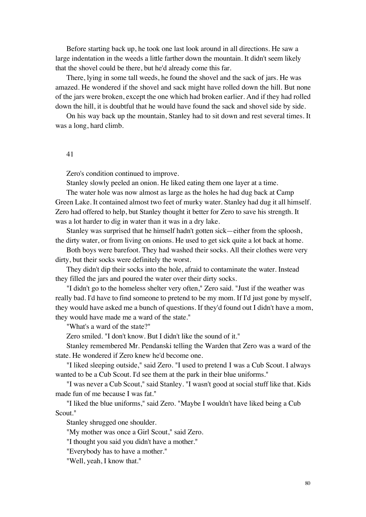Before starting back up, he took one last look around in all directions. He saw a large indentation in the weeds a little farther down the mountain. It didn't seem likely that the shovel could be there, but he'd already come this far.

There, lying in some tall weeds, he found the shovel and the sack of jars. He was amazed. He wondered if the shovel and sack might have rolled down the hill. But none of the jars were broken, except the one which had broken earlier. And if they had rolled down the hill, it is doubtful that he would have found the sack and shovel side by side.

On his way back up the mountain, Stanley had to sit down and rest several times. It was a long, hard climb.

## 41

Zero's condition continued to improve.

Stanley slowly peeled an onion. He liked eating them one layer at a time.

The water hole was now almost as large as the holes he had dug back at Camp Green Lake. It contained almost two feet of murky water. Stanley had dug it all himself. Zero had offered to help, but Stanley thought it better for Zero to save his strength. It was a lot harder to dig in water than it was in a dry lake.

Stanley was surprised that he himself hadn't gotten sick—either from the sploosh, the dirty water, or from living on onions. He used to get sick quite a lot back at home.

Both boys were barefoot. They had washed their socks. All their clothes were very dirty, but their socks were definitely the worst.

They didn't dip their socks into the hole, afraid to contaminate the water. Instead they filled the jars and poured the water over their dirty socks.

"I didn't go to the homeless shelter very often," Zero said. "Just if the weather was really bad. I'd have to find someone to pretend to be my mom. If I'd just gone by myself, they would have asked me a bunch of questions. If they'd found out I didn't have a mom, they would have made me a ward of the state."

"What's a ward of the state?"

Zero smiled. "I don't know. But I didn't like the sound of it."

Stanley remembered Mr. Pendanski telling the Warden that Zero was a ward of the state. He wondered if Zero knew he'd become one.

"I liked sleeping outside," said Zero. "I used to pretend I was a Cub Scout. I always wanted to be a Cub Scout. I'd see them at the park in their blue uniforms."

"I was never a Cub Scout," said Stanley. "I wasn't good at social stuff like that. Kids made fun of me because I was fat."

"I liked the blue uniforms," said Zero. "Maybe I wouldn't have liked being a Cub Scout."

Stanley shrugged one shoulder.

"My mother was once a Girl Scout," said Zero.

"I thought you said you didn't have a mother."

"Everybody has to have a mother."

"Well, yeah, I know that."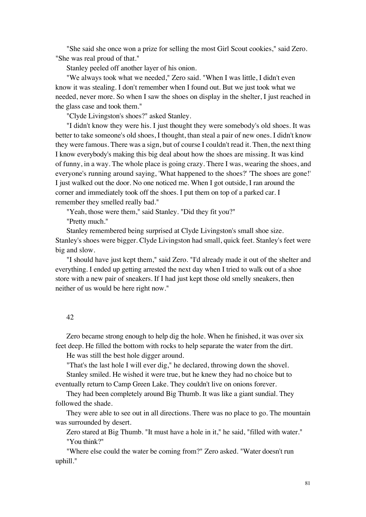"She said she once won a prize for selling the most Girl Scout cookies," said Zero. "She was real proud of that."

Stanley peeled off another layer of his onion.

"We always took what we needed," Zero said. "When I was little, I didn't even know it was stealing. I don't remember when I found out. But we just took what we needed, never more. So when I saw the shoes on display in the shelter, I just reached in the glass case and took them."

"Clyde Livingston's shoes?" asked Stanley.

"I didn't know they were his. I just thought they were somebody's old shoes. It was better to take someone's old shoes, I thought, than steal a pair of new ones. I didn't know they were famous. There was a sign, but of course I couldn't read it. Then, the next thing I know everybody's making this big deal about how the shoes are missing. It was kind of funny, in a way. The whole place is going crazy. There I was, wearing the shoes, and everyone's running around saying, 'What happened to the shoes?' 'The shoes are gone!' I just walked out the door. No one noticed me. When I got outside, I ran around the corner and immediately took off the shoes. I put them on top of a parked car. I remember they smelled really bad."

"Yeah, those were them," said Stanley. "Did they fit you?"

"Pretty much."

Stanley remembered being surprised at Clyde Livingston's small shoe size. Stanley's shoes were bigger. Clyde Livingston had small, quick feet. Stanley's feet were big and slow.

"I should have just kept them," said Zero. "I'd already made it out of the shelter and everything. I ended up getting arrested the next day when I tried to walk out of a shoe store with a new pair of sneakers. If I had just kept those old smelly sneakers, then neither of us would be here right now."

## 42

Zero became strong enough to help dig the hole. When he finished, it was over six feet deep. He filled the bottom with rocks to help separate the water from the dirt.

He was still the best hole digger around.

"That's the last hole I will ever dig," he declared, throwing down the shovel.

Stanley smiled. He wished it were true, but he knew they had no choice but to eventually return to Camp Green Lake. They couldn't live on onions forever.

They had been completely around Big Thumb. It was like a giant sundial. They followed the shade.

They were able to see out in all directions. There was no place to go. The mountain was surrounded by desert.

Zero stared at Big Thumb. "It must have a hole in it," he said, "filled with water." "You think?"

"Where else could the water be coming from?" Zero asked. "Water doesn't run uphill."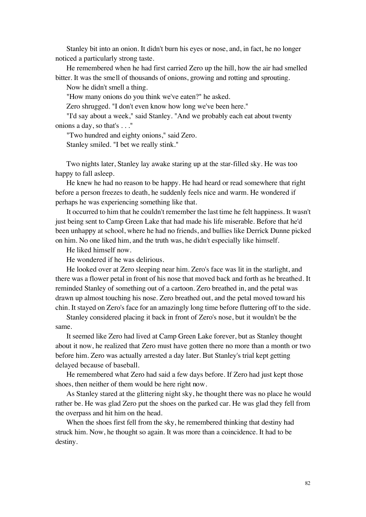Stanley bit into an onion. It didn't burn his eyes or nose, and, in fact, he no longer noticed a particularly strong taste.

He remembered when he had first carried Zero up the hill, how the air had smelled bitter. It was the smell of thousands of onions, growing and rotting and sprouting.

Now he didn't smell a thing.

"How many onions do you think we've eaten?" he asked.

Zero shrugged. "I don't even know how long we've been here."

"I'd say about a week," said Stanley. "And we probably each eat about twenty onions a day, so that's . . ."

"Two hundred and eighty onions," said Zero.

Stanley smiled. "I bet we really stink."

Two nights later, Stanley lay awake staring up at the star-filled sky. He was too happy to fall asleep.

He knew he had no reason to be happy. He had heard or read somewhere that right before a person freezes to death, he suddenly feels nice and warm. He wondered if perhaps he was experiencing something like that.

It occurred to him that he couldn't remember the last time he felt happiness. It wasn't just being sent to Camp Green Lake that had made his life miserable. Before that he'd been unhappy at school, where he had no friends, and bullies like Derrick Dunne picked on him. No one liked him, and the truth was, he didn't especially like himself.

He liked himself now.

He wondered if he was delirious.

He looked over at Zero sleeping near him. Zero's face was lit in the starlight, and there was a flower petal in front of his nose that moved back and forth as he breathed. It reminded Stanley of something out of a cartoon. Zero breathed in, and the petal was drawn up almost touching his nose. Zero breathed out, and the petal moved toward his chin. It stayed on Zero's face for an amazingly long time before fluttering off to the side.

Stanley considered placing it back in front of Zero's nose, but it wouldn't be the same.

It seemed like Zero had lived at Camp Green Lake forever, but as Stanley thought about it now, he realized that Zero must have gotten there no more than a month or two before him. Zero was actually arrested a day later. But Stanley's trial kept getting delayed because of baseball.

He remembered what Zero had said a few days before. If Zero had just kept those shoes, then neither of them would be here right now.

As Stanley stared at the glittering night sky, he thought there was no place he would rather be. He was glad Zero put the shoes on the parked car. He was glad they fell from the overpass and hit him on the head.

When the shoes first fell from the sky, he remembered thinking that destiny had struck him. Now, he thought so again. It was more than a coincidence. It had to be destiny.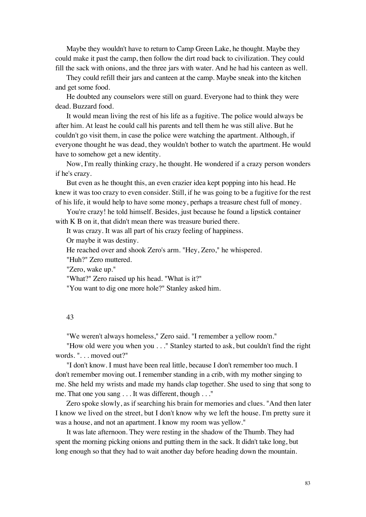Maybe they wouldn't have to return to Camp Green Lake, he thought. Maybe they could make it past the camp, then follow the dirt road back to civilization. They could fill the sack with onions, and the three jars with water. And he had his canteen as well.

They could refill their jars and canteen at the camp. Maybe sneak into the kitchen and get some food.

He doubted any counselors were still on guard. Everyone had to think they were dead. Buzzard food.

It would mean living the rest of his life as a fugitive. The police would always be after him. At least he could call his parents and tell them he was still alive. But he couldn't go visit them, in case the police were watching the apartment. Although, if everyone thought he was dead, they wouldn't bother to watch the apartment. He would have to somehow get a new identity.

Now, I'm really thinking crazy, he thought. He wondered if a crazy person wonders if he's crazy.

But even as he thought this, an even crazier idea kept popping into his head. He knew it was too crazy to even consider. Still, if he was going to be a fugitive for the rest of his life, it would help to have some money, perhaps a treasure chest full of money.

You're crazy! he told himself. Besides, just because he found a lipstick container with K B on it, that didn't mean there was treasure buried there.

It was crazy. It was all part of his crazy feeling of happiness.

Or maybe it was destiny.

He reached over and shook Zero's arm. "Hey, Zero," he whispered.

"Huh?" Zero muttered.

"Zero, wake up."

"What?" Zero raised up his head. "What is it?"

"You want to dig one more hole?" Stanley asked him.

## 43

"We weren't always homeless," Zero said. "I remember a yellow room."

"How old were you when you . . ." Stanley started to ask, but couldn't find the right words. ". . . moved out?"

"I don't know. I must have been real little, because I don't remember too much. I don't remember moving out. I remember standing in a crib, with my mother singing to me. She held my wrists and made my hands clap together. She used to sing that song to me. That one you sang . . . It was different, though . . ."

Zero spoke slowly, as if searching his brain for memories and clues. "And then later I know we lived on the street, but I don't know why we left the house. I'm pretty sure it was a house, and not an apartment. I know my room was yellow."

It was late afternoon. They were resting in the shadow of the Thumb. They had spent the morning picking onions and putting them in the sack. It didn't take long, but long enough so that they had to wait another day before heading down the mountain.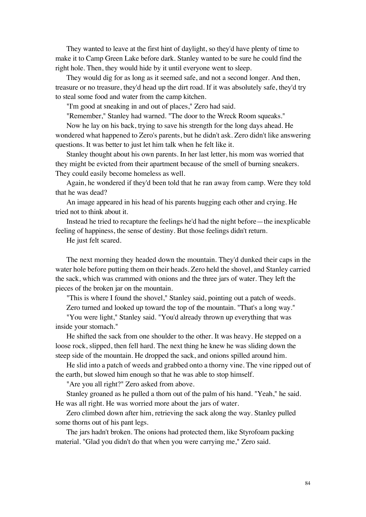They wanted to leave at the first hint of daylight, so they'd have plenty of time to make it to Camp Green Lake before dark. Stanley wanted to be sure he could find the right hole. Then, they would hide by it until everyone went to sleep.

They would dig for as long as it seemed safe, and not a second longer. And then, treasure or no treasure, they'd head up the dirt road. If it was absolutely safe, they'd try to steal some food and water from the camp kitchen.

"I'm good at sneaking in and out of places," Zero had said.

"Remember," Stanley had warned. "The door to the Wreck Room squeaks."

Now he lay on his back, trying to save his strength for the long days ahead. He wondered what happened to Zero's parents, but he didn't ask. Zero didn't like answering questions. It was better to just let him talk when he felt like it.

Stanley thought about his own parents. In her last letter, his mom was worried that they might be evicted from their apartment because of the smell of burning sneakers. They could easily become homeless as well.

Again, he wondered if they'd been told that he ran away from camp. Were they told that he was dead?

An image appeared in his head of his parents hugging each other and crying. He tried not to think about it.

Instead he tried to recapture the feelings he'd had the night before—the inexplicable feeling of happiness, the sense of destiny. But those feelings didn't return.

He just felt scared.

The next morning they headed down the mountain. They'd dunked their caps in the water hole before putting them on their heads. Zero held the shovel, and Stanley carried the sack, which was crammed with onions and the three jars of water. They left the pieces of the broken jar on the mountain.

"This is where I found the shovel," Stanley said, pointing out a patch of weeds.

Zero turned and looked up toward the top of the mountain. "That's a long way." "You were light," Stanley said. "You'd already thrown up everything that was

inside your stomach."

He shifted the sack from one shoulder to the other. It was heavy. He stepped on a loose rock, slipped, then fell hard. The next thing he knew he was sliding down the steep side of the mountain. He dropped the sack, and onions spilled around him.

He slid into a patch of weeds and grabbed onto a thorny vine. The vine ripped out of the earth, but slowed him enough so that he was able to stop himself.

"Are you all right?" Zero asked from above.

Stanley groaned as he pulled a thorn out of the palm of his hand. "Yeah," he said. He was all right. He was worried more about the jars of water.

Zero climbed down after him, retrieving the sack along the way. Stanley pulled some thorns out of his pant legs.

The jars hadn't broken. The onions had protected them, like Styrofoam packing material. "Glad you didn't do that when you were carrying me," Zero said.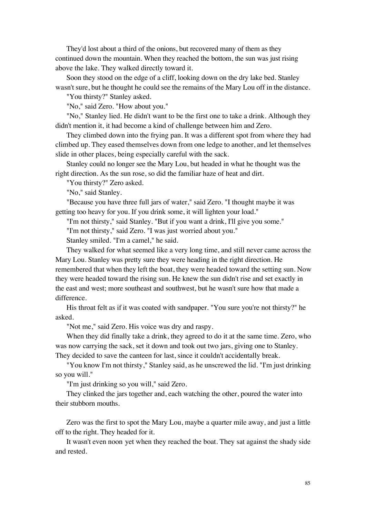They'd lost about a third of the onions, but recovered many of them as they continued down the mountain. When they reached the bottom, the sun was just rising above the lake. They walked directly toward it.

Soon they stood on the edge of a cliff, looking down on the dry lake bed. Stanley wasn't sure, but he thought he could see the remains of the Mary Lou off in the distance.

"You thirsty?" Stanley asked.

"No," said Zero. "How about you."

"No," Stanley lied. He didn't want to be the first one to take a drink. Although they didn't mention it, it had become a kind of challenge between him and Zero.

They climbed down into the frying pan. It was a different spot from where they had climbed up. They eased themselves down from one ledge to another, and let themselves slide in other places, being especially careful with the sack.

Stanley could no longer see the Mary Lou, but headed in what he thought was the right direction. As the sun rose, so did the familiar haze of heat and dirt.

"You thirsty?" Zero asked.

"No," said Stanley.

"Because you have three full jars of water," said Zero. "I thought maybe it was getting too heavy for you. If you drink some, it will lighten your load."

"I'm not thirsty," said Stanley. "But if you want a drink, I'll give you some."

"I'm not thirsty," said Zero. "I was just worried about you."

Stanley smiled. "I'm a camel," he said.

They walked for what seemed like a very long time, and still never came across the Mary Lou. Stanley was pretty sure they were heading in the right direction. He remembered that when they left the boat, they were headed toward the setting sun. Now they were headed toward the rising sun. He knew the sun didn't rise and set exactly in the east and west; more southeast and southwest, but he wasn't sure how that made a difference.

His throat felt as if it was coated with sandpaper. "You sure you're not thirsty?" he asked.

"Not me," said Zero. His voice was dry and raspy.

When they did finally take a drink, they agreed to do it at the same time. Zero, who was now carrying the sack, set it down and took out two jars, giving one to Stanley. They decided to save the canteen for last, since it couldn't accidentally break.

"You know I'm not thirsty," Stanley said, as he unscrewed the lid. "I'm just drinking so you will."

"I'm just drinking so you will," said Zero.

They clinked the jars together and, each watching the other, poured the water into their stubborn mouths.

Zero was the first to spot the Mary Lou, maybe a quarter mile away, and just a little off to the right. They headed for it.

It wasn't even noon yet when they reached the boat. They sat against the shady side and rested.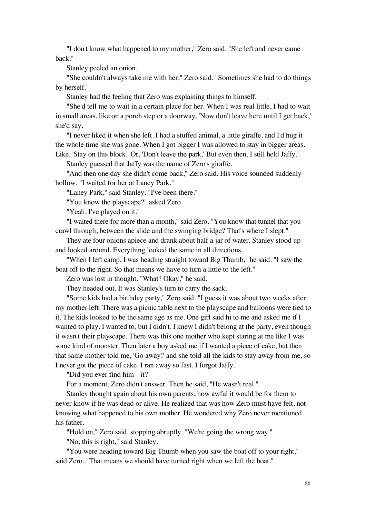"I don't know what happened to my mother," Zero said. "She left and never came back."

Stanley peeled an onion.

"She couldn't always take me with her," Zero said. "Sometimes she had to do things by herself."

Stanley had the feeling that Zero was explaining things to himself.

"She'd tell me to wait in a certain place for her. When I was real little, I had to wait in small areas, like on a porch step or a doorway. 'Now don't leave here until I get back,' she'd say.

"I never liked it when she left. I had a stuffed animal, a little giraffe, and I'd hug it the whole time she was gone. When I got bigger I was allowed to stay in bigger areas. Like, 'Stay on this block.' Or, 'Don't leave the park.' But even then, I still held Jaffy."

Stanley guessed that Jaffy was the name of Zero's giraffe.

"And then one day she didn't come back," Zero said. His voice sounded suddenly hollow. "I waited for her at Laney Park."

"Laney Park," said Stanley. "I've been there."

"You know the playscape?" asked Zero.

"Yeah. I've played on it."

"I waited there for more than a month," said Zero. "You know that tunnel that you crawl through, between the slide and the swinging bridge? That's where I slept."

They ate four onions apiece and drank about half a jar of water. Stanley stood up and looked around. Everything looked the same in all directions.

"When I left camp, I was heading straight toward Big Thumb," he said. "I saw the boat off to the right. So that means we have to turn a little to the left."

Zero was lost in thought. "What? Okay," he said.

They headed out. It was Stanley's turn to carry the sack.

"Some kids had a birthday party," Zero said. "I guess it was about two weeks after my mother left. There was a picnic table next to the playscape and balloons were tied to it. The kids looked to be the same age as me. One girl said hi to me and asked me if I wanted to play. I wanted to, but I didn't. I knew I didn't belong at the party, even though it wasn't their playscape. There was this one mother who kept staring at me like I was some kind of monster. Then later a boy asked me if I wanted a piece of cake, but then that same mother told me, 'Go away!' and she told all the kids to stay away from me, so I never got the piece of cake. I ran away so fast, I forgot Jaffy."

"Did you ever find him—it?"

For a moment, Zero didn't answer. Then he said, "He wasn't real."

Stanley thought again about his own parents, how awful it would be for them to never know if he was dead or alive. He realized that was how Zero must have felt, not knowing what happened to his own mother. He wondered why Zero never mentioned his father.

"Hold on," Zero said, stopping abruptly. "We're going the wrong way."

"No, this is right," said Stanley.

"You were heading toward Big Thumb when you saw the boat off to your right," said Zero. "That means we should have turned right when we left the boat."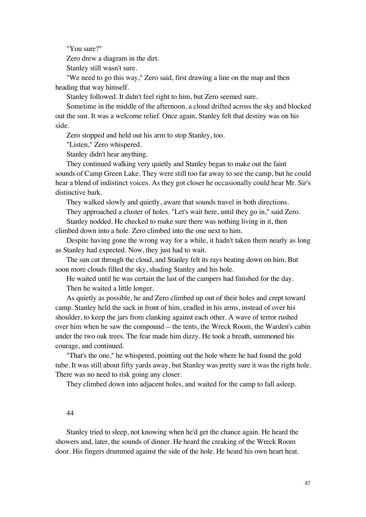"You sure?"

Zero drew a diagram in the dirt.

Stanley still wasn't sure.

"We need to go this way," Zero said, first drawing a line on the map and then heading that way himself.

Stanley followed. It didn't feel right to him, but Zero seemed sure.

Sometime in the middle of the afternoon, a cloud drifted across the sky and blocked out the sun. It was a welcome relief. Once again, Stanley felt that destiny was on his side.

Zero stopped and held out his arm to stop Stanley, too.

"Listen," Zero whispered.

Stanley didn't hear anything.

They continued walking very quietly and Stanley began to make out the faint sounds of Camp Green Lake. They were still too far away to see the camp, but he could hear a blend of indistinct voices. As they got closer he occasionally could hear Mr. Sir's distinctive bark.

They walked slowly and quietly, aware that sounds travel in both directions. They approached a cluster of holes. "Let's wait here, until they go in," said Zero.

Stanley nodded. He checked to make sure there was nothing living in it, then climbed down into a hole. Zero climbed into the one next to him.

Despite having gone the wrong way for a while, it hadn't taken them nearly as long as Stanley had expected. Now, they just had to wait.

The sun cut through the cloud, and Stanley felt its rays beating down on him. But soon more clouds filled the sky, shading Stanley and his hole.

He waited until he was certain the last of the campers had finished for the day. Then he waited a little longer.

As quietly as possible, he and Zero climbed up out of their holes and crept toward camp. Stanley held the sack in front of him, cradled in his arms, instead of over his shoulder, to keep the jars from clanking against each other. A wave of terror rushed over him when he saw the compound—the tents, the Wreck Room, the Warden's cabin under the two oak trees. The fear made him dizzy. He took a breath, summoned his courage, and continued.

"That's the one," he whispered, pointing out the hole where he had found the gold tube. It was still about fifty yards away, but Stanley was pretty sure it was the right hole. There was no need to risk going any closer.

They climbed down into adjacent holes, and waited for the camp to fall asleep.

# 44

Stanley tried to sleep, not knowing when he'd get the chance again. He heard the showers and, later, the sounds of dinner. He heard the creaking of the Wreck Room door. His fingers drummed against the side of the hole. He heard his own heart heat.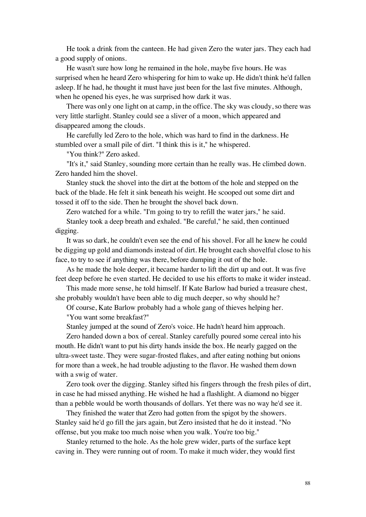He took a drink from the canteen. He had given Zero the water jars. They each had a good supply of onions.

He wasn't sure how long he remained in the hole, maybe five hours. He was surprised when he heard Zero whispering for him to wake up. He didn't think he'd fallen asleep. If he had, he thought it must have just been for the last five minutes. Although, when he opened his eyes, he was surprised how dark it was.

There was only one light on at camp, in the office. The sky was cloudy, so there was very little starlight. Stanley could see a sliver of a moon, which appeared and disappeared among the clouds.

He carefully led Zero to the hole, which was hard to find in the darkness. He stumbled over a small pile of dirt. "I think this is it," he whispered.

"You think?" Zero asked.

"It's it," said Stanley, sounding more certain than he really was. He climbed down. Zero handed him the shovel.

Stanley stuck the shovel into the dirt at the bottom of the hole and stepped on the back of the blade. He felt it sink beneath his weight. He scooped out some dirt and tossed it off to the side. Then he brought the shovel back down.

Zero watched for a while. "I'm going to try to refill the water jars," he said.

Stanley took a deep breath and exhaled. "Be careful," he said, then continued digging.

It was so dark, he couldn't even see the end of his shovel. For all he knew he could be digging up gold and diamonds instead of dirt. He brought each shovelful close to his face, to try to see if anything was there, before dumping it out of the hole.

As he made the hole deeper, it became harder to lift the dirt up and out. It was five feet deep before he even started. He decided to use his efforts to make it wider instead.

This made more sense, he told himself. If Kate Barlow had buried a treasure chest, she probably wouldn't have been able to dig much deeper, so why should he?

Of course, Kate Barlow probably had a whole gang of thieves helping her. "You want some breakfast?"

Stanley jumped at the sound of Zero's voice. He hadn't heard him approach.

Zero handed down a box of cereal. Stanley carefully poured some cereal into his mouth. He didn't want to put his dirty hands inside the box. He nearly gagged on the ultra-sweet taste. They were sugar-frosted flakes, and after eating nothing but onions for more than a week, he had trouble adjusting to the flavor. He washed them down with a swig of water.

Zero took over the digging. Stanley sifted his fingers through the fresh piles of dirt, in case he had missed anything. He wished he had a flashlight. A diamond no bigger than a pebble would be worth thousands of dollars. Yet there was no way he'd see it.

They finished the water that Zero had gotten from the spigot by the showers. Stanley said he'd go fill the jars again, but Zero insisted that he do it instead. "No offense, but you make too much noise when you walk. You're too big."

Stanley returned to the hole. As the hole grew wider, parts of the surface kept caving in. They were running out of room. To make it much wider, they would first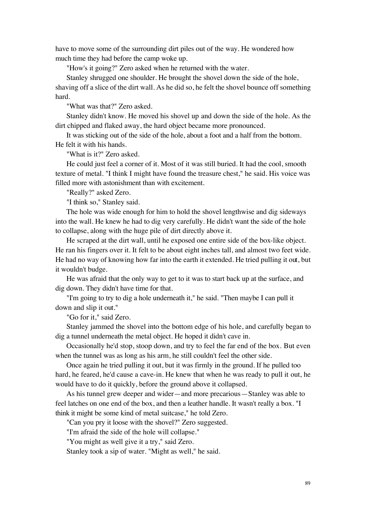have to move some of the surrounding dirt piles out of the way. He wondered how much time they had before the camp woke up.

"How's it going?" Zero asked when he returned with the water.

Stanley shrugged one shoulder. He brought the shovel down the side of the hole, shaving off a slice of the dirt wall. As he did so, he felt the shovel bounce off something hard.

"What was that?" Zero asked.

Stanley didn't know. He moved his shovel up and down the side of the hole. As the dirt chipped and flaked away, the hard object became more pronounced.

It was sticking out of the side of the hole, about a foot and a half from the bottom. He felt it with his hands.

"What is it?" Zero asked.

He could just feel a corner of it. Most of it was still buried. It had the cool, smooth texture of metal. "I think I might have found the treasure chest," he said. His voice was filled more with astonishment than with excitement.

"Really?" asked Zero.

"I think so," Stanley said.

The hole was wide enough for him to hold the shovel lengthwise and dig sideways into the wall. He knew he had to dig very carefully. He didn't want the side of the hole to collapse, along with the huge pile of dirt directly above it.

He scraped at the dirt wall, until he exposed one entire side of the box-like object. He ran his fingers over it. It felt to be about eight inches tall, and almost two feet wide. He had no way of knowing how far into the earth it extended. He tried pulling it out, but it wouldn't budge.

He was afraid that the only way to get to it was to start back up at the surface, and dig down. They didn't have time for that.

"I'm going to try to dig a hole underneath it," he said. "Then maybe I can pull it down and slip it out."

"Go for it," said Zero.

Stanley jammed the shovel into the bottom edge of his hole, and carefully began to dig a tunnel underneath the metal object. He hoped it didn't cave in.

Occasionally he'd stop, stoop down, and try to feel the far end of the box. But even when the tunnel was as long as his arm, he still couldn't feel the other side.

Once again he tried pulling it out, but it was firmly in the ground. If he pulled too hard, he feared, he'd cause a cave-in. He knew that when he was ready to pull it out, he would have to do it quickly, before the ground above it collapsed.

As his tunnel grew deeper and wider—and more precarious—Stanley was able to feel latches on one end of the box, and then a leather handle. It wasn't really a box. "I think it might be some kind of metal suitcase," he told Zero.

"Can you pry it loose with the shovel?" Zero suggested.

"I'm afraid the side of the hole will collapse."

"You might as well give it a try," said Zero.

Stanley took a sip of water. "Might as well," he said.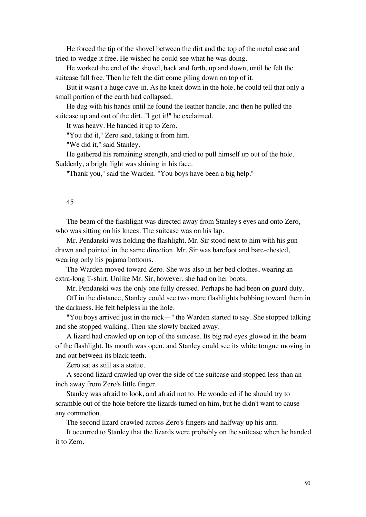He forced the tip of the shovel between the dirt and the top of the metal case and tried to wedge it free. He wished he could see what he was doing.

He worked the end of the shovel, back and forth, up and down, until he felt the suitcase fall free. Then he felt the dirt come piling down on top of it.

But it wasn't a huge cave-in. As he knelt down in the hole, he could tell that only a small portion of the earth had collapsed.

He dug with his hands until he found the leather handle, and then he pulled the suitcase up and out of the dirt. "I got it!" he exclaimed.

It was heavy. He handed it up to Zero.

"You did it," Zero said, taking it from him.

"We did it," said Stanley.

He gathered his remaining strength, and tried to pull himself up out of the hole. Suddenly, a bright light was shining in his face.

"Thank you," said the Warden. "You boys have been a big help."

#### 45

The beam of the flashlight was directed away from Stanley's eyes and onto Zero, who was sitting on his knees. The suitcase was on his lap.

Mr. Pendanski was holding the flashlight. Mr. Sir stood next to him with his gun drawn and pointed in the same direction. Mr. Sir was barefoot and bare-chested, wearing only his pajama bottoms.

The Warden moved toward Zero. She was also in her bed clothes, wearing an extra-long T-shirt. Unlike Mr. Sir, however, she had on her boots.

Mr. Pendanski was the only one fully dressed. Perhaps he had been on guard duty.

Off in the distance, Stanley could see two more flashlights bobbing toward them in the darkness. He felt helpless in the hole.

"You boys arrived just in the nick—" the Warden started to say. She stopped talking and she stopped walking. Then she slowly backed away.

A lizard had crawled up on top of the suitcase. Its big red eyes glowed in the beam of the flashlight. Its mouth was open, and Stanley could see its white tongue moving in and out between its black teeth.

Zero sat as still as a statue.

A second lizard crawled up over the side of the suitcase and stopped less than an inch away from Zero's little finger.

Stanley was afraid to look, and afraid not to. He wondered if he should try to scramble out of the hole before the lizards turned on him, but he didn't want to cause any commotion.

The second lizard crawled across Zero's fingers and halfway up his arm.

It occurred to Stanley that the lizards were probably on the suitcase when he handed it to Zero.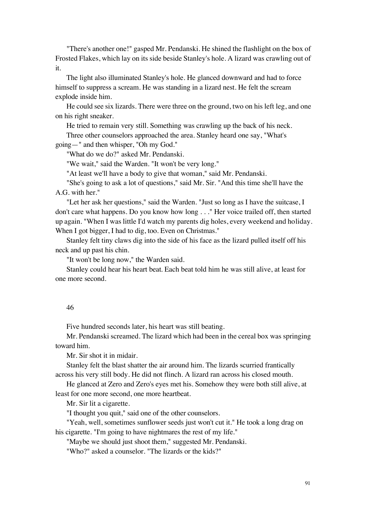"There's another one!" gasped Mr. Pendanski. He shined the flashlight on the box of Frosted Flakes, which lay on its side beside Stanley's hole. A lizard was crawling out of it.

The light also illuminated Stanley's hole. He glanced downward and had to force himself to suppress a scream. He was standing in a lizard nest. He felt the scream explode inside him.

He could see six lizards. There were three on the ground, two on his left leg, and one on his right sneaker.

He tried to remain very still. Something was crawling up the back of his neck.

Three other counselors approached the area. Stanley heard one say, "What's

going—" and then whisper, "Oh my God."

"What do we do?" asked Mr. Pendanski.

"We wait," said the Warden. "It won't be very long."

"At least we'll have a body to give that woman," said Mr. Pendanski.

"She's going to ask a lot of questions," said Mr. Sir. "And this time she'll have the A.G. with her."

"Let her ask her questions," said the Warden. "Just so long as I have the suitcase, I don't care what happens. Do you know how long . . ." Her voice trailed off, then started up again. "When I was little I'd watch my parents dig holes, every weekend and holiday. When I got bigger, I had to dig, too. Even on Christmas."

Stanley felt tiny claws dig into the side of his face as the lizard pulled itself off his neck and up past his chin.

"It won't be long now," the Warden said.

Stanley could hear his heart beat. Each beat told him he was still alive, at least for one more second.

# 46

Five hundred seconds later, his heart was still beating.

Mr. Pendanski screamed. The lizard which had been in the cereal box was springing toward him.

Mr. Sir shot it in midair.

Stanley felt the blast shatter the air around him. The lizards scurried frantically across his very still body. He did not flinch. A lizard ran across his closed mouth.

He glanced at Zero and Zero's eyes met his. Somehow they were both still alive, at least for one more second, one more heartbeat.

Mr. Sir lit a cigarette.

"I thought you quit," said one of the other counselors.

"Yeah, well, sometimes sunflower seeds just won't cut it." He took a long drag on his cigarette. "I'm going to have nightmares the rest of my life."

"Maybe we should just shoot them," suggested Mr. Pendanski.

"Who?" asked a counselor. "The lizards or the kids?"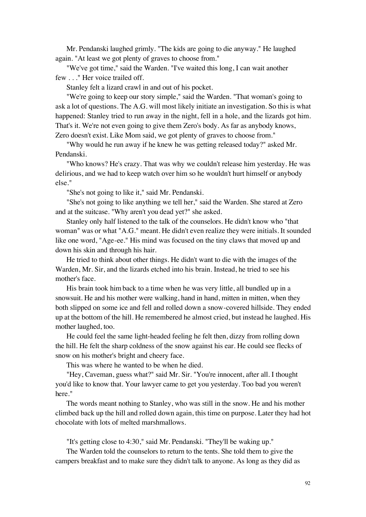Mr. Pendanski laughed grimly. "The kids are going to die anyway." He laughed again. "At least we got plenty of graves to choose from."

"We've got time," said the Warden. "I've waited this long, I can wait another few . . ." Her voice trailed off.

Stanley felt a lizard crawl in and out of his pocket.

"We're going to keep our story simple," said the Warden. "That woman's going to ask a lot of questions. The A.G. will most likely initiate an investigation. So this is what happened: Stanley tried to run away in the night, fell in a hole, and the lizards got him. That's it. We're not even going to give them Zero's body. As far as anybody knows, Zero doesn't exist. Like Mom said, we got plenty of graves to choose from."

"Why would he run away if he knew he was getting released today?" asked Mr. Pendanski.

"Who knows? He's crazy. That was why we couldn't release him yesterday. He was delirious, and we had to keep watch over him so he wouldn't hurt himself or anybody else."

"She's not going to like it," said Mr. Pendanski.

"She's not going to like anything we tell her," said the Warden. She stared at Zero and at the suitcase. "Why aren't you dead yet?" she asked.

Stanley only half listened to the talk of the counselors. He didn't know who "that woman" was or what "A.G." meant. He didn't even realize they were initials. It sounded like one word, "Age-ee." His mind was focused on the tiny claws that moved up and down his skin and through his hair.

He tried to think about other things. He didn't want to die with the images of the Warden, Mr. Sir, and the lizards etched into his brain. Instead, he tried to see his mother's face.

His brain took him back to a time when he was very little, all bundled up in a snowsuit. He and his mother were walking, hand in hand, mitten in mitten, when they both slipped on some ice and fell and rolled down a snow-covered hillside. They ended up at the bottom of the hill. He remembered he almost cried, but instead he laughed. His mother laughed, too.

He could feel the same light-headed feeling he felt then, dizzy from rolling down the hill. He felt the sharp coldness of the snow against his ear. He could see flecks of snow on his mother's bright and cheery face.

This was where he wanted to be when he died.

"Hey, Caveman, guess what?" said Mr. Sir. "You're innocent, after all. I thought you'd like to know that. Your lawyer came to get you yesterday. Too bad you weren't here."

The words meant nothing to Stanley, who was still in the snow. He and his mother climbed back up the hill and rolled down again, this time on purpose. Later they had hot chocolate with lots of melted marshmallows.

"It's getting close to 4:30," said Mr. Pendanski. "They'll be waking up."

The Warden told the counselors to return to the tents. She told them to give the campers breakfast and to make sure they didn't talk to anyone. As long as they did as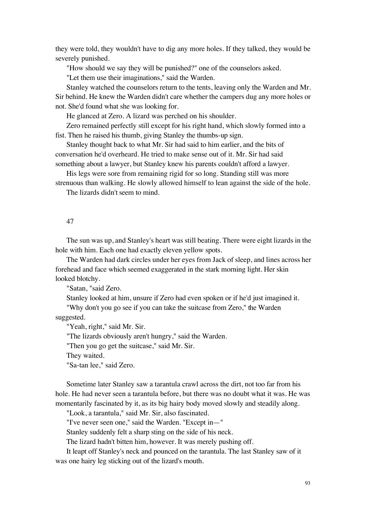they were told, they wouldn't have to dig any more holes. If they talked, they would be severely punished.

"How should we say they will be punished?" one of the counselors asked.

"Let them use their imaginations," said the Warden.

Stanley watched the counselors return to the tents, leaving only the Warden and Mr. Sir behind. He knew the Warden didn't care whether the campers dug any more holes or not. She'd found what she was looking for.

He glanced at Zero. A lizard was perched on his shoulder.

Zero remained perfectly still except for his right hand, which slowly formed into a fist. Then he raised his thumb, giving Stanley the thumbs-up sign.

Stanley thought back to what Mr. Sir had said to him earlier, and the bits of conversation he'd overheard. He tried to make sense out of it. Mr. Sir had said something about a lawyer, but Stanley knew his parents couldn't afford a lawyer.

His legs were sore from remaining rigid for so long. Standing still was more strenuous than walking. He slowly allowed himself to lean against the side of the hole.

The lizards didn't seem to mind.

# 47

The sun was up, and Stanley's heart was still beating. There were eight lizards in the hole with him. Each one had exactly eleven yellow spots.

The Warden had dark circles under her eyes from Jack of sleep, and lines across her forehead and face which seemed exaggerated in the stark morning light. Her skin looked blotchy.

"Satan, "said Zero.

Stanley looked at him, unsure if Zero had even spoken or if he'd just imagined it.

"Why don't you go see if you can take the suitcase from Zero," the Warden

suggested.

"Yeah, right," said Mr. Sir.

"The lizards obviously aren't hungry," said the Warden.

"Then you go get the suitcase," said Mr. Sir.

They waited.

"Sa-tan lee," said Zero.

Sometime later Stanley saw a tarantula crawl across the dirt, not too far from his hole. He had never seen a tarantula before, but there was no doubt what it was. He was momentarily fascinated by it, as its big hairy body moved slowly and steadily along.

"Look, a tarantula," said Mr. Sir, also fascinated.

"I've never seen one," said the Warden. "Except in—"

Stanley suddenly felt a sharp sting on the side of his neck.

The lizard hadn't bitten him, however. It was merely pushing off.

It leapt off Stanley's neck and pounced on the tarantula. The last Stanley saw of it was one hairy leg sticking out of the lizard's mouth.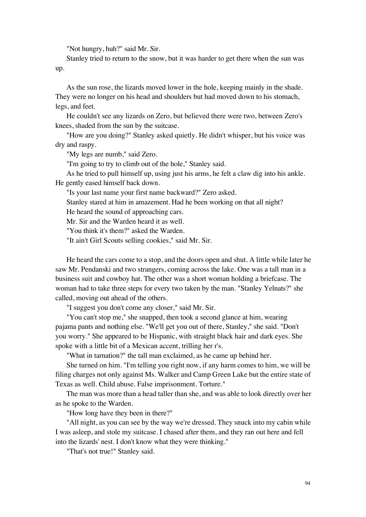"Not hungry, huh?" said Mr. Sir.

Stanley tried to return to the snow, but it was harder to get there when the sun was up.

As the sun rose, the lizards moved lower in the hole, keeping mainly in the shade. They were no longer on his head and shoulders but had moved down to his stomach, legs, and feet.

He couldn't see any lizards on Zero, but believed there were two, between Zero's knees, shaded from the sun by the suitcase.

"How are you doing?" Stanley asked quietly. He didn't whisper, but his voice was dry and raspy.

"My legs are numb," said Zero.

"I'm going to try to climb out of the hole," Stanley said.

As he tried to pull himself up, using just his arms, he felt a claw dig into his ankle. He gently eased himself back down.

"Is your last name your first name backward?" Zero asked.

Stanley stared at him in amazement. Had he been working on that all night?

He heard the sound of approaching cars.

Mr. Sir and the Warden heard it as well.

"You think it's them?" asked the Warden.

"It ain't Girl Scouts selling cookies," said Mr. Sir.

He heard the cars come to a stop, and the doors open and shut. A little while later he saw Mr. Pendanski and two strangers, coming across the lake. One was a tall man in a business suit and cowboy hat. The other was a short woman holding a briefcase. The woman had to take three steps for every two taken by the man. "Stanley Yelnats?" she called, moving out ahead of the others.

"I suggest you don't come any closer," said Mr. Sir.

"You can't stop me," she snapped, then took a second glance at him, wearing pajama pants and nothing else. "We'll get you out of there, Stanley," she said. "Don't you worry." She appeared to be Hispanic, with straight black hair and dark eyes. She spoke with a little bit of a Mexican accent, trilling her r's.

"What in tarnation?" the tall man exclaimed, as he came up behind her.

She turned on him. "I'm telling you right now, if any harm comes to him, we will be filing charges not only against Ms. Walker and Camp Green Lake but the entire state of Texas as well. Child abuse. False imprisonment. Torture."

The man was more than a head taller than she, and was able to look directly over her as he spoke to the Warden.

"How long have they been in there?"

"All night, as you can see by the way we're dressed. They snuck into my cabin while I was asleep, and stole my suitcase. I chased after them, and they ran out here and fell into the lizards' nest. I don't know what they were thinking."

"That's not true!" Stanley said.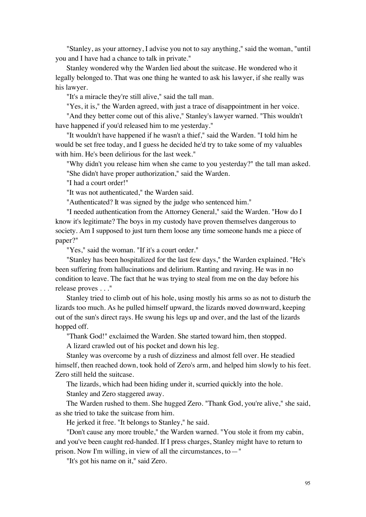"Stanley, as your attorney, I advise you not to say anything," said the woman, "until you and I have had a chance to talk in private."

Stanley wondered why the Warden lied about the suitcase. He wondered who it legally belonged to. That was one thing he wanted to ask his lawyer, if she really was his lawyer.

"It's a miracle they're still alive," said the tall man.

"Yes, it is," the Warden agreed, with just a trace of disappointment in her voice. "And they better come out of this alive," Stanley's lawyer warned. "This wouldn't have happened if you'd released him to me yesterday."

"It wouldn't have happened if he wasn't a thief," said the Warden. "I told him he would be set free today, and I guess he decided he'd try to take some of my valuables with him. He's been delirious for the last week."

"Why didn't you release him when she came to you yesterday?" the tall man asked. "She didn't have proper authorization," said the Warden.

"I had a court order!"

"It was not authenticated," the Warden said.

"Authenticated? It was signed by the judge who sentenced him."

"I needed authentication from the Attorney General," said the Warden. "How do I know it's legitimate? The boys in my custody have proven themselves dangerous to society. Am I supposed to just turn them loose any time someone hands me a piece of paper?"

"Yes," said the woman. "If it's a court order."

"Stanley has been hospitalized for the last few days," the Warden explained. "He's been suffering from hallucinations and delirium. Ranting and raving. He was in no condition to leave. The fact that he was trying to steal from me on the day before his release proves . . ."

Stanley tried to climb out of his hole, using mostly his arms so as not to disturb the lizards too much. As he pulled himself upward, the lizards moved downward, keeping out of the sun's direct rays. He swung his legs up and over, and the last of the lizards hopped off.

"Thank God!" exclaimed the Warden. She started toward him, then stopped.

A lizard crawled out of his pocket and down his leg.

Stanley was overcome by a rush of dizziness and almost fell over. He steadied himself, then reached down, took hold of Zero's arm, and helped him slowly to his feet. Zero still held the suitcase.

The lizards, which had been hiding under it, scurried quickly into the hole. Stanley and Zero staggered away.

The Warden rushed to them. She hugged Zero. "Thank God, you're alive," she said, as she tried to take the suitcase from him.

He jerked it free. "It belongs to Stanley," he said.

"Don't cause any more trouble," the Warden warned. "You stole it from my cabin, and you've been caught red-handed. If I press charges, Stanley might have to return to prison. Now I'm willing, in view of all the circumstances, to—"

"It's got his name on it," said Zero.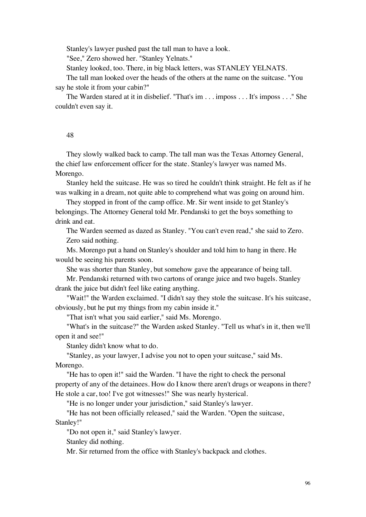Stanley's lawyer pushed past the tall man to have a look.

"See," Zero showed her. "Stanley Yelnats."

Stanley looked, too. There, in big black letters, was STANLEY YELNATS.

The tall man looked over the heads of the others at the name on the suitcase. "You say he stole it from your cabin?"

The Warden stared at it in disbelief. "That's im . . . imposs . . . It's imposs . . ." She couldn't even say it.

## 48

They slowly walked back to camp. The tall man was the Texas Attorney General, the chief law enforcement officer for the state. Stanley's lawyer was named Ms. Morengo.

Stanley held the suitcase. He was so tired he couldn't think straight. He felt as if he was walking in a dream, not quite able to comprehend what was going on around him.

They stopped in front of the camp office. Mr. Sir went inside to get Stanley's belongings. The Attorney General told Mr. Pendanski to get the boys something to drink and eat.

The Warden seemed as dazed as Stanley. "You can't even read," she said to Zero. Zero said nothing.

Ms. Morengo put a hand on Stanley's shoulder and told him to hang in there. He would be seeing his parents soon.

She was shorter than Stanley, but somehow gave the appearance of being tall.

Mr. Pendanski returned with two cartons of orange juice and two bagels. Stanley drank the juice but didn't feel like eating anything.

"Wait!" the Warden exclaimed. "I didn't say they stole the suitcase. It's his suitcase, obviously, but he put my things from my cabin inside it."

"That isn't what you said earlier," said Ms. Morengo.

"What's in the suitcase?" the Warden asked Stanley. "Tell us what's in it, then we'll open it and see!"

Stanley didn't know what to do.

"Stanley, as your lawyer, I advise you not to open your suitcase," said Ms. Morengo.

"He has to open it!" said the Warden. "I have the right to check the personal property of any of the detainees. How do I know there aren't drugs or weapons in there? He stole a car, too! I've got witnesses!" She was nearly hysterical.

"He is no longer under your jurisdiction," said Stanley's lawyer.

"He has not been officially released," said the Warden. "Open the suitcase, Stanley!"

"Do not open it," said Stanley's lawyer.

Stanley did nothing.

Mr. Sir returned from the office with Stanley's backpack and clothes.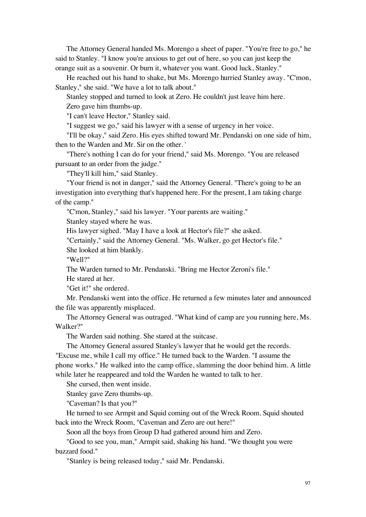The Attorney General handed Ms. Morengo a sheet of paper. "You're free to go," he said to Stanley. "I know you're anxious to get out of here, so you can just keep the orange suit as a souvenir. Or burn it, whatever you want. Good luck, Stanley."

He reached out his hand to shake, but Ms. Morengo hurried Stanley away. "C'mon, Stanley," she said. "We have a lot to talk about."

Stanley stopped and turned to look at Zero. He couldn't just leave him here.

Zero gave him thumbs-up.

"I can't leave Hector," Stanley said.

"I suggest we go," said his lawyer with a sense of urgency in her voice.

"I'll be okay," said Zero. His eyes shifted toward Mr. Pendanski on one side of him, then to the Warden and Mr. Sir on the other. '

"There's nothing I can do for your friend," said Ms. Morengo. "You are released pursuant to an order from the judge."

"They'll kill him," said Stanley.

"Your friend is not in danger," said the Attorney General. "There's going to be an investigation into everything that's happened here. For the present, I am taking charge of the camp."

"C'mon, Stanley," said his lawyer. "Your parents are waiting."

Stanley stayed where he was.

His lawyer sighed. "May I have a look at Hector's file?" she asked.

"Certainly," said the Attorney General. "Ms. Walker, go get Hector's file."

She looked at him blankly.

"Well?"

The Warden turned to Mr. Pendanski. "Bring me Hector Zeroni's file."

He stared at her.

"Get it!" she ordered.

Mr. Pendanski went into the office. He returned a few minutes later and announced the file was apparently misplaced.

The Attorney General was outraged. "What kind of camp are you running here, Ms. Walker?"

The Warden said nothing. She stared at the suitcase.

The Attorney General assured Stanley's lawyer that he would get the records. "Excuse me, while I call my office." He turned back to the Warden. "I assume the phone works." He walked into the camp office, slamming the door behind him. A little while later he reappeared and told the Warden he wanted to talk to her.

She cursed, then went inside.

Stanley gave Zero thumbs-up.

"Caveman? Is that you?"

He turned to see Armpit and Squid coming out of the Wreck Room. Squid shouted back into the Wreck Room, "Caveman and Zero are out here!"

Soon all the boys from Group D had gathered around him and Zero.

"Good to see you, man," Armpit said, shaking his hand. "We thought you were buzzard food."

"Stanley is being released today," said Mr. Pendanski.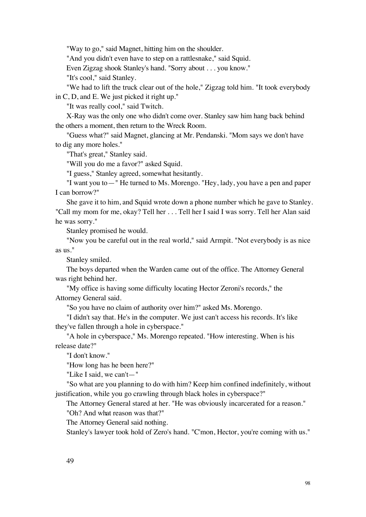"Way to go," said Magnet, hitting him on the shoulder.

"And you didn't even have to step on a rattlesnake," said Squid.

Even Zigzag shook Stanley's hand. "Sorry about . . . you know."

"It's cool," said Stanley.

"We had to lift the truck clear out of the hole," Zigzag told him. "It took everybody in C, D, and E. We just picked it right up."

"It was really cool," said Twitch.

X-Ray was the only one who didn't come over. Stanley saw him hang back behind the others a moment, then return to the Wreck Room.

"Guess what?" said Magnet, glancing at Mr. Pendanski. "Mom says we don't have to dig any more holes."

"That's great," Stanley said.

"Will you do me a favor?" asked Squid.

"I guess," Stanley agreed, somewhat hesitantly.

"I want you to—" He turned to Ms. Morengo. "Hey, lady, you have a pen and paper I can borrow?"

She gave it to him, and Squid wrote down a phone number which he gave to Stanley. "Call my mom for me, okay? Tell her . . . Tell her I said I was sorry. Tell her Alan said he was sorry."

Stanley promised he would.

"Now you be careful out in the real world," said Armpit. "Not everybody is as nice as us."

Stanley smiled.

The boys departed when the Warden came out of the office. The Attorney General was right behind her.

"My office is having some difficulty locating Hector Zeroni's records," the Attorney General said.

"So you have no claim of authority over him?" asked Ms. Morengo.

"I didn't say that. He's in the computer. We just can't access his records. It's like they've fallen through a hole in cyberspace."

"A hole in cyberspace," Ms. Morengo repeated. "How interesting. When is his release date?"

"I don't know."

"How long has he been here?"

"Like I said, we can't—"

"So what are you planning to do with him? Keep him confined indefinitely, without justification, while you go crawling through black holes in cyberspace?"

The Attorney General stared at her. "He was obviously incarcerated for a reason." "Oh? And what reason was that?"

The Attorney General said nothing.

Stanley's lawyer took hold of Zero's hand. "C'mon, Hector, you're coming with us."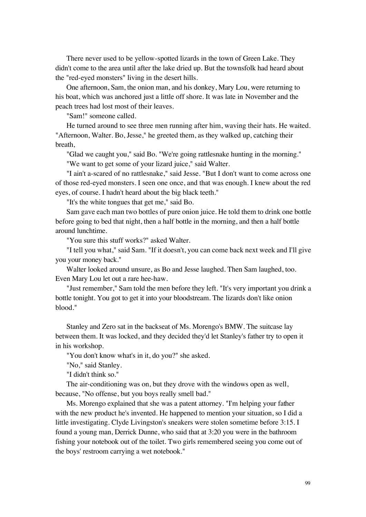There never used to be yellow-spotted lizards in the town of Green Lake. They didn't come to the area until after the lake dried up. But the townsfolk had heard about the "red-eyed monsters" living in the desert hills.

One afternoon, Sam, the onion man, and his donkey, Mary Lou, were returning to his boat, which was anchored just a little off shore. It was late in November and the peach trees had lost most of their leaves.

"Sam!" someone called.

He turned around to see three men running after him, waving their hats. He waited. "Afternoon, Walter. Bo, Jesse," he greeted them, as they walked up, catching their breath,

"Glad we caught you," said Bo. "We're going rattlesnake hunting in the morning."

"We want to get some of your lizard juice," said Walter.

"I ain't a-scared of no rattlesnake," said Jesse. "But I don't want to come across one of those red-eyed monsters. I seen one once, and that was enough. I knew about the red eyes, of course. I hadn't heard about the big black teeth."

"It's the white tongues that get me," said Bo.

Sam gave each man two bottles of pure onion juice. He told them to drink one bottle before going to bed that night, then a half bottle in the morning, and then a half bottle around lunchtime.

"You sure this stuff works?" asked Walter.

"I tell you what," said Sam. "If it doesn't, you can come back next week and I'll give you your money back."

Walter looked around unsure, as Bo and Jesse laughed. Then Sam laughed, too. Even Mary Lou let out a rare hee-haw.

"Just remember," Sam told the men before they left. "It's very important you drink a bottle tonight. You got to get it into your bloodstream. The lizards don't like onion blood."

Stanley and Zero sat in the backseat of Ms. Morengo's BMW. The suitcase lay between them. It was locked, and they decided they'd let Stanley's father try to open it in his workshop.

"You don't know what's in it, do you?" she asked.

"No," said Stanley.

"I didn't think so."

The air-conditioning was on, but they drove with the windows open as well, because, "No offense, but you boys really smell bad."

Ms. Morengo explained that she was a patent attorney. "I'm helping your father with the new product he's invented. He happened to mention your situation, so I did a little investigating. Clyde Livingston's sneakers were stolen sometime before 3:15. I found a young man, Derrick Dunne, who said that at 3:20 you were in the bathroom fishing your notebook out of the toilet. Two girls remembered seeing you come out of the boys' restroom carrying a wet notebook."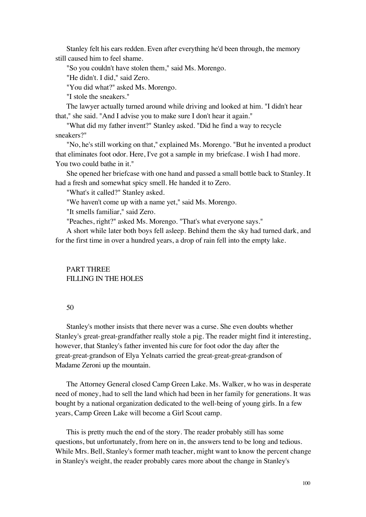Stanley felt his ears redden. Even after everything he'd been through, the memory still caused him to feel shame.

"So you couldn't have stolen them," said Ms. Morengo.

"He didn't. I did," said Zero.

"You did what?" asked Ms. Morengo.

"I stole the sneakers."

The lawyer actually turned around while driving and looked at him. "I didn't hear that," she said. "And I advise you to make sure I don't hear it again."

"What did my father invent?" Stanley asked. "Did he find a way to recycle sneakers?"

"No, he's still working on that," explained Ms. Morengo. "But he invented a product that eliminates foot odor. Here, I've got a sample in my briefcase. I wish I had more. You two could bathe in it."

She opened her briefcase with one hand and passed a small bottle back to Stanley. It had a fresh and somewhat spicy smell. He handed it to Zero.

"What's it called?" Stanley asked.

"We haven't come up with a name yet," said Ms. Morengo.

"It smells familiar," said Zero.

"Peaches, right?" asked Ms. Morengo. "That's what everyone says."

A short while later both boys fell asleep. Behind them the sky had turned dark, and for the first time in over a hundred years, a drop of rain fell into the empty lake.

# PART THREE FILLING IN THE HOLES

# 50

Stanley's mother insists that there never was a curse. She even doubts whether Stanley's great-great-grandfather really stole a pig. The reader might find it interesting, however, that Stanley's father invented his cure for foot odor the day after the great-great-grandson of Elya Yelnats carried the great-great-great-grandson of Madame Zeroni up the mountain.

The Attorney General closed Camp Green Lake. Ms. Walker, w ho was in desperate need of money, had to sell the land which had been in her family for generations. It was bought by a national organization dedicated to the well-being of young girls. In a few years, Camp Green Lake will become a Girl Scout camp.

This is pretty much the end of the story. The reader probably still has some questions, but unfortunately, from here on in, the answers tend to be long and tedious. While Mrs. Bell, Stanley's former math teacher, might want to know the percent change in Stanley's weight, the reader probably cares more about the change in Stanley's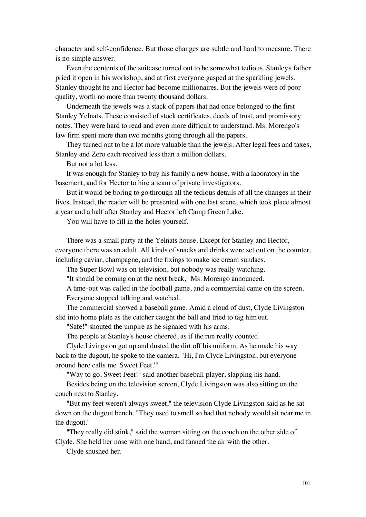character and self-confidence. But those changes are subtle and hard to measure. There is no simple answer.

Even the contents of the suitcase turned out to be somewhat tedious. Stanley's father pried it open in his workshop, and at first everyone gasped at the sparkling jewels. Stanley thought he and Hector had become millionaires. But the jewels were of poor quality, worth no more than twenty thousand dollars.

Underneath the jewels was a stack of papers that had once belonged to the first Stanley Yelnats. These consisted of stock certificates, deeds of trust, and promissory notes. They were hard to read and even more difficult to understand. Ms. Morengo's law firm spent more than two months going through all the papers.

They turned out to be a lot more valuable than the jewels. After legal fees and taxes, Stanley and Zero each received less than a million dollars.

But not a lot less.

It was enough for Stanley to buy his family a new house, with a laboratory in the basement, and for Hector to hire a team of private investigators.

But it would be boring to go through all the tedious details of all the changes in their lives. Instead, the reader will be presented with one last scene, which took place almost a year and a half after Stanley and Hector left Camp Green Lake.

You will have to fill in the holes yourself.

There was a small party at the Yelnats house. Except for Stanley and Hector, everyone there was an adult. All kinds of snacks and drinks were set out on the counter, including caviar, champagne, and the fixings to make ice cream sundaes.

The Super Bowl was on television, but nobody was really watching.

"It should be coming on at the next break," Ms. Morengo announced.

A time-out was called in the football game, and a commercial came on the screen. Everyone stopped talking and watched.

The commercial showed a baseball game. Amid a cloud of dust, Clyde Livingston slid into home plate as the catcher caught the ball and tried to tag him out.

"Safe!" shouted the umpire as he signaled with his arms.

The people at Stanley's house cheered, as if the run really counted.

Clyde Livingston got up and dusted the dirt off his uniform. As he made his way back to the dugout, he spoke to the camera. "Hi, I'm Clyde Livingston, but everyone around here calls me 'Sweet Feet.'"

"Way to go, Sweet Feet!" said another baseball player, slapping his hand.

Besides being on the television screen, Clyde Livingston was also sitting on the couch next to Stanley.

"But my feet weren't always sweet," the television Clyde Livingston said as he sat down on the dugout bench. "They used to smell so bad that nobody would sit near me in the dugout."

"They really did stink," said the woman sitting on the couch on the other side of Clyde. She held her nose with one hand, and fanned the air with the other.

Clyde shushed her.